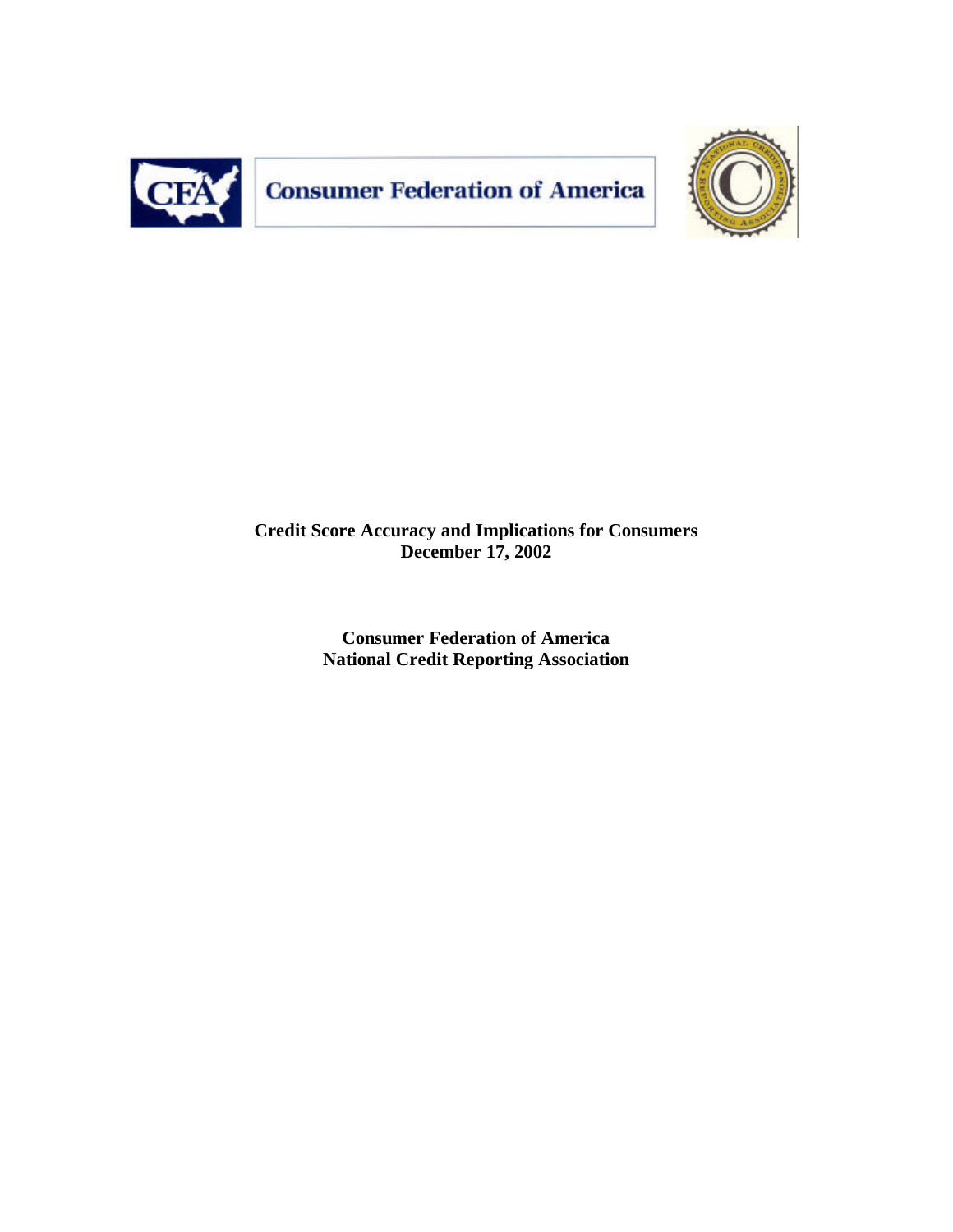

**Consumer Federation of America** 



# **Credit Score Accuracy and Implications for Consumers December 17, 2002**

**Consumer Federation of America National Credit Reporting Association**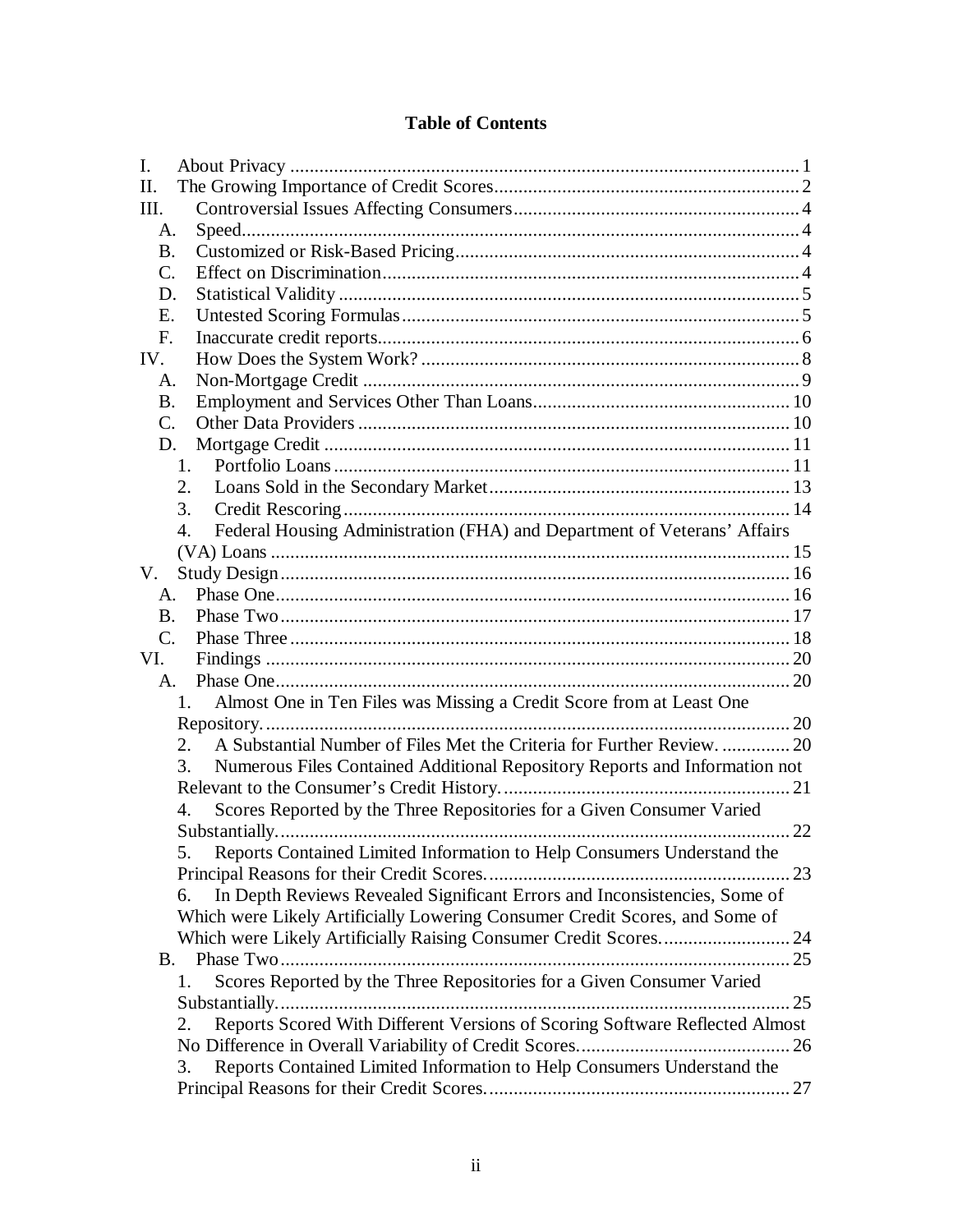# **Table of Contents**

| I.                                                                                        |  |
|-------------------------------------------------------------------------------------------|--|
| II.                                                                                       |  |
| III.                                                                                      |  |
| A.                                                                                        |  |
| <b>B.</b>                                                                                 |  |
| C.                                                                                        |  |
| D.                                                                                        |  |
| Е.                                                                                        |  |
| $F_{\cdot}$                                                                               |  |
| IV.                                                                                       |  |
| A.                                                                                        |  |
| <b>B.</b>                                                                                 |  |
| C.                                                                                        |  |
| D.                                                                                        |  |
| 1.                                                                                        |  |
| 2.                                                                                        |  |
| 3.                                                                                        |  |
| Federal Housing Administration (FHA) and Department of Veterans' Affairs<br>4.            |  |
|                                                                                           |  |
| V.                                                                                        |  |
| A.                                                                                        |  |
| B.                                                                                        |  |
| $C_{\cdot}$                                                                               |  |
| VI.                                                                                       |  |
| $A_{\cdot}$                                                                               |  |
| Almost One in Ten Files was Missing a Credit Score from at Least One<br>$1_{-}$           |  |
|                                                                                           |  |
| A Substantial Number of Files Met the Criteria for Further Review 20<br>2.                |  |
| Numerous Files Contained Additional Repository Reports and Information not<br>3.          |  |
|                                                                                           |  |
| Scores Reported by the Three Repositories for a Given Consumer Varied<br>$\overline{4}$ . |  |
|                                                                                           |  |
| Reports Contained Limited Information to Help Consumers Understand the<br>5.              |  |
|                                                                                           |  |
| In Depth Reviews Revealed Significant Errors and Inconsistencies, Some of<br>6.           |  |
| Which were Likely Artificially Lowering Consumer Credit Scores, and Some of               |  |
|                                                                                           |  |
| В.                                                                                        |  |
| Scores Reported by the Three Repositories for a Given Consumer Varied<br>1.               |  |
|                                                                                           |  |
| Reports Scored With Different Versions of Scoring Software Reflected Almost<br>2.         |  |
|                                                                                           |  |
| Reports Contained Limited Information to Help Consumers Understand the<br>3.              |  |
|                                                                                           |  |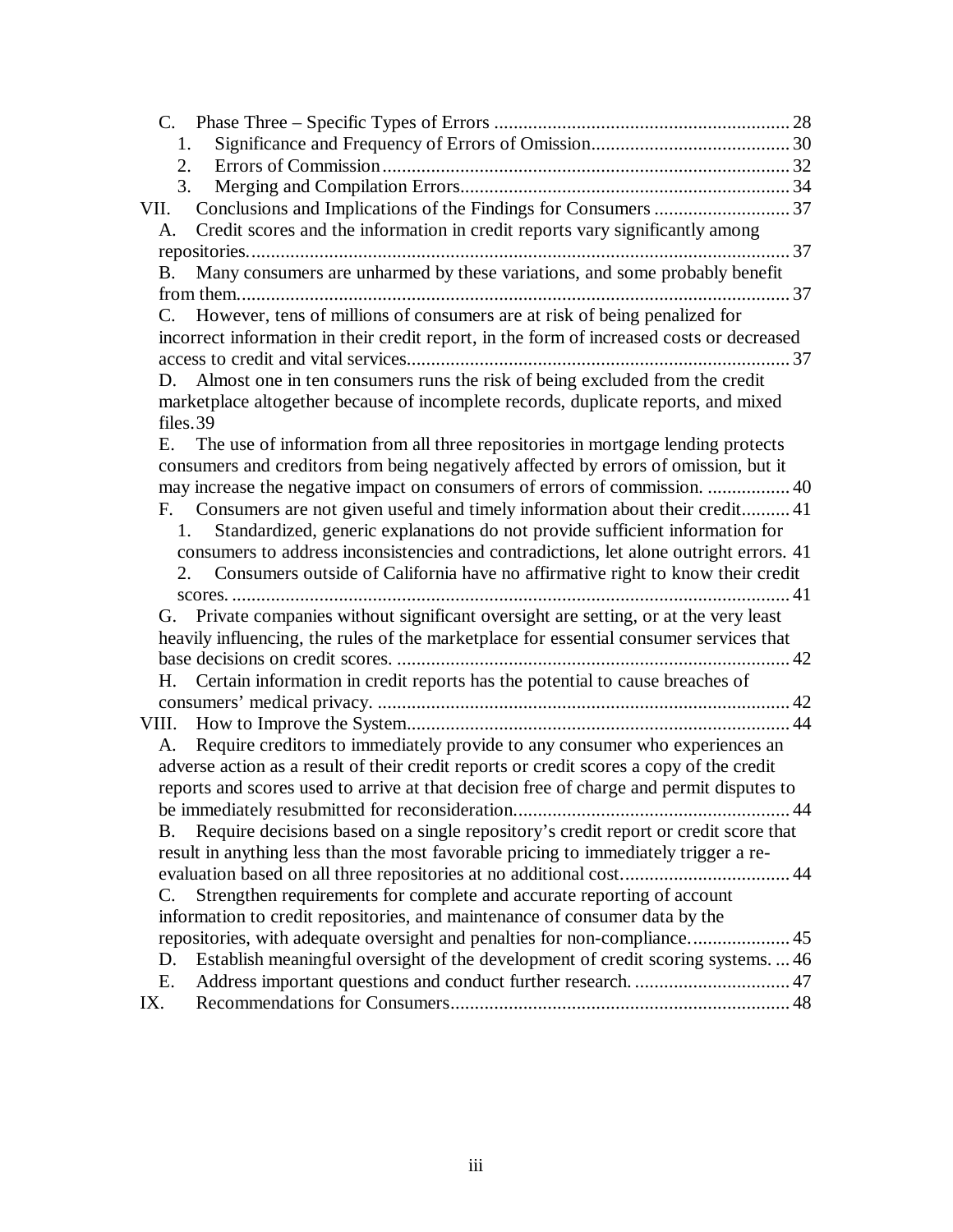| 1.                                                                                        |  |
|-------------------------------------------------------------------------------------------|--|
| 2.                                                                                        |  |
| 3.                                                                                        |  |
| VII.                                                                                      |  |
| Credit scores and the information in credit reports vary significantly among<br>A.        |  |
|                                                                                           |  |
| Many consumers are unharmed by these variations, and some probably benefit<br>B.          |  |
|                                                                                           |  |
| C. However, tens of millions of consumers are at risk of being penalized for              |  |
| incorrect information in their credit report, in the form of increased costs or decreased |  |
|                                                                                           |  |
| Almost one in ten consumers runs the risk of being excluded from the credit<br>D.         |  |
| marketplace altogether because of incomplete records, duplicate reports, and mixed        |  |
| files.39                                                                                  |  |
| E. The use of information from all three repositories in mortgage lending protects        |  |
| consumers and creditors from being negatively affected by errors of omission, but it      |  |
|                                                                                           |  |
| Consumers are not given useful and timely information about their credit 41<br>F.         |  |
| Standardized, generic explanations do not provide sufficient information for<br>1.        |  |
| consumers to address inconsistencies and contradictions, let alone outright errors. 41    |  |
| Consumers outside of California have no affirmative right to know their credit<br>2.      |  |
|                                                                                           |  |
| G. Private companies without significant oversight are setting, or at the very least      |  |
| heavily influencing, the rules of the marketplace for essential consumer services that    |  |
|                                                                                           |  |
| H. Certain information in credit reports has the potential to cause breaches of           |  |
| VIII.                                                                                     |  |
| Require creditors to immediately provide to any consumer who experiences an<br>А.         |  |
| adverse action as a result of their credit reports or credit scores a copy of the credit  |  |
| reports and scores used to arrive at that decision free of charge and permit disputes to  |  |
|                                                                                           |  |
| Require decisions based on a single repository's credit report or credit score that<br>B. |  |
| result in anything less than the most favorable pricing to immediately trigger a re-      |  |
| evaluation based on all three repositories at no additional cost 44                       |  |
| Strengthen requirements for complete and accurate reporting of account<br>C.              |  |
| information to credit repositories, and maintenance of consumer data by the               |  |
| repositories, with adequate oversight and penalties for non-compliance 45                 |  |
| Establish meaningful oversight of the development of credit scoring systems46<br>D.       |  |
| Address important questions and conduct further research.  47<br>Е.                       |  |
| IX.                                                                                       |  |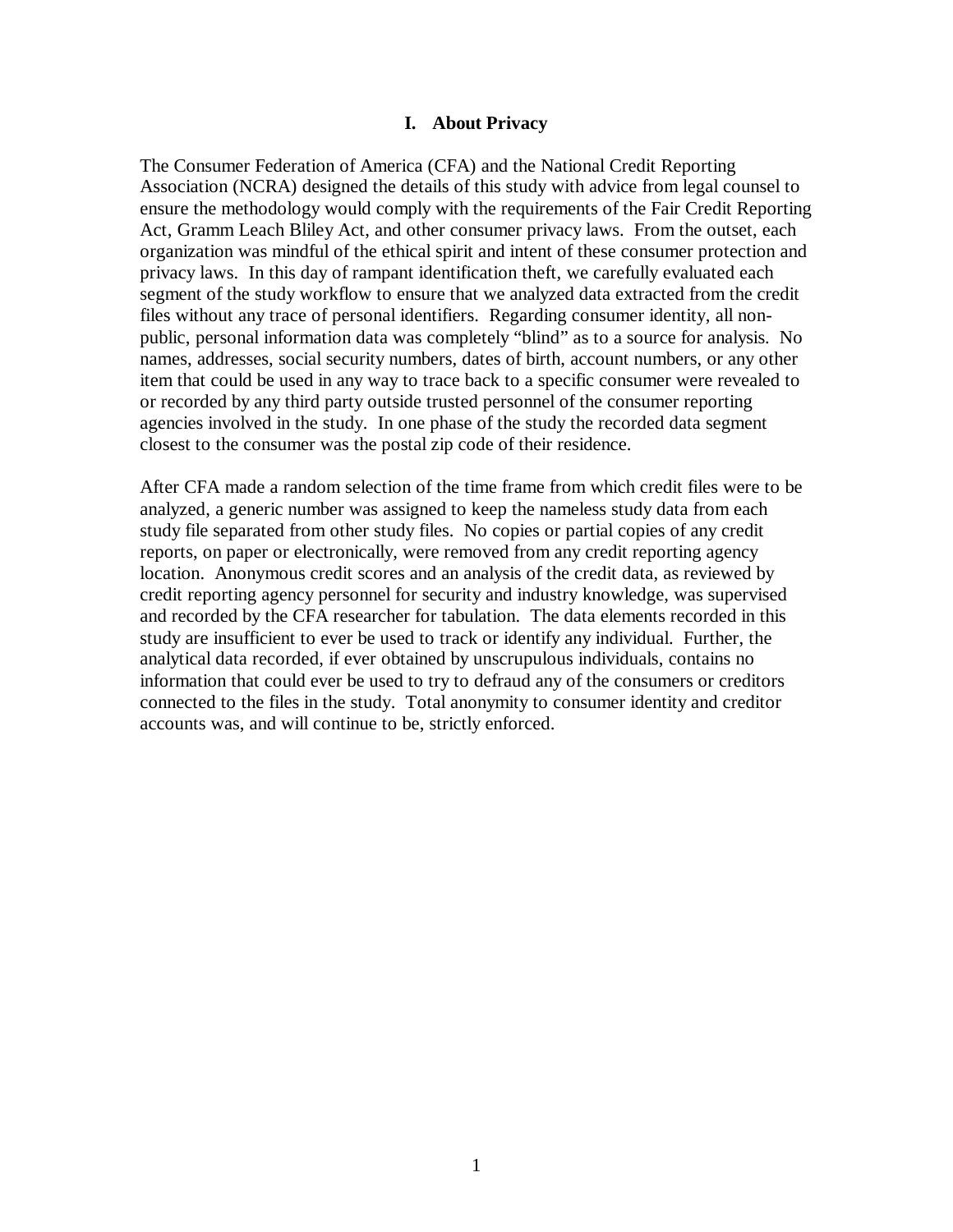### **I. About Privacy**

The Consumer Federation of America (CFA) and the National Credit Reporting Association (NCRA) designed the details of this study with advice from legal counsel to ensure the methodology would comply with the requirements of the Fair Credit Reporting Act, Gramm Leach Bliley Act, and other consumer privacy laws. From the outset, each organization was mindful of the ethical spirit and intent of these consumer protection and privacy laws. In this day of rampant identification theft, we carefully evaluated each segment of the study workflow to ensure that we analyzed data extracted from the credit files without any trace of personal identifiers. Regarding consumer identity, all nonpublic, personal information data was completely "blind" as to a source for analysis. No names, addresses, social security numbers, dates of birth, account numbers, or any other item that could be used in any way to trace back to a specific consumer were revealed to or recorded by any third party outside trusted personnel of the consumer reporting agencies involved in the study. In one phase of the study the recorded data segment closest to the consumer was the postal zip code of their residence.

After CFA made a random selection of the time frame from which credit files were to be analyzed, a generic number was assigned to keep the nameless study data from each study file separated from other study files. No copies or partial copies of any credit reports, on paper or electronically, were removed from any credit reporting agency location. Anonymous credit scores and an analysis of the credit data, as reviewed by credit reporting agency personnel for security and industry knowledge, was supervised and recorded by the CFA researcher for tabulation. The data elements recorded in this study are insufficient to ever be used to track or identify any individual. Further, the analytical data recorded, if ever obtained by unscrupulous individuals, contains no information that could ever be used to try to defraud any of the consumers or creditors connected to the files in the study. Total anonymity to consumer identity and creditor accounts was, and will continue to be, strictly enforced.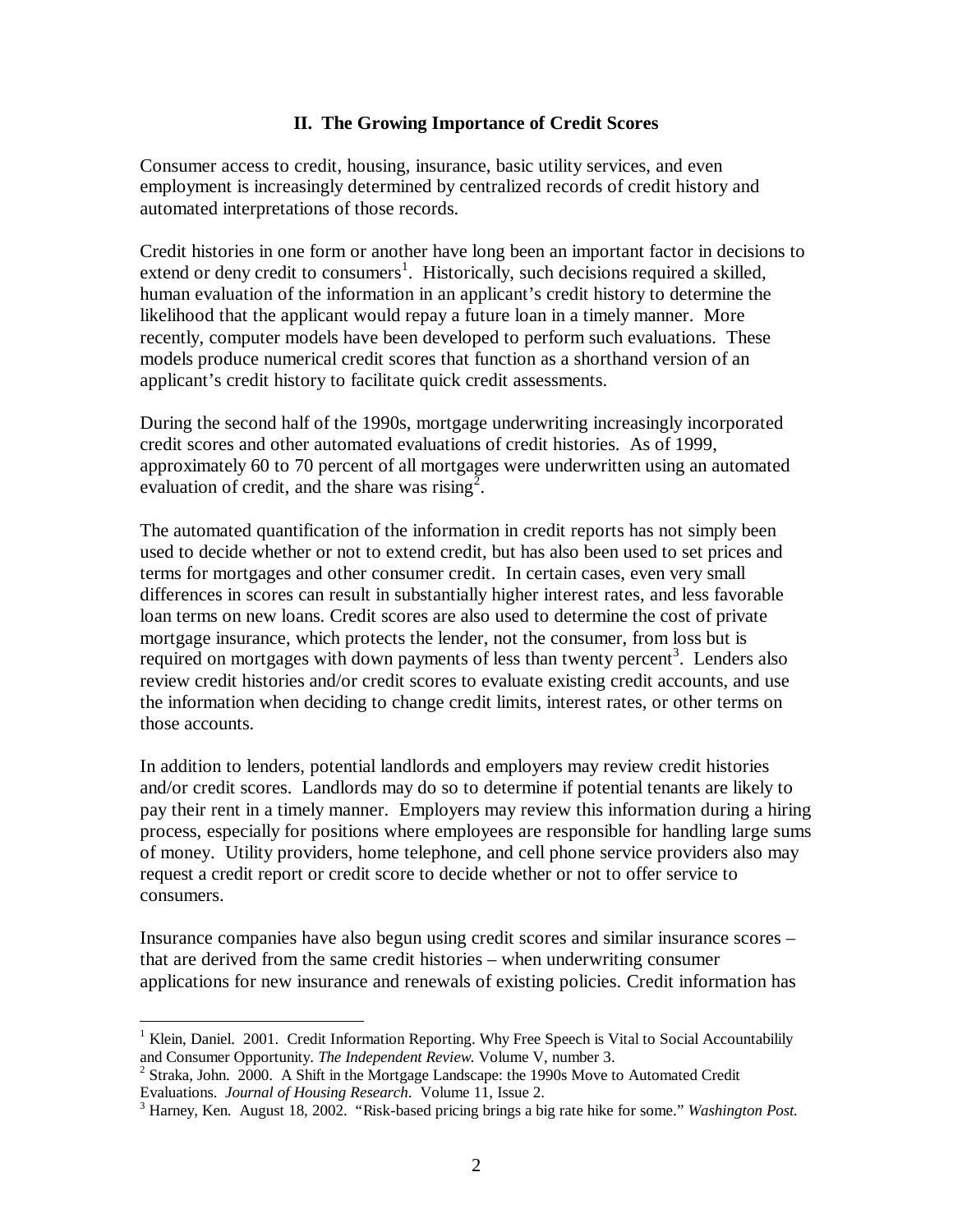### **II. The Growing Importance of Credit Scores**

Consumer access to credit, housing, insurance, basic utility services, and even employment is increasingly determined by centralized records of credit history and automated interpretations of those records.

Credit histories in one form or another have long been an important factor in decisions to extend or deny credit to consumers<sup>1</sup>. Historically, such decisions required a skilled, human evaluation of the information in an applicant's credit history to determine the likelihood that the applicant would repay a future loan in a timely manner. More recently, computer models have been developed to perform such evaluations. These models produce numerical credit scores that function as a shorthand version of an applicant's credit history to facilitate quick credit assessments.

During the second half of the 1990s, mortgage underwriting increasingly incorporated credit scores and other automated evaluations of credit histories. As of 1999, approximately 60 to 70 percent of all mortgages were underwritten using an automated evaluation of credit, and the share was rising<sup>2</sup>.

The automated quantification of the information in credit reports has not simply been used to decide whether or not to extend credit, but has also been used to set prices and terms for mortgages and other consumer credit. In certain cases, even very small differences in scores can result in substantially higher interest rates, and less favorable loan terms on new loans. Credit scores are also used to determine the cost of private mortgage insurance, which protects the lender, not the consumer, from loss but is required on mortgages with down payments of less than twenty percent<sup>3</sup>. Lenders also review credit histories and/or credit scores to evaluate existing credit accounts, and use the information when deciding to change credit limits, interest rates, or other terms on those accounts.

In addition to lenders, potential landlords and employers may review credit histories and/or credit scores. Landlords may do so to determine if potential tenants are likely to pay their rent in a timely manner. Employers may review this information during a hiring process, especially for positions where employees are responsible for handling large sums of money. Utility providers, home telephone, and cell phone service providers also may request a credit report or credit score to decide whether or not to offer service to consumers.

Insurance companies have also begun using credit scores and similar insurance scores – that are derived from the same credit histories – when underwriting consumer applications for new insurance and renewals of existing policies. Credit information has

1

<sup>&</sup>lt;sup>1</sup> Klein, Daniel. 2001. Credit Information Reporting. Why Free Speech is Vital to Social Accountabilily and Consumer Opportunity. *The Independent Review*. Volume V, number 3.

<sup>&</sup>lt;sup>2</sup> Straka, John. 2000. A Shift in the Mortgage Landscape: the 1990s Move to Automated Credit Evaluations. *Journal of Housing Research*. Volume 11, Issue 2.

<sup>3</sup> Harney, Ken. August 18, 2002. "Risk-based pricing brings a big rate hike for some." *Washington Post.*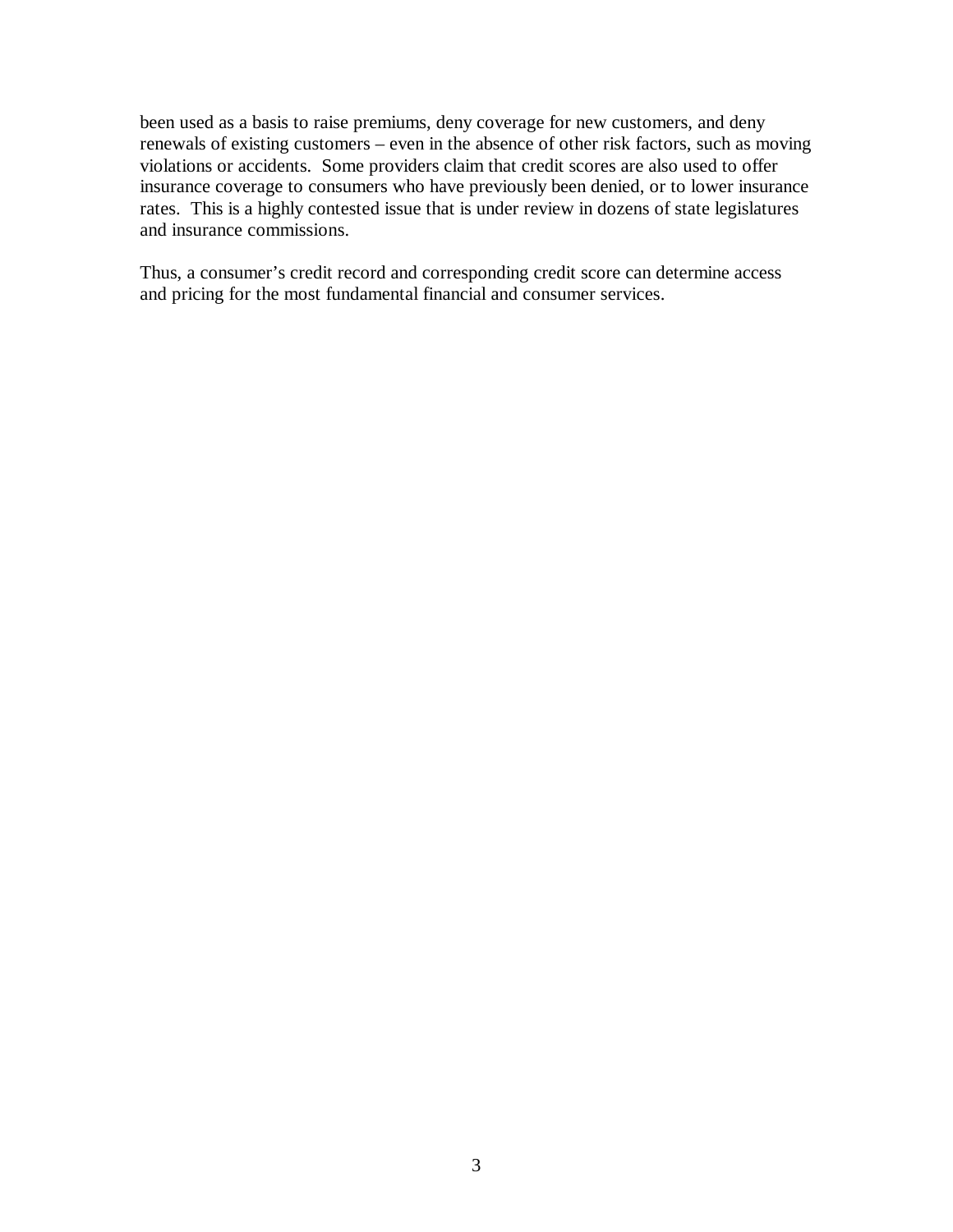been used as a basis to raise premiums, deny coverage for new customers, and deny renewals of existing customers – even in the absence of other risk factors, such as moving violations or accidents. Some providers claim that credit scores are also used to offer insurance coverage to consumers who have previously been denied, or to lower insurance rates. This is a highly contested issue that is under review in dozens of state legislatures and insurance commissions.

Thus, a consumer's credit record and corresponding credit score can determine access and pricing for the most fundamental financial and consumer services.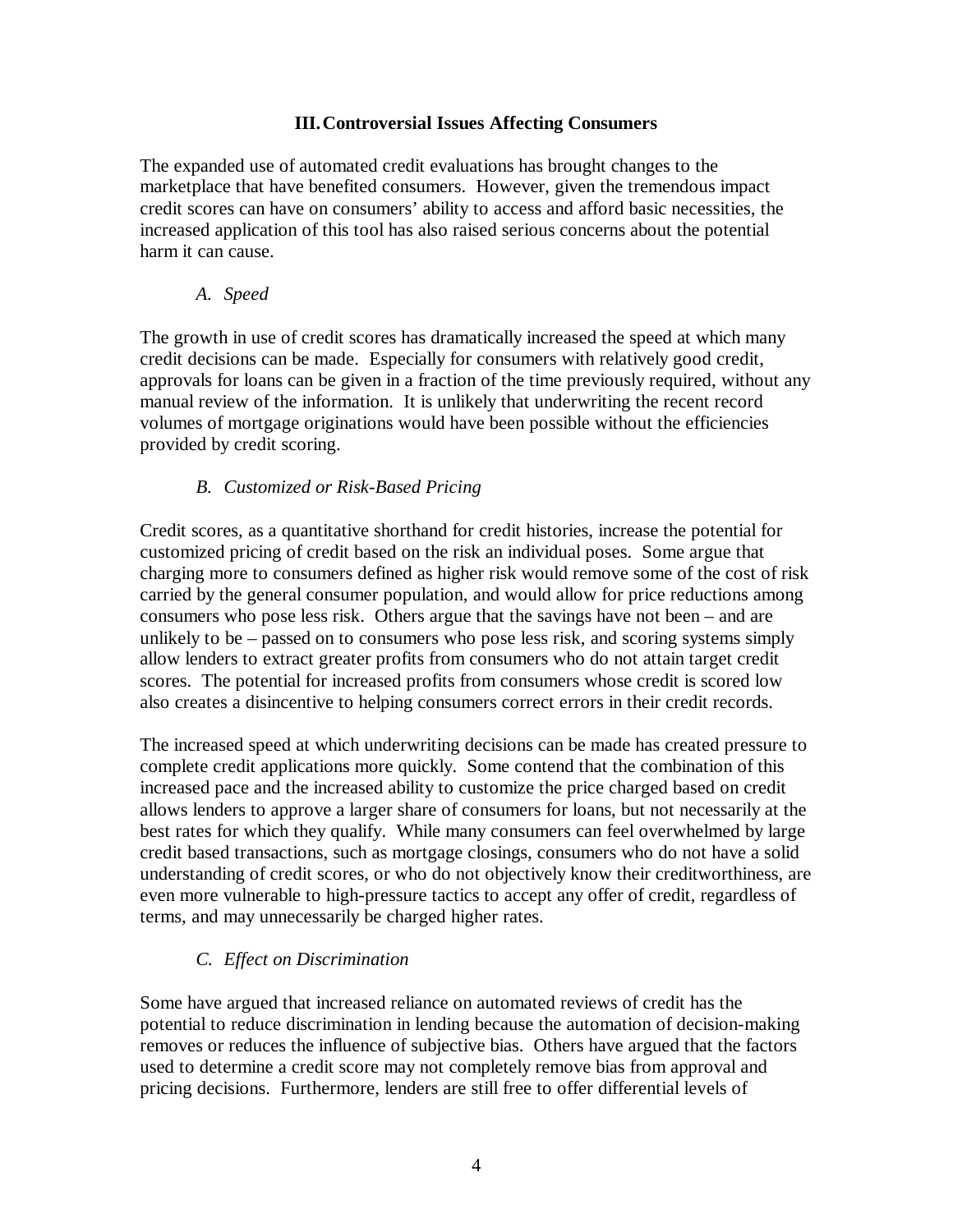### **III.Controversial Issues Affecting Consumers**

The expanded use of automated credit evaluations has brought changes to the marketplace that have benefited consumers. However, given the tremendous impact credit scores can have on consumers' ability to access and afford basic necessities, the increased application of this tool has also raised serious concerns about the potential harm it can cause.

### *A. Speed*

The growth in use of credit scores has dramatically increased the speed at which many credit decisions can be made. Especially for consumers with relatively good credit, approvals for loans can be given in a fraction of the time previously required, without any manual review of the information. It is unlikely that underwriting the recent record volumes of mortgage originations would have been possible without the efficiencies provided by credit scoring.

## *B. Customized or Risk-Based Pricing*

Credit scores, as a quantitative shorthand for credit histories, increase the potential for customized pricing of credit based on the risk an individual poses. Some argue that charging more to consumers defined as higher risk would remove some of the cost of risk carried by the general consumer population, and would allow for price reductions among consumers who pose less risk. Others argue that the savings have not been – and are unlikely to be – passed on to consumers who pose less risk, and scoring systems simply allow lenders to extract greater profits from consumers who do not attain target credit scores. The potential for increased profits from consumers whose credit is scored low also creates a disincentive to helping consumers correct errors in their credit records.

The increased speed at which underwriting decisions can be made has created pressure to complete credit applications more quickly. Some contend that the combination of this increased pace and the increased ability to customize the price charged based on credit allows lenders to approve a larger share of consumers for loans, but not necessarily at the best rates for which they qualify. While many consumers can feel overwhelmed by large credit based transactions, such as mortgage closings, consumers who do not have a solid understanding of credit scores, or who do not objectively know their creditworthiness, are even more vulnerable to high-pressure tactics to accept any offer of credit, regardless of terms, and may unnecessarily be charged higher rates.

## *C. Effect on Discrimination*

Some have argued that increased reliance on automated reviews of credit has the potential to reduce discrimination in lending because the automation of decision-making removes or reduces the influence of subjective bias. Others have argued that the factors used to determine a credit score may not completely remove bias from approval and pricing decisions. Furthermore, lenders are still free to offer differential levels of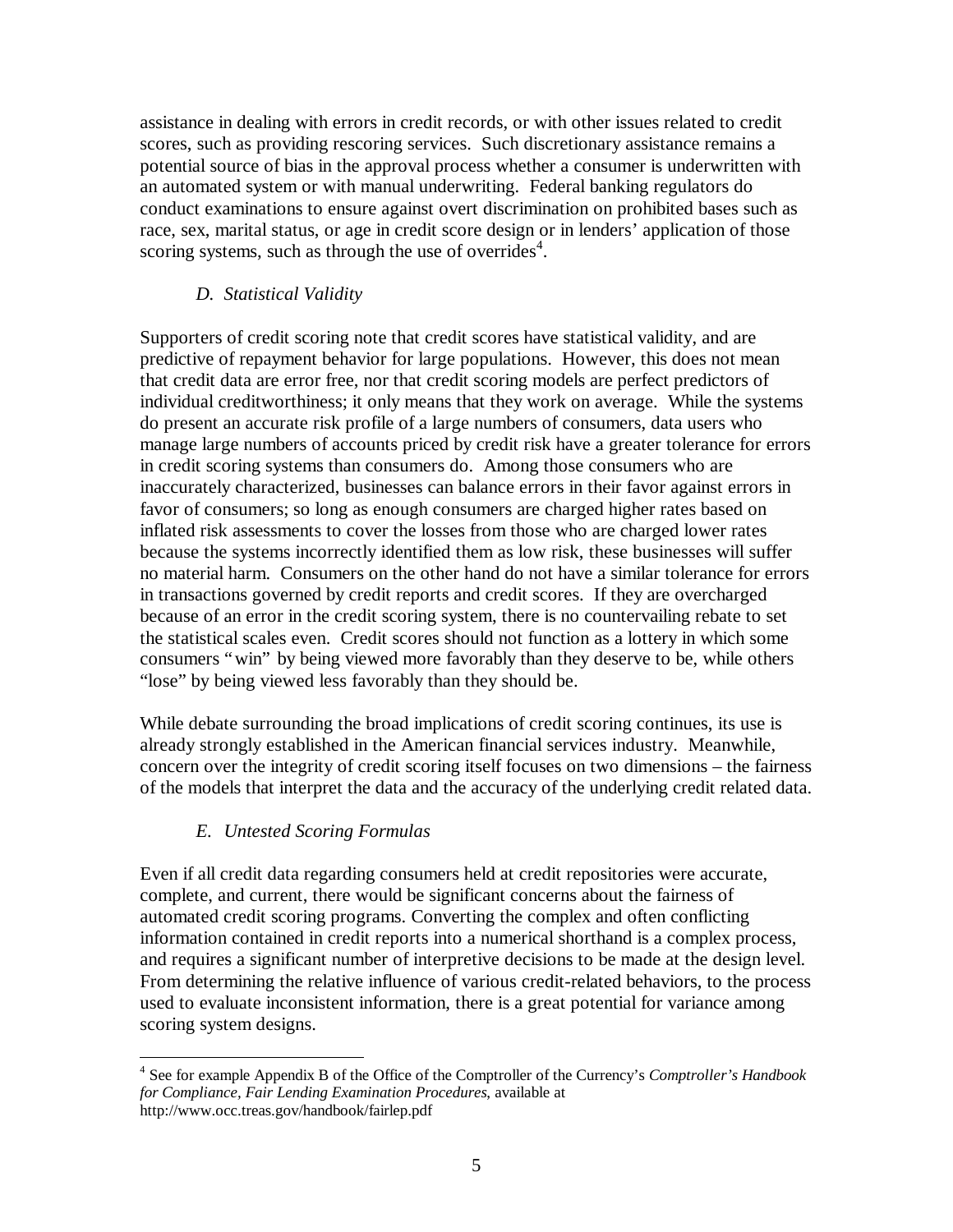assistance in dealing with errors in credit records, or with other issues related to credit scores, such as providing rescoring services. Such discretionary assistance remains a potential source of bias in the approval process whether a consumer is underwritten with an automated system or with manual underwriting. Federal banking regulators do conduct examinations to ensure against overt discrimination on prohibited bases such as race, sex, marital status, or age in credit score design or in lenders' application of those scoring systems, such as through the use of overrides $4$ .

# *D. Statistical Validity*

Supporters of credit scoring note that credit scores have statistical validity, and are predictive of repayment behavior for large populations. However, this does not mean that credit data are error free, nor that credit scoring models are perfect predictors of individual creditworthiness; it only means that they work on average. While the systems do present an accurate risk profile of a large numbers of consumers, data users who manage large numbers of accounts priced by credit risk have a greater tolerance for errors in credit scoring systems than consumers do. Among those consumers who are inaccurately characterized, businesses can balance errors in their favor against errors in favor of consumers; so long as enough consumers are charged higher rates based on inflated risk assessments to cover the losses from those who are charged lower rates because the systems incorrectly identified them as low risk, these businesses will suffer no material harm. Consumers on the other hand do not have a similar tolerance for errors in transactions governed by credit reports and credit scores. If they are overcharged because of an error in the credit scoring system, there is no countervailing rebate to set the statistical scales even. Credit scores should not function as a lottery in which some consumers "win" by being viewed more favorably than they deserve to be, while others "lose" by being viewed less favorably than they should be.

While debate surrounding the broad implications of credit scoring continues, its use is already strongly established in the American financial services industry. Meanwhile, concern over the integrity of credit scoring itself focuses on two dimensions – the fairness of the models that interpret the data and the accuracy of the underlying credit related data.

# *E. Untested Scoring Formulas*

Even if all credit data regarding consumers held at credit repositories were accurate, complete, and current, there would be significant concerns about the fairness of automated credit scoring programs. Converting the complex and often conflicting information contained in credit reports into a numerical shorthand is a complex process, and requires a significant number of interpretive decisions to be made at the design level. From determining the relative influence of various credit-related behaviors, to the process used to evaluate inconsistent information, there is a great potential for variance among scoring system designs.

<sup>&</sup>lt;u>.</u> 4 See for example Appendix B of the Office of the Comptroller of the Currency's *Comptroller's Handbook for Compliance, Fair Lending Examination Procedures*, available at http://www.occ.treas.gov/handbook/fairlep.pdf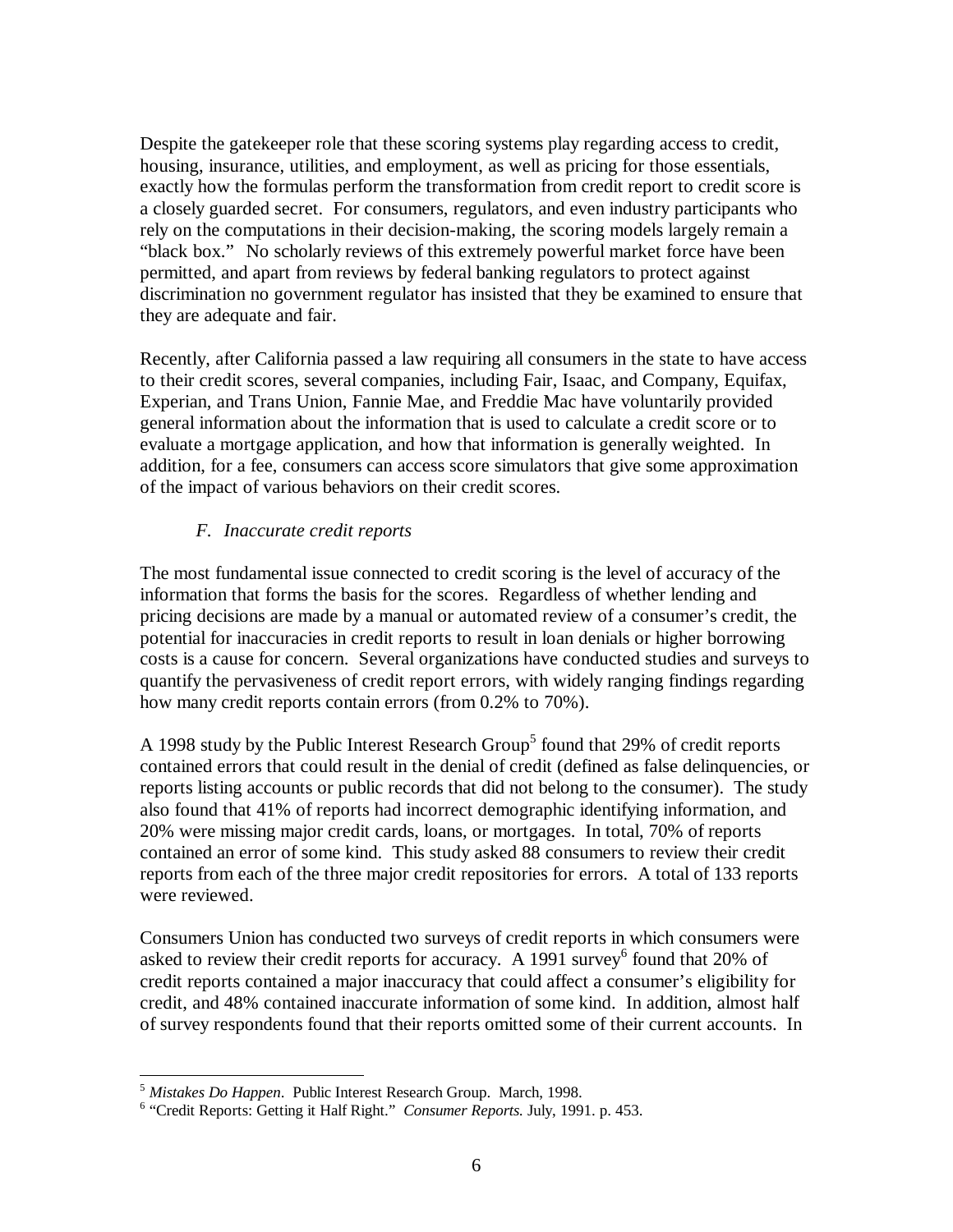Despite the gatekeeper role that these scoring systems play regarding access to credit, housing, insurance, utilities, and employment, as well as pricing for those essentials, exactly how the formulas perform the transformation from credit report to credit score is a closely guarded secret. For consumers, regulators, and even industry participants who rely on the computations in their decision-making, the scoring models largely remain a "black box." No scholarly reviews of this extremely powerful market force have been permitted, and apart from reviews by federal banking regulators to protect against discrimination no government regulator has insisted that they be examined to ensure that they are adequate and fair.

Recently, after California passed a law requiring all consumers in the state to have access to their credit scores, several companies, including Fair, Isaac, and Company, Equifax, Experian, and Trans Union, Fannie Mae, and Freddie Mac have voluntarily provided general information about the information that is used to calculate a credit score or to evaluate a mortgage application, and how that information is generally weighted. In addition, for a fee, consumers can access score simulators that give some approximation of the impact of various behaviors on their credit scores.

## *F. Inaccurate credit reports*

The most fundamental issue connected to credit scoring is the level of accuracy of the information that forms the basis for the scores. Regardless of whether lending and pricing decisions are made by a manual or automated review of a consumer's credit, the potential for inaccuracies in credit reports to result in loan denials or higher borrowing costs is a cause for concern. Several organizations have conducted studies and surveys to quantify the pervasiveness of credit report errors, with widely ranging findings regarding how many credit reports contain errors (from 0.2% to 70%).

A 1998 study by the Public Interest Research Group<sup>5</sup> found that 29% of credit reports contained errors that could result in the denial of credit (defined as false delinquencies, or reports listing accounts or public records that did not belong to the consumer). The study also found that 41% of reports had incorrect demographic identifying information, and 20% were missing major credit cards, loans, or mortgages. In total, 70% of reports contained an error of some kind. This study asked 88 consumers to review their credit reports from each of the three major credit repositories for errors. A total of 133 reports were reviewed.

Consumers Union has conducted two surveys of credit reports in which consumers were asked to review their credit reports for accuracy. A 1991 survey <sup>6</sup> found that 20% of credit reports contained a major inaccuracy that could affect a consumer's eligibility for credit, and 48% contained inaccurate information of some kind. In addition, almost half of survey respondents found that their reports omitted some of their current accounts. In

<u>.</u>

<sup>5</sup> *Mistakes Do Happen*. Public Interest Research Group. March, 1998.

<sup>&</sup>lt;sup>6</sup> "Credit Reports: Getting it Half Right." Consumer Reports. July, 1991. p. 453.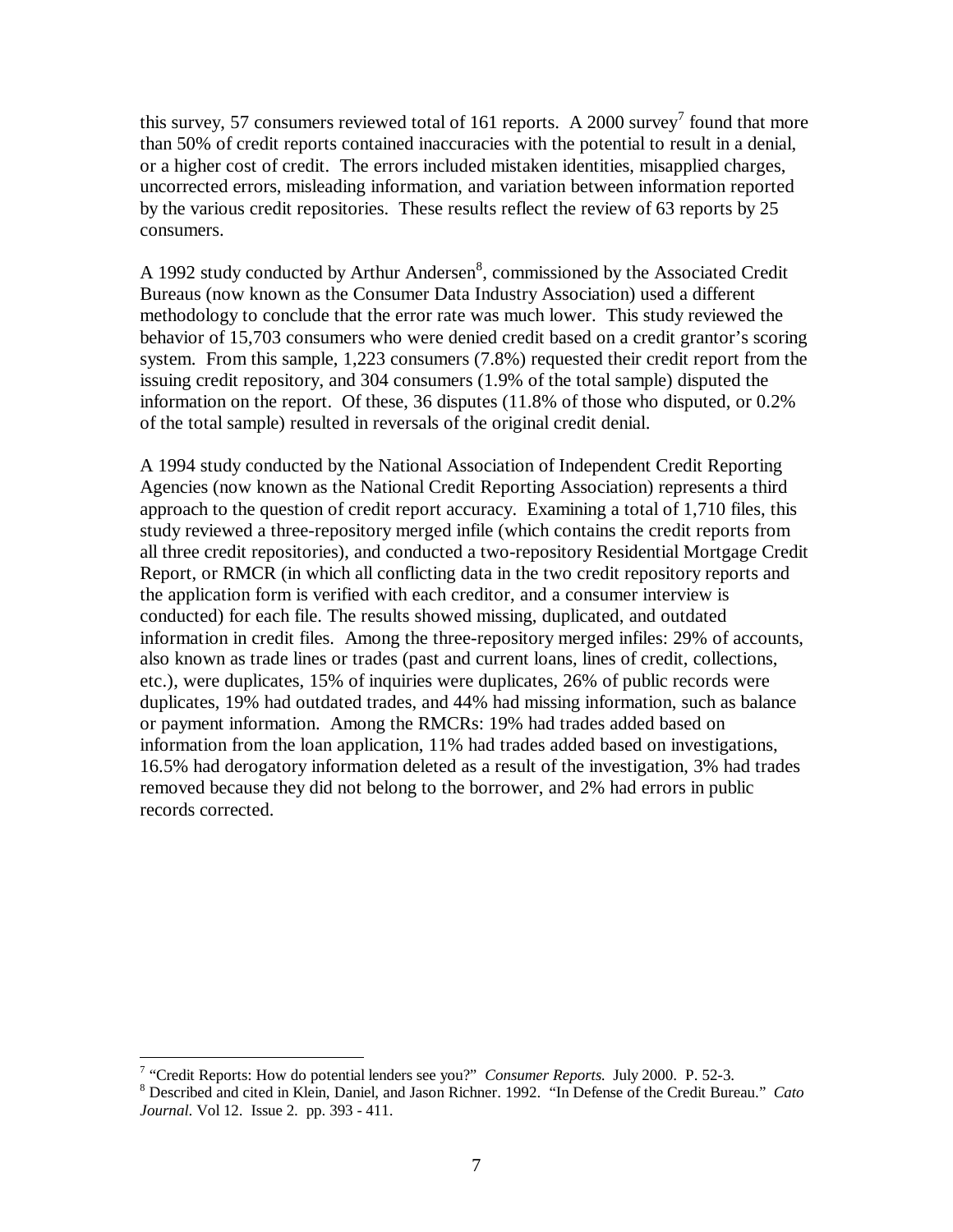this survey, 57 consumers reviewed total of 161 reports. A 2000 survey<sup>7</sup> found that more than 50% of credit reports contained inaccuracies with the potential to result in a denial, or a higher cost of credit. The errors included mistaken identities, misapplied charges, uncorrected errors, misleading information, and variation between information reported by the various credit repositories. These results reflect the review of 63 reports by 25 consumers.

A 1992 study conducted by Arthur Andersen $\delta$ , commissioned by the Associated Credit Bureaus (now known as the Consumer Data Industry Association) used a different methodology to conclude that the error rate was much lower. This study reviewed the behavior of 15,703 consumers who were denied credit based on a credit grantor's scoring system. From this sample, 1,223 consumers (7.8%) requested their credit report from the issuing credit repository, and 304 consumers (1.9% of the total sample) disputed the information on the report. Of these, 36 disputes (11.8% of those who disputed, or 0.2% of the total sample) resulted in reversals of the original credit denial.

A 1994 study conducted by the National Association of Independent Credit Reporting Agencies (now known as the National Credit Reporting Association) represents a third approach to the question of credit report accuracy. Examining a total of 1,710 files, this study reviewed a three-repository merged infile (which contains the credit reports from all three credit repositories), and conducted a two-repository Residential Mortgage Credit Report, or RMCR (in which all conflicting data in the two credit repository reports and the application form is verified with each creditor, and a consumer interview is conducted) for each file. The results showed missing, duplicated, and outdated information in credit files. Among the three-repository merged infiles: 29% of accounts, also known as trade lines or trades (past and current loans, lines of credit, collections, etc.), were duplicates, 15% of inquiries were duplicates, 26% of public records were duplicates, 19% had outdated trades, and 44% had missing information, such as balance or payment information. Among the RMCRs: 19% had trades added based on information from the loan application, 11% had trades added based on investigations, 16.5% had derogatory information deleted as a result of the investigation, 3% had trades removed because they did not belong to the borrower, and 2% had errors in public records corrected.

<sup>&</sup>lt;u>.</u> <sup>7</sup> "Credit Reports: How do potential lenders see you?" *Consumer Reports*. July 2000. P. 52-3.

<sup>8</sup> Described and cited in Klein, Daniel, and Jason Richner. 1992. "In Defense of the Credit Bureau." *Cato Journal*. Vol 12. Issue 2. pp. 393 - 411.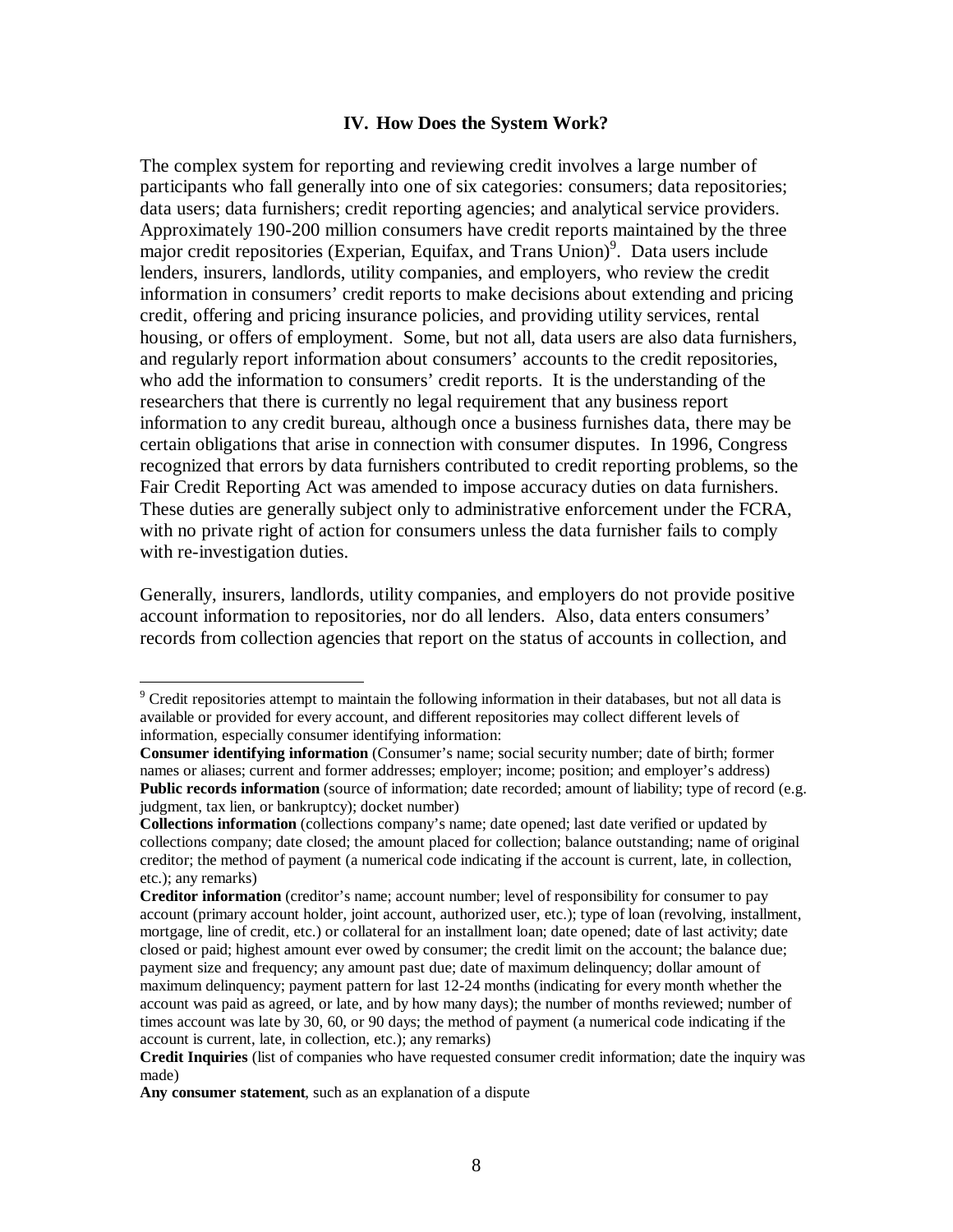### **IV. How Does the System Work?**

The complex system for reporting and reviewing credit involves a large number of participants who fall generally into one of six categories: consumers; data repositories; data users; data furnishers; credit reporting agencies; and analytical service providers. Approximately 190-200 million consumers have credit reports maintained by the three major credit repositories (Experian, Equifax, and Trans Union)<sup>9</sup>. Data users include lenders, insurers, landlords, utility companies, and employers, who review the credit information in consumers' credit reports to make decisions about extending and pricing credit, offering and pricing insurance policies, and providing utility services, rental housing, or offers of employment. Some, but not all, data users are also data furnishers, and regularly report information about consumers' accounts to the credit repositories, who add the information to consumers' credit reports. It is the understanding of the researchers that there is currently no legal requirement that any business report information to any credit bureau, although once a business furnishes data, there may be certain obligations that arise in connection with consumer disputes. In 1996, Congress recognized that errors by data furnishers contributed to credit reporting problems, so the Fair Credit Reporting Act was amended to impose accuracy duties on data furnishers. These duties are generally subject only to administrative enforcement under the FCRA, with no private right of action for consumers unless the data furnisher fails to comply with re-investigation duties.

Generally, insurers, landlords, utility companies, and employers do not provide positive account information to repositories, nor do all lenders. Also, data enters consumers' records from collection agencies that report on the status of accounts in collection, and

1

<sup>&</sup>lt;sup>9</sup> Credit repositories attempt to maintain the following information in their databases, but not all data is available or provided for every account, and different repositories may collect different levels of information, especially consumer identifying information:

**Consumer identifying information** (Consumer's name; social security number; date of birth; former names or aliases; current and former addresses; employer; income; position; and employer's address) **Public records information** (source of information; date recorded; amount of liability; type of record (e.g. judgment, tax lien, or bankruptcy); docket number)

**Collections information** (collections company's name; date opened; last date verified or updated by collections company; date closed; the amount placed for collection; balance outstanding; name of original creditor; the method of payment (a numerical code indicating if the account is current, late, in collection, etc.); any remarks)

**Creditor information** (creditor's name; account number; level of responsibility for consumer to pay account (primary account holder, joint account, authorized user, etc.); type of loan (revolving, installment, mortgage, line of credit, etc.) or collateral for an installment loan; date opened; date of last activity; date closed or paid; highest amount ever owed by consumer; the credit limit on the account; the balance due; payment size and frequency; any amount past due; date of maximum delinquency; dollar amount of maximum delinquency; payment pattern for last 12-24 months (indicating for every month whether the account was paid as agreed, or late, and by how many days); the number of months reviewed; number of times account was late by 30, 60, or 90 days; the method of payment (a numerical code indicating if the account is current, late, in collection, etc.); any remarks)

**Credit Inquiries** (list of companies who have requested consumer credit information; date the inquiry was made)

**Any consumer statement**, such as an explanation of a dispute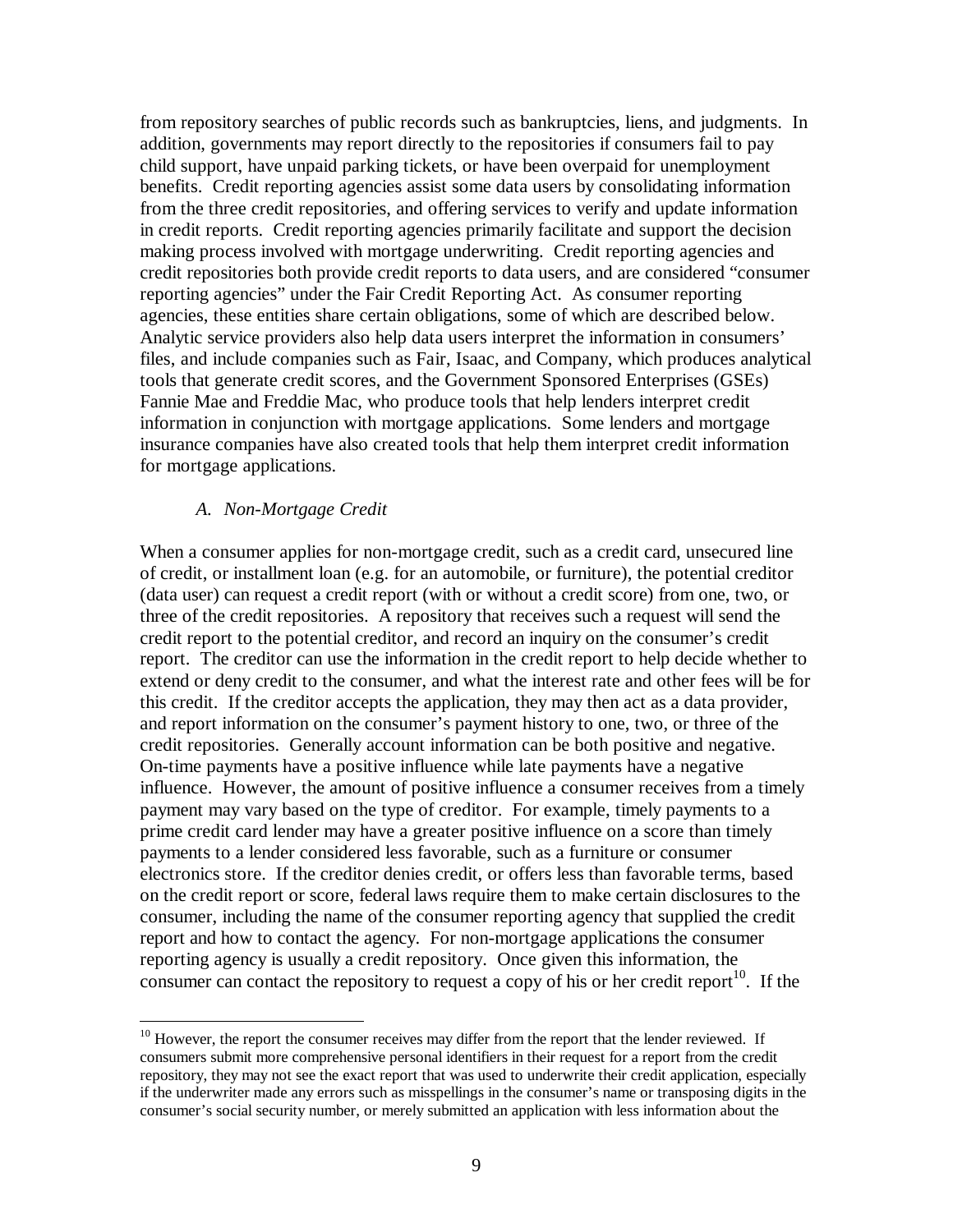from repository searches of public records such as bankruptcies, liens, and judgments. In addition, governments may report directly to the repositories if consumers fail to pay child support, have unpaid parking tickets, or have been overpaid for unemployment benefits. Credit reporting agencies assist some data users by consolidating information from the three credit repositories, and offering services to verify and update information in credit reports. Credit reporting agencies primarily facilitate and support the decision making process involved with mortgage underwriting. Credit reporting agencies and credit repositories both provide credit reports to data users, and are considered "consumer reporting agencies" under the Fair Credit Reporting Act. As consumer reporting agencies, these entities share certain obligations, some of which are described below. Analytic service providers also help data users interpret the information in consumers' files, and include companies such as Fair, Isaac, and Company, which produces analytical tools that generate credit scores, and the Government Sponsored Enterprises (GSEs) Fannie Mae and Freddie Mac, who produce tools that help lenders interpret credit information in conjunction with mortgage applications. Some lenders and mortgage insurance companies have also created tools that help them interpret credit information for mortgage applications.

### *A. Non-Mortgage Credit*

 $\overline{a}$ 

When a consumer applies for non-mortgage credit, such as a credit card, unsecured line of credit, or installment loan (e.g. for an automobile, or furniture), the potential creditor (data user) can request a credit report (with or without a credit score) from one, two, or three of the credit repositories. A repository that receives such a request will send the credit report to the potential creditor, and record an inquiry on the consumer's credit report. The creditor can use the information in the credit report to help decide whether to extend or deny credit to the consumer, and what the interest rate and other fees will be for this credit. If the creditor accepts the application, they may then act as a data provider, and report information on the consumer's payment history to one, two, or three of the credit repositories. Generally account information can be both positive and negative. On-time payments have a positive influence while late payments have a negative influence. However, the amount of positive influence a consumer receives from a timely payment may vary based on the type of creditor. For example, timely payments to a prime credit card lender may have a greater positive influence on a score than timely payments to a lender considered less favorable, such as a furniture or consumer electronics store. If the creditor denies credit, or offers less than favorable terms, based on the credit report or score, federal laws require them to make certain disclosures to the consumer, including the name of the consumer reporting agency that supplied the credit report and how to contact the agency. For non-mortgage applications the consumer reporting agency is usually a credit repository. Once given this information, the consumer can contact the repository to request a copy of his or her credit report<sup>10</sup>. If the

 $10$  However, the report the consumer receives may differ from the report that the lender reviewed. If consumers submit more comprehensive personal identifiers in their request for a report from the credit repository, they may not see the exact report that was used to underwrite their credit application, especially if the underwriter made any errors such as misspellings in the consumer's name or transposing digits in the consumer's social security number, or merely submitted an application with less information about the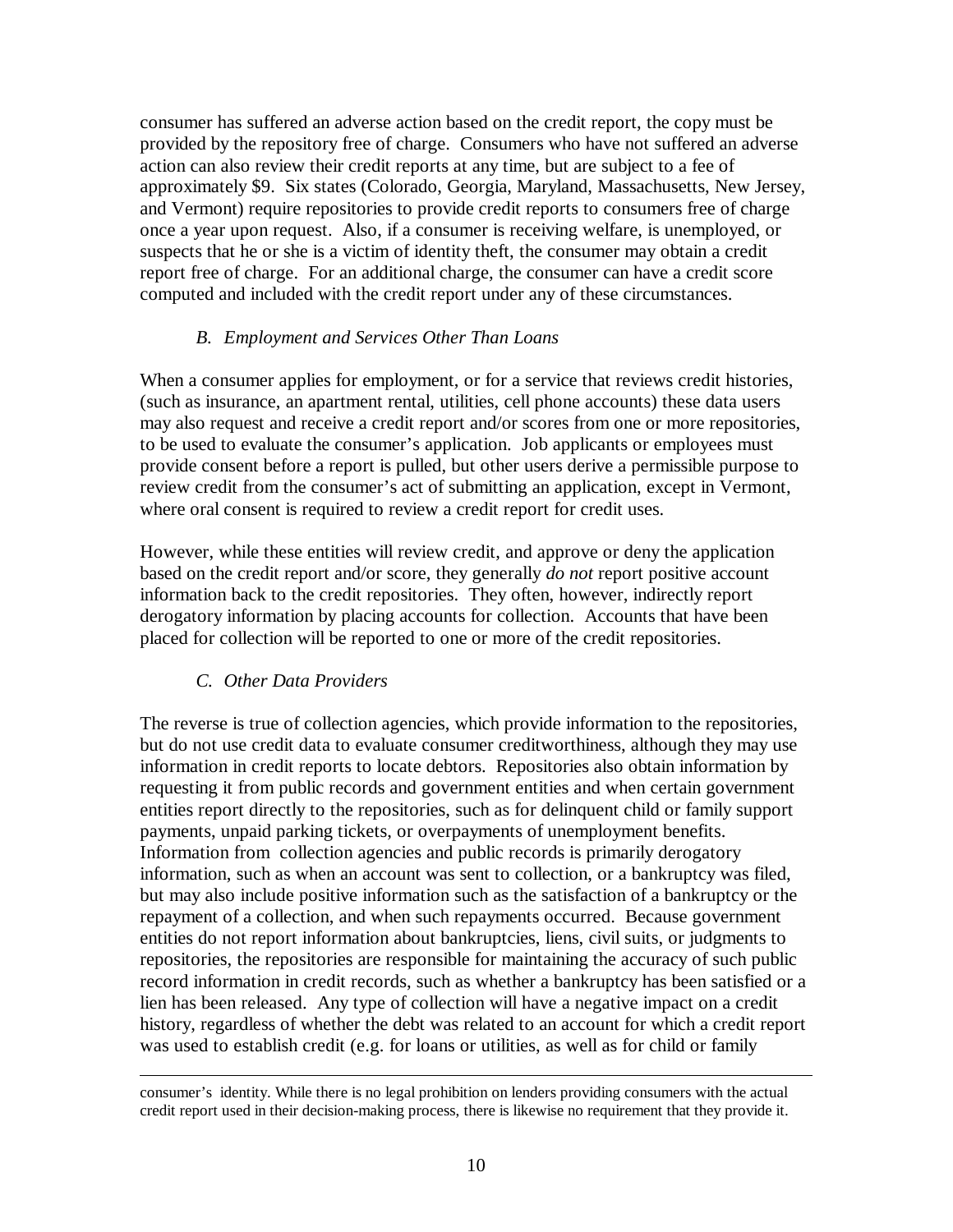consumer has suffered an adverse action based on the credit report, the copy must be provided by the repository free of charge. Consumers who have not suffered an adverse action can also review their credit reports at any time, but are subject to a fee of approximately \$9. Six states (Colorado, Georgia, Maryland, Massachusetts, New Jersey, and Vermont) require repositories to provide credit reports to consumers free of charge once a year upon request. Also, if a consumer is receiving welfare, is unemployed, or suspects that he or she is a victim of identity theft, the consumer may obtain a credit report free of charge. For an additional charge, the consumer can have a credit score computed and included with the credit report under any of these circumstances.

### *B. Employment and Services Other Than Loans*

When a consumer applies for employment, or for a service that reviews credit histories, (such as insurance, an apartment rental, utilities, cell phone accounts) these data users may also request and receive a credit report and/or scores from one or more repositories, to be used to evaluate the consumer's application. Job applicants or employees must provide consent before a report is pulled, but other users derive a permissible purpose to review credit from the consumer's act of submitting an application, except in Vermont, where oral consent is required to review a credit report for credit uses.

However, while these entities will review credit, and approve or deny the application based on the credit report and/or score, they generally *do not* report positive account information back to the credit repositories. They often, however, indirectly report derogatory information by placing accounts for collection. Accounts that have been placed for collection will be reported to one or more of the credit repositories.

## *C. Other Data Providers*

<u>.</u>

The reverse is true of collection agencies, which provide information to the repositories, but do not use credit data to evaluate consumer creditworthiness, although they may use information in credit reports to locate debtors. Repositories also obtain information by requesting it from public records and government entities and when certain government entities report directly to the repositories, such as for delinquent child or family support payments, unpaid parking tickets, or overpayments of unemployment benefits. Information from collection agencies and public records is primarily derogatory information, such as when an account was sent to collection, or a bankruptcy was filed, but may also include positive information such as the satisfaction of a bankruptcy or the repayment of a collection, and when such repayments occurred. Because government entities do not report information about bankruptcies, liens, civil suits, or judgments to repositories, the repositories are responsible for maintaining the accuracy of such public record information in credit records, such as whether a bankruptcy has been satisfied or a lien has been released. Any type of collection will have a negative impact on a credit history, regardless of whether the debt was related to an account for which a credit report was used to establish credit (e.g. for loans or utilities, as well as for child or family

consumer's identity. While there is no legal prohibition on lenders providing consumers with the actual credit report used in their decision-making process, there is likewise no requirement that they provide it.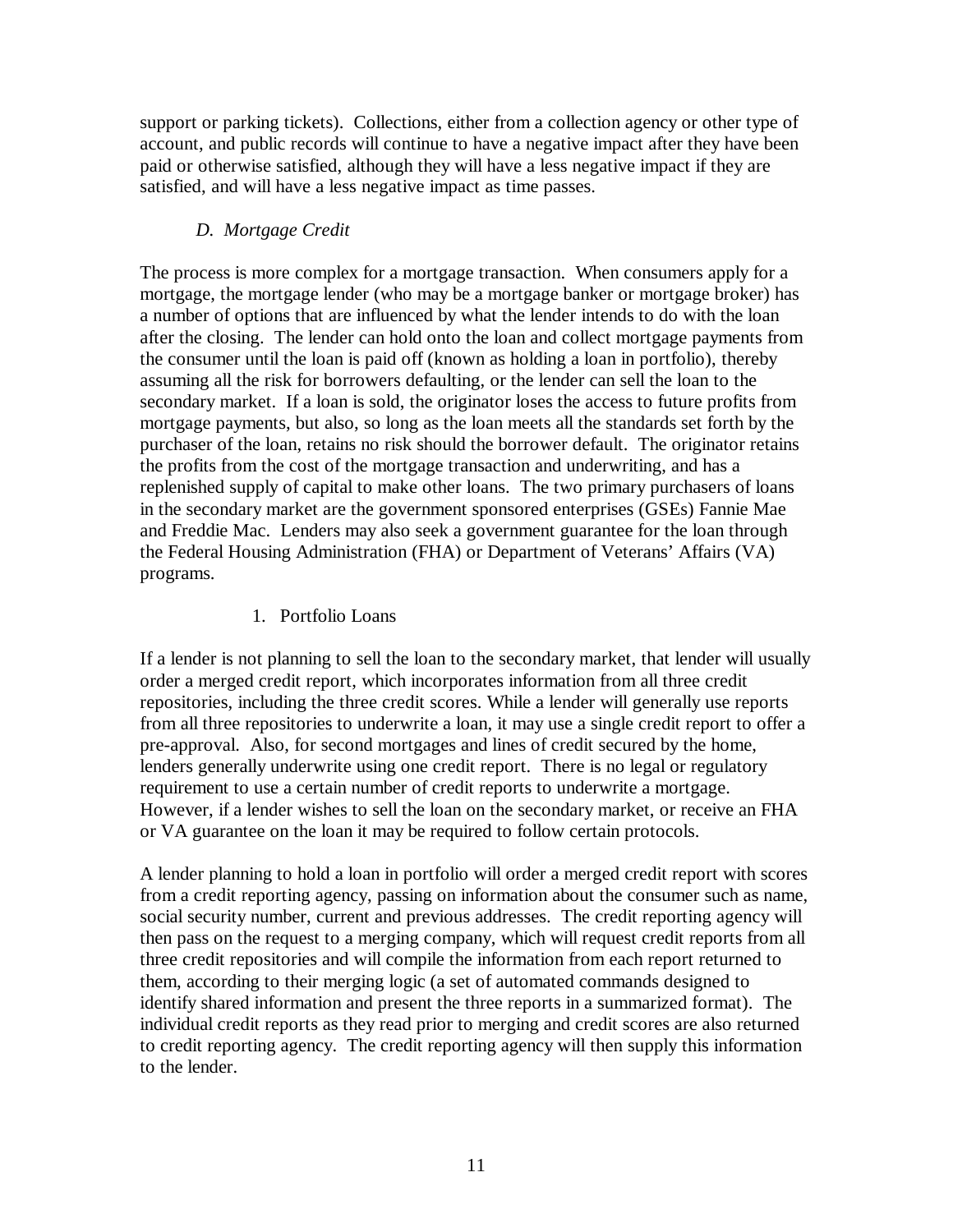support or parking tickets). Collections, either from a collection agency or other type of account, and public records will continue to have a negative impact after they have been paid or otherwise satisfied, although they will have a less negative impact if they are satisfied, and will have a less negative impact as time passes.

# *D. Mortgage Credit*

The process is more complex for a mortgage transaction. When consumers apply for a mortgage, the mortgage lender (who may be a mortgage banker or mortgage broker) has a number of options that are influenced by what the lender intends to do with the loan after the closing. The lender can hold onto the loan and collect mortgage payments from the consumer until the loan is paid off (known as holding a loan in portfolio), thereby assuming all the risk for borrowers defaulting, or the lender can sell the loan to the secondary market. If a loan is sold, the originator loses the access to future profits from mortgage payments, but also, so long as the loan meets all the standards set forth by the purchaser of the loan, retains no risk should the borrower default. The originator retains the profits from the cost of the mortgage transaction and underwriting, and has a replenished supply of capital to make other loans. The two primary purchasers of loans in the secondary market are the government sponsored enterprises (GSEs) Fannie Mae and Freddie Mac. Lenders may also seek a government guarantee for the loan through the Federal Housing Administration (FHA) or Department of Veterans' Affairs (VA) programs.

## 1. Portfolio Loans

If a lender is not planning to sell the loan to the secondary market, that lender will usually order a merged credit report, which incorporates information from all three credit repositories, including the three credit scores. While a lender will generally use reports from all three repositories to underwrite a loan, it may use a single credit report to offer a pre-approval. Also, for second mortgages and lines of credit secured by the home, lenders generally underwrite using one credit report. There is no legal or regulatory requirement to use a certain number of credit reports to underwrite a mortgage. However, if a lender wishes to sell the loan on the secondary market, or receive an FHA or VA guarantee on the loan it may be required to follow certain protocols.

A lender planning to hold a loan in portfolio will order a merged credit report with scores from a credit reporting agency, passing on information about the consumer such as name, social security number, current and previous addresses. The credit reporting agency will then pass on the request to a merging company, which will request credit reports from all three credit repositories and will compile the information from each report returned to them, according to their merging logic (a set of automated commands designed to identify shared information and present the three reports in a summarized format). The individual credit reports as they read prior to merging and credit scores are also returned to credit reporting agency. The credit reporting agency will then supply this information to the lender.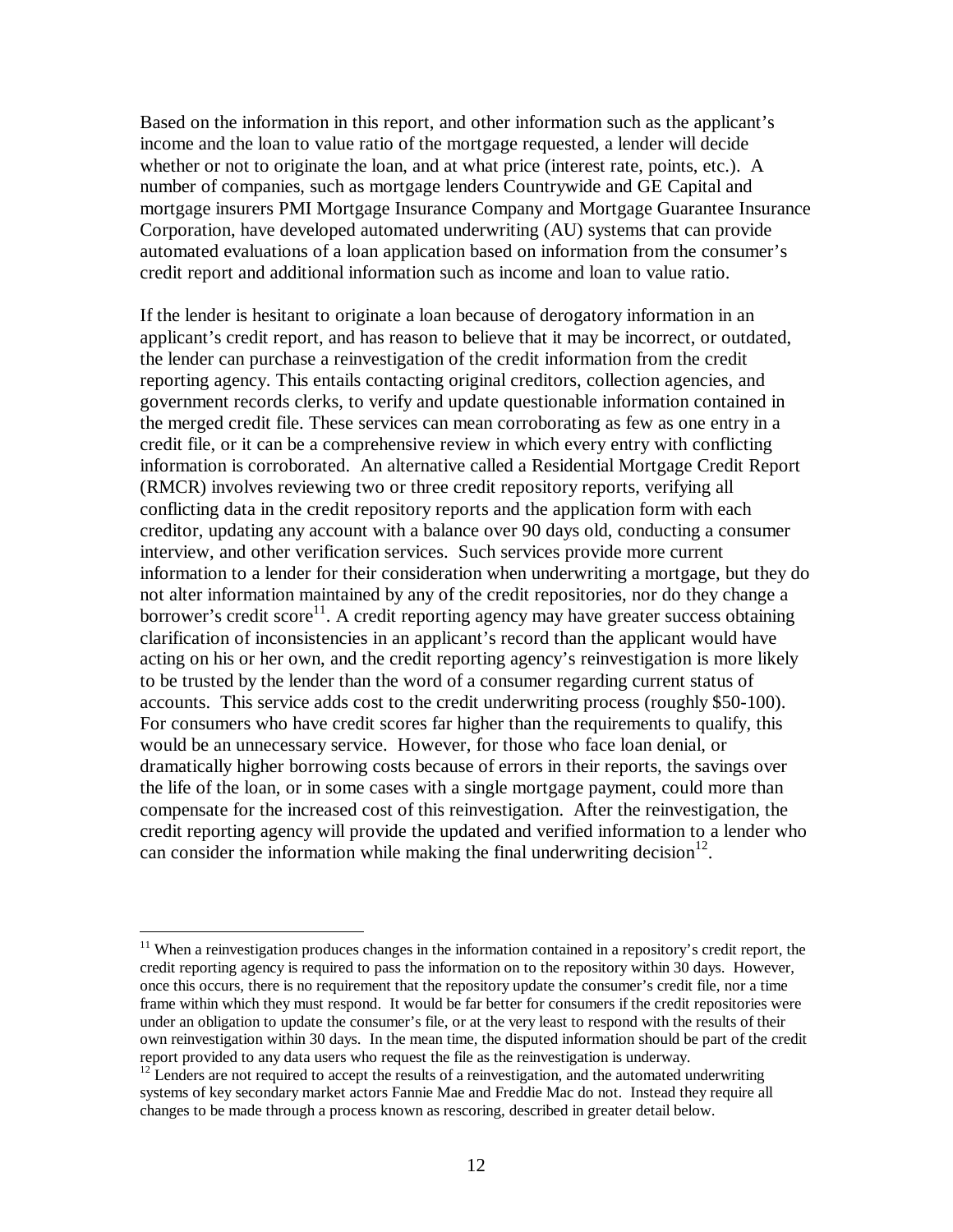Based on the information in this report, and other information such as the applicant's income and the loan to value ratio of the mortgage requested, a lender will decide whether or not to originate the loan, and at what price (interest rate, points, etc.). A number of companies, such as mortgage lenders Countrywide and GE Capital and mortgage insurers PMI Mortgage Insurance Company and Mortgage Guarantee Insurance Corporation, have developed automated underwriting (AU) systems that can provide automated evaluations of a loan application based on information from the consumer's credit report and additional information such as income and loan to value ratio.

If the lender is hesitant to originate a loan because of derogatory information in an applicant's credit report, and has reason to believe that it may be incorrect, or outdated, the lender can purchase a reinvestigation of the credit information from the credit reporting agency. This entails contacting original creditors, collection agencies, and government records clerks, to verify and update questionable information contained in the merged credit file. These services can mean corroborating as few as one entry in a credit file, or it can be a comprehensive review in which every entry with conflicting information is corroborated. An alternative called a Residential Mortgage Credit Report (RMCR) involves reviewing two or three credit repository reports, verifying all conflicting data in the credit repository reports and the application form with each creditor, updating any account with a balance over 90 days old, conducting a consumer interview, and other verification services. Such services provide more current information to a lender for their consideration when underwriting a mortgage, but they do not alter information maintained by any of the credit repositories, nor do they change a borrower's credit score<sup>11</sup>. A credit reporting agency may have greater success obtaining clarification of inconsistencies in an applicant's record than the applicant would have acting on his or her own, and the credit reporting agency's reinvestigation is more likely to be trusted by the lender than the word of a consumer regarding current status of accounts. This service adds cost to the credit underwriting process (roughly \$50-100). For consumers who have credit scores far higher than the requirements to qualify, this would be an unnecessary service. However, for those who face loan denial, or dramatically higher borrowing costs because of errors in their reports, the savings over the life of the loan, or in some cases with a single mortgage payment, could more than compensate for the increased cost of this reinvestigation. After the reinvestigation, the credit reporting agency will provide the updated and verified information to a lender who can consider the information while making the final underwriting decision $^{12}$ .

<u>.</u>

<sup>&</sup>lt;sup>11</sup> When a reinvestigation produces changes in the information contained in a repository's credit report, the credit reporting agency is required to pass the information on to the repository within 30 days. However, once this occurs, there is no requirement that the repository update the consumer's credit file, nor a time frame within which they must respond. It would be far better for consumers if the credit repositories were under an obligation to update the consumer's file, or at the very least to respond with the results of their own reinvestigation within 30 days. In the mean time, the disputed information should be part of the credit report provided to any data users who request the file as the reinvestigation is underway.

 $12$  Lenders are not required to accept the results of a reinvestigation, and the automated underwriting systems of key secondary market actors Fannie Mae and Freddie Mac do not. Instead they require all changes to be made through a process known as rescoring, described in greater detail below.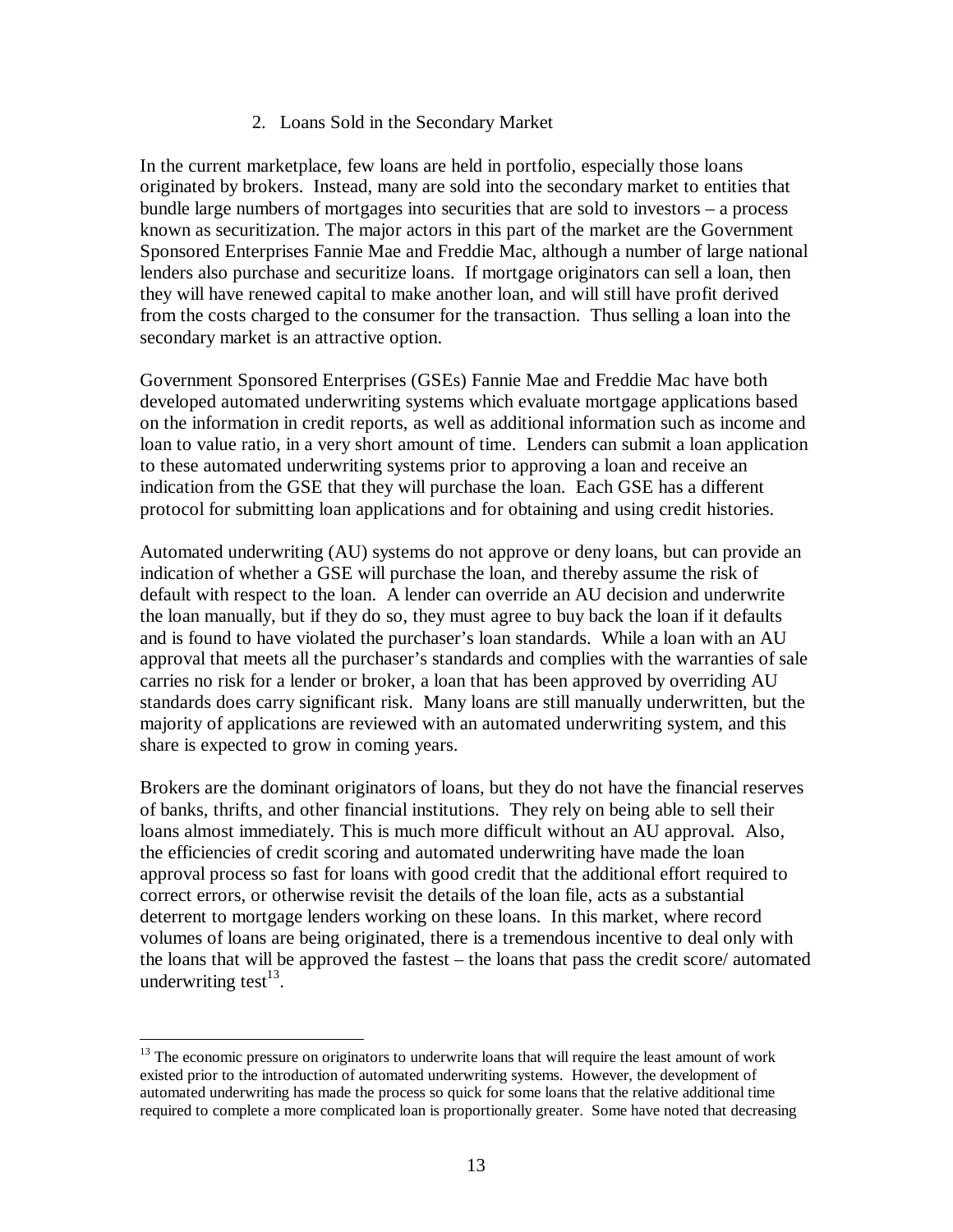### 2. Loans Sold in the Secondary Market

In the current marketplace, few loans are held in portfolio, especially those loans originated by brokers. Instead, many are sold into the secondary market to entities that bundle large numbers of mortgages into securities that are sold to investors – a process known as securitization. The major actors in this part of the market are the Government Sponsored Enterprises Fannie Mae and Freddie Mac, although a number of large national lenders also purchase and securitize loans. If mortgage originators can sell a loan, then they will have renewed capital to make another loan, and will still have profit derived from the costs charged to the consumer for the transaction. Thus selling a loan into the secondary market is an attractive option.

Government Sponsored Enterprises (GSEs) Fannie Mae and Freddie Mac have both developed automated underwriting systems which evaluate mortgage applications based on the information in credit reports, as well as additional information such as income and loan to value ratio, in a very short amount of time. Lenders can submit a loan application to these automated underwriting systems prior to approving a loan and receive an indication from the GSE that they will purchase the loan. Each GSE has a different protocol for submitting loan applications and for obtaining and using credit histories.

Automated underwriting (AU) systems do not approve or deny loans, but can provide an indication of whether a GSE will purchase the loan, and thereby assume the risk of default with respect to the loan. A lender can override an AU decision and underwrite the loan manually, but if they do so, they must agree to buy back the loan if it defaults and is found to have violated the purchaser's loan standards. While a loan with an AU approval that meets all the purchaser's standards and complies with the warranties of sale carries no risk for a lender or broker, a loan that has been approved by overriding AU standards does carry significant risk. Many loans are still manually underwritten, but the majority of applications are reviewed with an automated underwriting system, and this share is expected to grow in coming years.

Brokers are the dominant originators of loans, but they do not have the financial reserves of banks, thrifts, and other financial institutions. They rely on being able to sell their loans almost immediately. This is much more difficult without an AU approval. Also, the efficiencies of credit scoring and automated underwriting have made the loan approval process so fast for loans with good credit that the additional effort required to correct errors, or otherwise revisit the details of the loan file, acts as a substantial deterrent to mortgage lenders working on these loans. In this market, where record volumes of loans are being originated, there is a tremendous incentive to deal only with the loans that will be approved the fastest – the loans that pass the credit score/ automated underwriting test $^{13}$ .

 $\overline{a}$ 

<sup>&</sup>lt;sup>13</sup> The economic pressure on originators to underwrite loans that will require the least amount of work existed prior to the introduction of automated underwriting systems. However, the development of automated underwriting has made the process so quick for some loans that the relative additional time required to complete a more complicated loan is proportionally greater. Some have noted that decreasing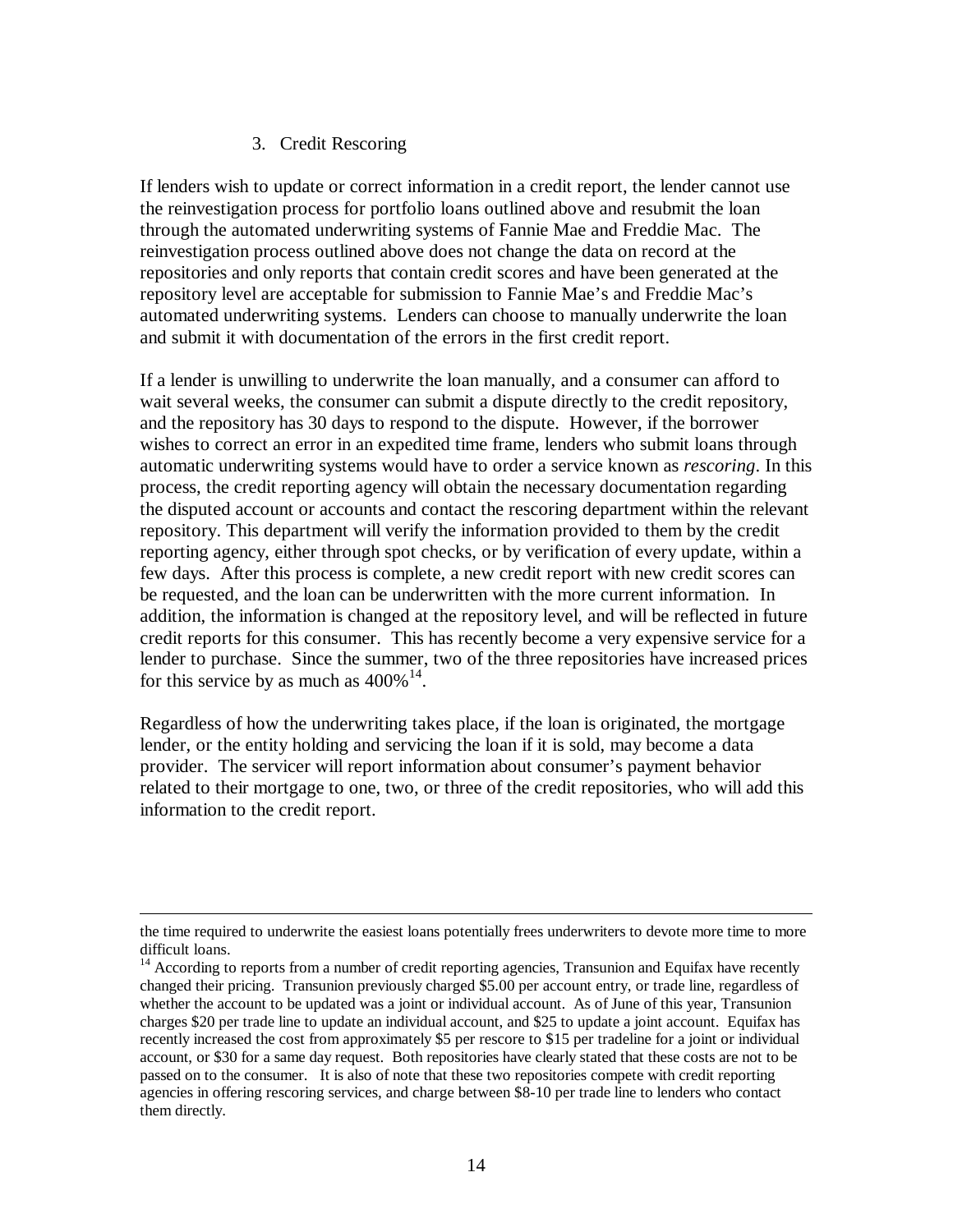### 3. Credit Rescoring

If lenders wish to update or correct information in a credit report, the lender cannot use the reinvestigation process for portfolio loans outlined above and resubmit the loan through the automated underwriting systems of Fannie Mae and Freddie Mac. The reinvestigation process outlined above does not change the data on record at the repositories and only reports that contain credit scores and have been generated at the repository level are acceptable for submission to Fannie Mae's and Freddie Mac's automated underwriting systems. Lenders can choose to manually underwrite the loan and submit it with documentation of the errors in the first credit report.

If a lender is unwilling to underwrite the loan manually, and a consumer can afford to wait several weeks, the consumer can submit a dispute directly to the credit repository, and the repository has 30 days to respond to the dispute. However, if the borrower wishes to correct an error in an expedited time frame, lenders who submit loans through automatic underwriting systems would have to order a service known as *rescoring*. In this process, the credit reporting agency will obtain the necessary documentation regarding the disputed account or accounts and contact the rescoring department within the relevant repository. This department will verify the information provided to them by the credit reporting agency, either through spot checks, or by verification of every update, within a few days. After this process is complete, a new credit report with new credit scores can be requested, and the loan can be underwritten with the more current information. In addition, the information is changed at the repository level, and will be reflected in future credit reports for this consumer. This has recently become a very expensive service for a lender to purchase. Since the summer, two of the three repositories have increased prices for this service by as much as  $400\%$ <sup>14</sup>.

Regardless of how the underwriting takes place, if the loan is originated, the mortgage lender, or the entity holding and servicing the loan if it is sold, may become a data provider. The servicer will report information about consumer's payment behavior related to their mortgage to one, two, or three of the credit repositories, who will add this information to the credit report.

 $\overline{a}$ 

the time required to underwrite the easiest loans potentially frees underwriters to devote more time to more difficult loans.

<sup>&</sup>lt;sup>14</sup> According to reports from a number of credit reporting agencies, Transunion and Equifax have recently changed their pricing. Transunion previously charged \$5.00 per account entry, or trade line, regardless of whether the account to be updated was a joint or individual account. As of June of this year, Transunion charges \$20 per trade line to update an individual account, and \$25 to update a joint account. Equifax has recently increased the cost from approximately \$5 per rescore to \$15 per tradeline for a joint or individual account, or \$30 for a same day request. Both repositories have clearly stated that these costs are not to be passed on to the consumer. It is also of note that these two repositories compete with credit reporting agencies in offering rescoring services, and charge between \$8-10 per trade line to lenders who contact them directly.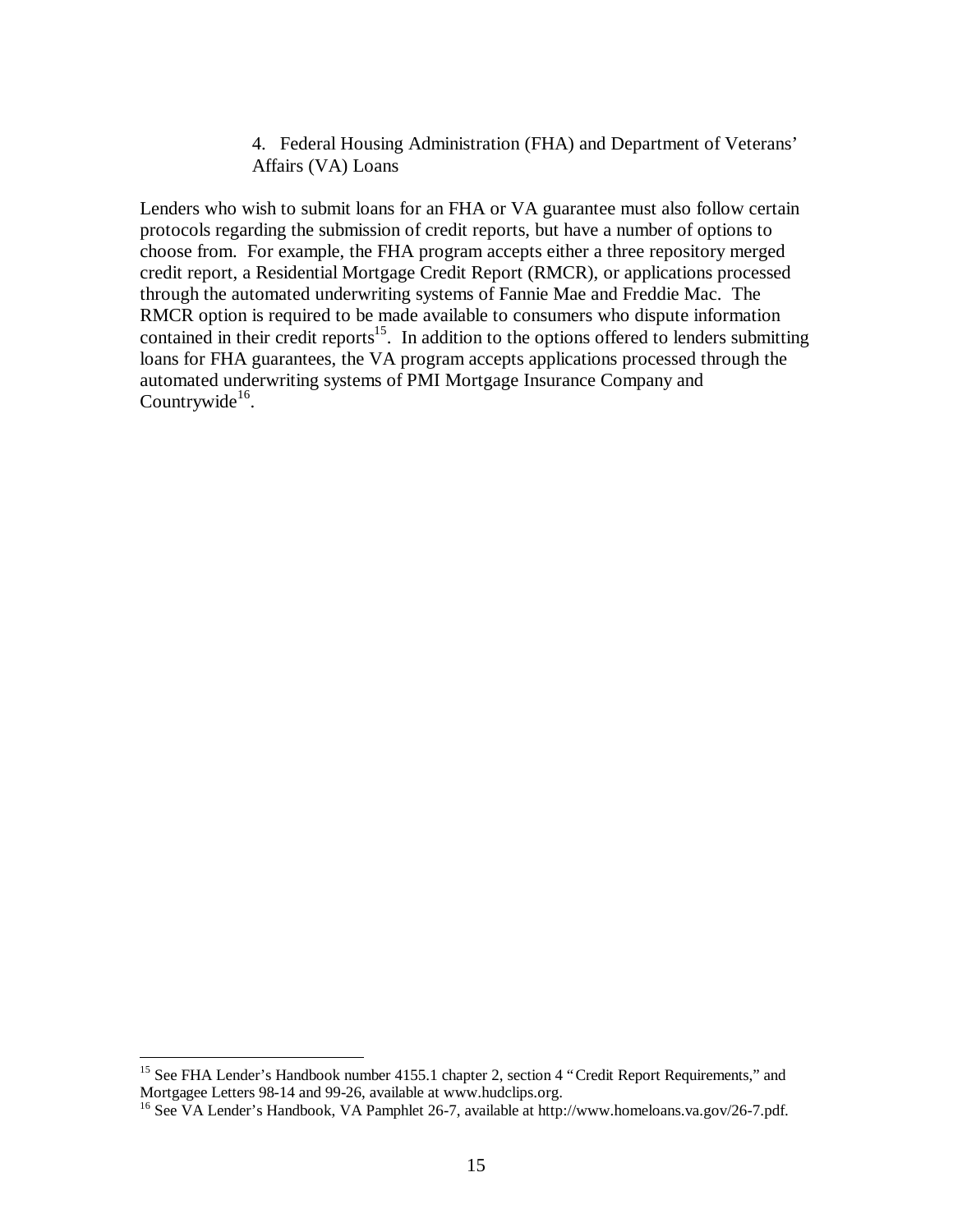4. Federal Housing Administration (FHA) and Department of Veterans' Affairs (VA) Loans

Lenders who wish to submit loans for an FHA or VA guarantee must also follow certain protocols regarding the submission of credit reports, but have a number of options to choose from. For example, the FHA program accepts either a three repository merged credit report, a Residential Mortgage Credit Report (RMCR), or applications processed through the automated underwriting systems of Fannie Mae and Freddie Mac. The RMCR option is required to be made available to consumers who dispute information contained in their credit reports<sup>15</sup>. In addition to the options offered to lenders submitting loans for FHA guarantees, the VA program accepts applications processed through the automated underwriting systems of PMI Mortgage Insurance Company and Countrywide $^{16}$ .

<u>.</u>

<sup>&</sup>lt;sup>15</sup> See FHA Lender's Handbook number 4155.1 chapter 2, section 4 "Credit Report Requirements," and Mortgagee Letters 98-14 and 99-26, available at www.hudclips.org.

<sup>&</sup>lt;sup>16</sup> See VA Lender's Handbook, VA Pamphlet 26-7, available at http://www.homeloans.va.gov/26-7.pdf.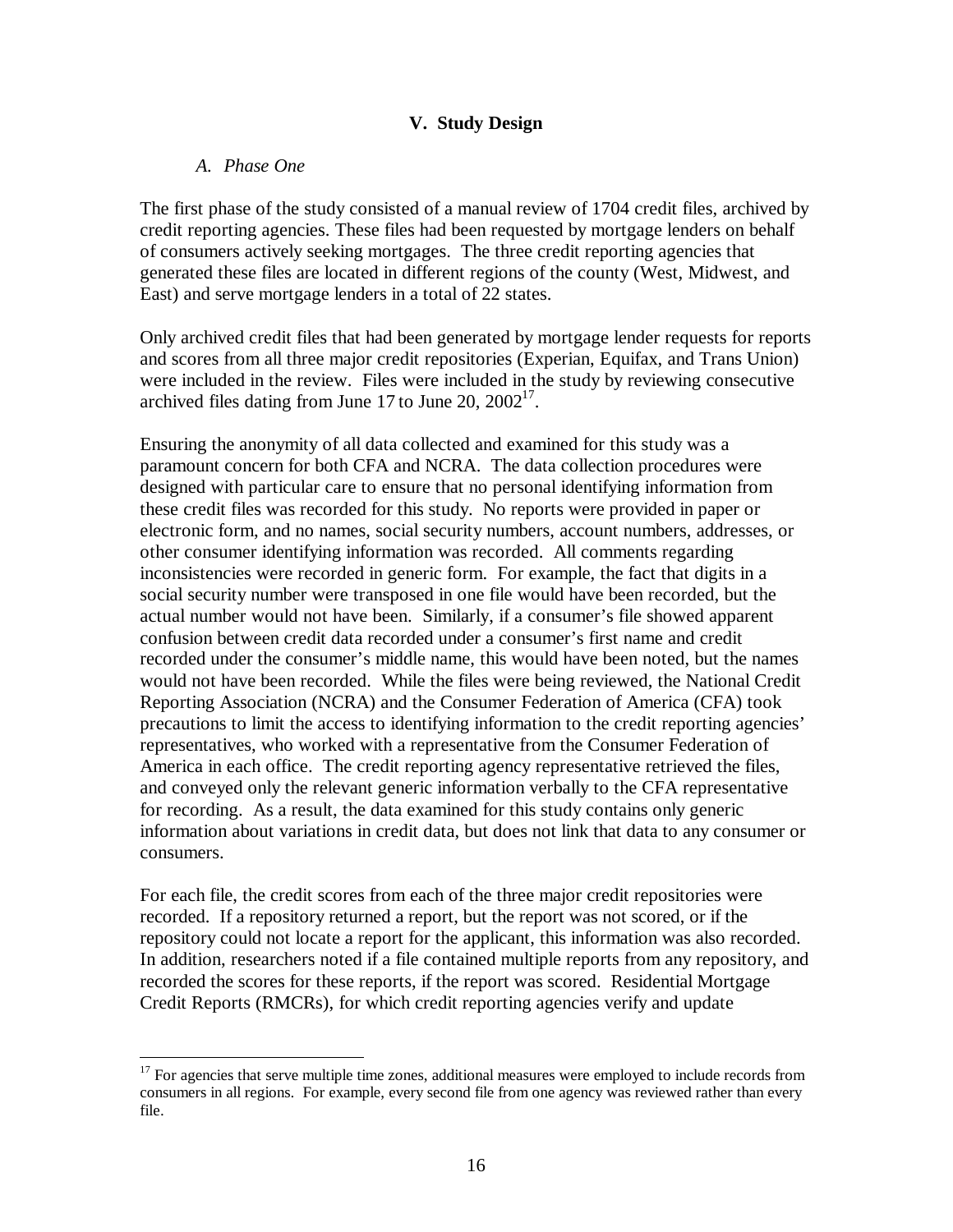### **V. Study Design**

### *A. Phase One*

 $\overline{a}$ 

The first phase of the study consisted of a manual review of 1704 credit files, archived by credit reporting agencies. These files had been requested by mortgage lenders on behalf of consumers actively seeking mortgages. The three credit reporting agencies that generated these files are located in different regions of the county (West, Midwest, and East) and serve mortgage lenders in a total of 22 states.

Only archived credit files that had been generated by mortgage lender requests for reports and scores from all three major credit repositories (Experian, Equifax, and Trans Union) were included in the review. Files were included in the study by reviewing consecutive archived files dating from June 17 to June 20,  $2002<sup>17</sup>$ .

Ensuring the anonymity of all data collected and examined for this study was a paramount concern for both CFA and NCRA. The data collection procedures were designed with particular care to ensure that no personal identifying information from these credit files was recorded for this study. No reports were provided in paper or electronic form, and no names, social security numbers, account numbers, addresses, or other consumer identifying information was recorded. All comments regarding inconsistencies were recorded in generic form. For example, the fact that digits in a social security number were transposed in one file would have been recorded, but the actual number would not have been. Similarly, if a consumer's file showed apparent confusion between credit data recorded under a consumer's first name and credit recorded under the consumer's middle name, this would have been noted, but the names would not have been recorded. While the files were being reviewed, the National Credit Reporting Association (NCRA) and the Consumer Federation of America (CFA) took precautions to limit the access to identifying information to the credit reporting agencies' representatives, who worked with a representative from the Consumer Federation of America in each office. The credit reporting agency representative retrieved the files, and conveyed only the relevant generic information verbally to the CFA representative for recording. As a result, the data examined for this study contains only generic information about variations in credit data, but does not link that data to any consumer or consumers.

For each file, the credit scores from each of the three major credit repositories were recorded. If a repository returned a report, but the report was not scored, or if the repository could not locate a report for the applicant, this information was also recorded. In addition, researchers noted if a file contained multiple reports from any repository, and recorded the scores for these reports, if the report was scored. Residential Mortgage Credit Reports (RMCRs), for which credit reporting agencies verify and update

 $17$  For agencies that serve multiple time zones, additional measures were employed to include records from consumers in all regions. For example, every second file from one agency was reviewed rather than every file.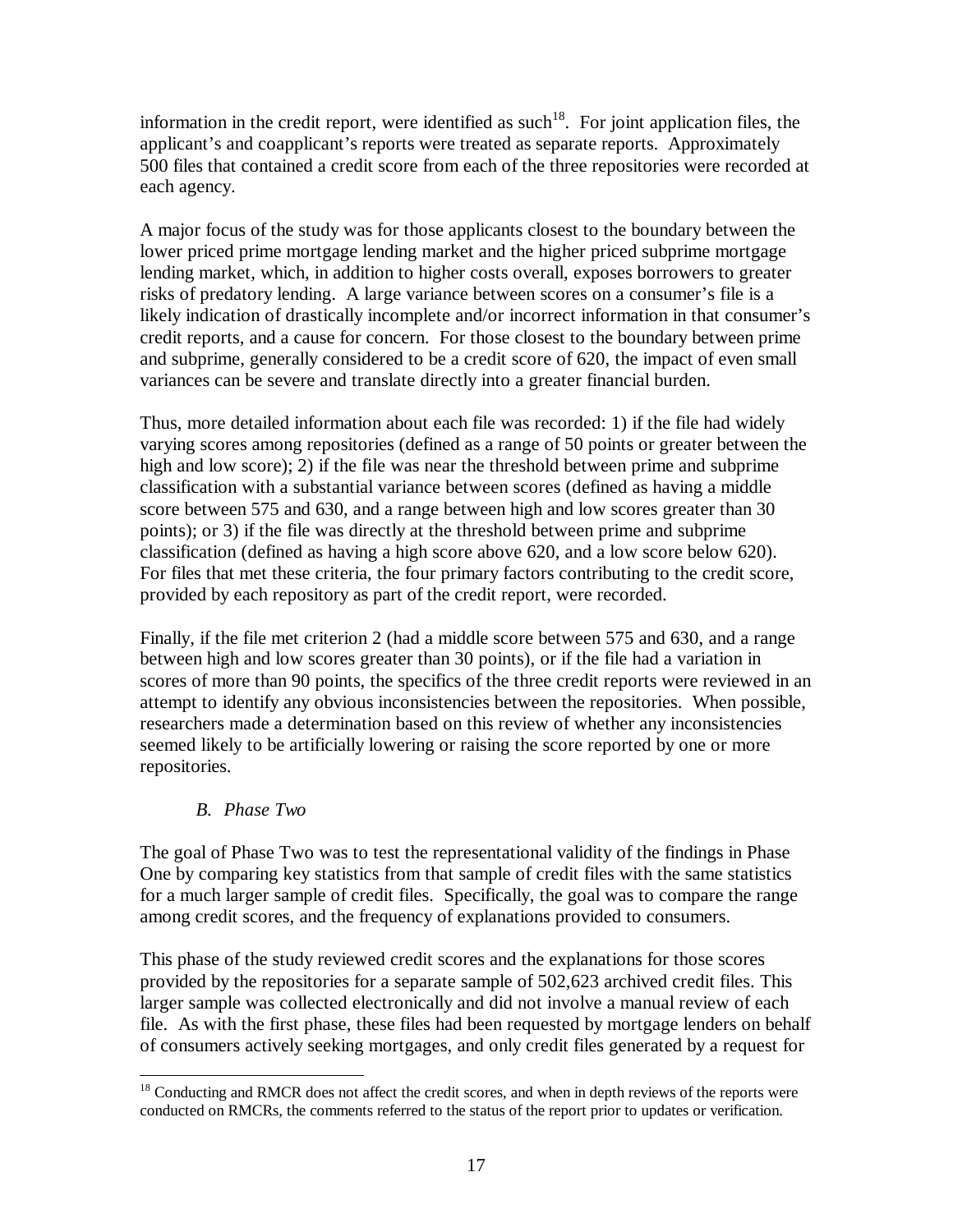information in the credit report, were identified as such<sup>18</sup>. For joint application files, the applicant's and coapplicant's reports were treated as separate reports. Approximately 500 files that contained a credit score from each of the three repositories were recorded at each agency.

A major focus of the study was for those applicants closest to the boundary between the lower priced prime mortgage lending market and the higher priced subprime mortgage lending market, which, in addition to higher costs overall, exposes borrowers to greater risks of predatory lending. A large variance between scores on a consumer's file is a likely indication of drastically incomplete and/or incorrect information in that consumer's credit reports, and a cause for concern. For those closest to the boundary between prime and subprime, generally considered to be a credit score of 620, the impact of even small variances can be severe and translate directly into a greater financial burden.

Thus, more detailed information about each file was recorded: 1) if the file had widely varying scores among repositories (defined as a range of 50 points or greater between the high and low score); 2) if the file was near the threshold between prime and subprime classification with a substantial variance between scores (defined as having a middle score between 575 and 630, and a range between high and low scores greater than 30 points); or 3) if the file was directly at the threshold between prime and subprime classification (defined as having a high score above 620, and a low score below 620). For files that met these criteria, the four primary factors contributing to the credit score, provided by each repository as part of the credit report, were recorded.

Finally, if the file met criterion 2 (had a middle score between 575 and 630, and a range between high and low scores greater than 30 points), or if the file had a variation in scores of more than 90 points, the specifics of the three credit reports were reviewed in an attempt to identify any obvious inconsistencies between the repositories. When possible, researchers made a determination based on this review of whether any inconsistencies seemed likely to be artificially lowering or raising the score reported by one or more repositories.

## *B. Phase Two*

The goal of Phase Two was to test the representational validity of the findings in Phase One by comparing key statistics from that sample of credit files with the same statistics for a much larger sample of credit files. Specifically, the goal was to compare the range among credit scores, and the frequency of explanations provided to consumers.

This phase of the study reviewed credit scores and the explanations for those scores provided by the repositories for a separate sample of 502,623 archived credit files. This larger sample was collected electronically and did not involve a manual review of each file. As with the first phase, these files had been requested by mortgage lenders on behalf of consumers actively seeking mortgages, and only credit files generated by a request for

 $\overline{a}$ <sup>18</sup> Conducting and RMCR does not affect the credit scores, and when in depth reviews of the reports were conducted on RMCRs, the comments referred to the status of the report prior to updates or verification.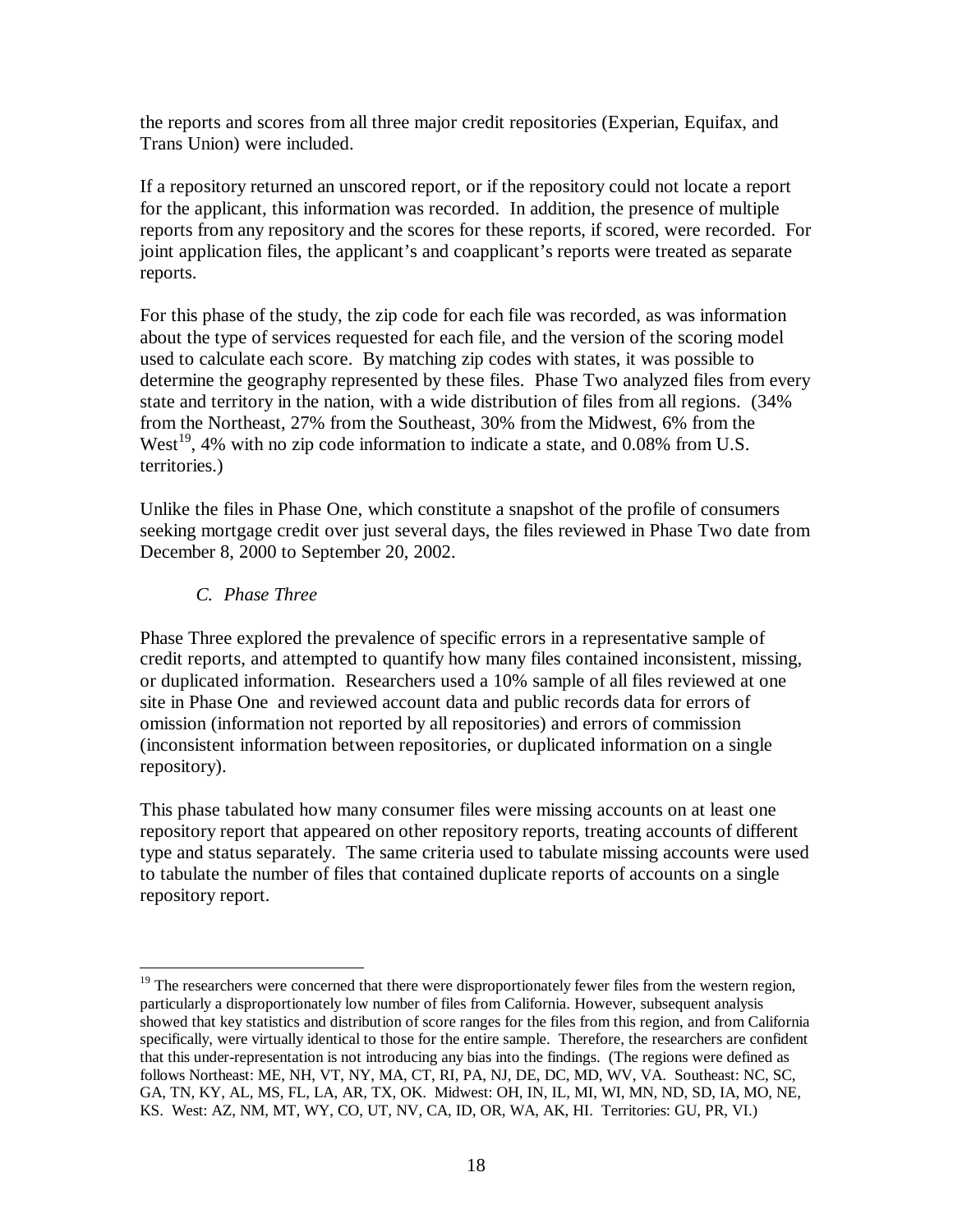the reports and scores from all three major credit repositories (Experian, Equifax, and Trans Union) were included.

If a repository returned an unscored report, or if the repository could not locate a report for the applicant, this information was recorded. In addition, the presence of multiple reports from any repository and the scores for these reports, if scored, were recorded. For joint application files, the applicant's and coapplicant's reports were treated as separate reports.

For this phase of the study, the zip code for each file was recorded, as was information about the type of services requested for each file, and the version of the scoring model used to calculate each score. By matching zip codes with states, it was possible to determine the geography represented by these files. Phase Two analyzed files from every state and territory in the nation, with a wide distribution of files from all regions. (34% from the Northeast, 27% from the Southeast, 30% from the Midwest, 6% from the West<sup>19</sup>, 4% with no zip code information to indicate a state, and 0.08% from U.S. territories.)

Unlike the files in Phase One, which constitute a snapshot of the profile of consumers seeking mortgage credit over just several days, the files reviewed in Phase Two date from December 8, 2000 to September 20, 2002.

## *C. Phase Three*

Phase Three explored the prevalence of specific errors in a representative sample of credit reports, and attempted to quantify how many files contained inconsistent, missing, or duplicated information. Researchers used a 10% sample of all files reviewed at one site in Phase One and reviewed account data and public records data for errors of omission (information not reported by all repositories) and errors of commission (inconsistent information between repositories, or duplicated information on a single repository).

This phase tabulated how many consumer files were missing accounts on at least one repository report that appeared on other repository reports, treating accounts of different type and status separately. The same criteria used to tabulate missing accounts were used to tabulate the number of files that contained duplicate reports of accounts on a single repository report.

<sup>1</sup> <sup>19</sup> The researchers were concerned that there were disproportionately fewer files from the western region, particularly a disproportionately low number of files from California. However, subsequent analysis showed that key statistics and distribution of score ranges for the files from this region, and from California specifically, were virtually identical to those for the entire sample. Therefore, the researchers are confident that this under-representation is not introducing any bias into the findings. (The regions were defined as follows Northeast: ME, NH, VT, NY, MA, CT, RI, PA, NJ, DE, DC, MD, WV, VA. Southeast: NC, SC, GA, TN, KY, AL, MS, FL, LA, AR, TX, OK. Midwest: OH, IN, IL, MI, WI, MN, ND, SD, IA, MO, NE, KS. West: AZ, NM, MT, WY, CO, UT, NV, CA, ID, OR, WA, AK, HI. Territories: GU, PR, VI.)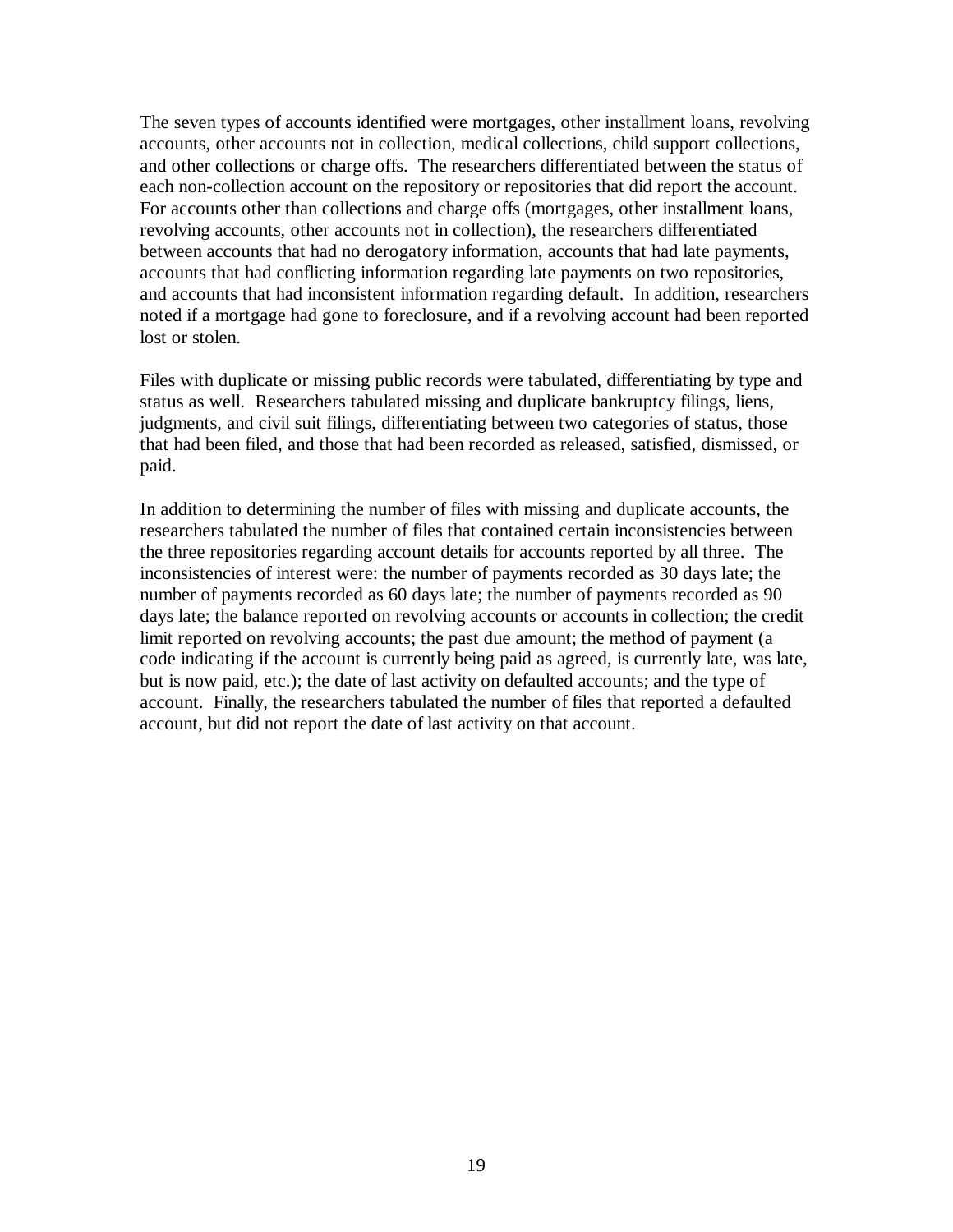The seven types of accounts identified were mortgages, other installment loans, revolving accounts, other accounts not in collection, medical collections, child support collections, and other collections or charge offs. The researchers differentiated between the status of each non-collection account on the repository or repositories that did report the account. For accounts other than collections and charge offs (mortgages, other installment loans, revolving accounts, other accounts not in collection), the researchers differentiated between accounts that had no derogatory information, accounts that had late payments, accounts that had conflicting information regarding late payments on two repositories, and accounts that had inconsistent information regarding default. In addition, researchers noted if a mortgage had gone to foreclosure, and if a revolving account had been reported lost or stolen.

Files with duplicate or missing public records were tabulated, differentiating by type and status as well. Researchers tabulated missing and duplicate bankruptcy filings, liens, judgments, and civil suit filings, differentiating between two categories of status, those that had been filed, and those that had been recorded as released, satisfied, dismissed, or paid.

In addition to determining the number of files with missing and duplicate accounts, the researchers tabulated the number of files that contained certain inconsistencies between the three repositories regarding account details for accounts reported by all three. The inconsistencies of interest were: the number of payments recorded as 30 days late; the number of payments recorded as 60 days late; the number of payments recorded as 90 days late; the balance reported on revolving accounts or accounts in collection; the credit limit reported on revolving accounts; the past due amount; the method of payment (a code indicating if the account is currently being paid as agreed, is currently late, was late, but is now paid, etc.); the date of last activity on defaulted accounts; and the type of account. Finally, the researchers tabulated the number of files that reported a defaulted account, but did not report the date of last activity on that account.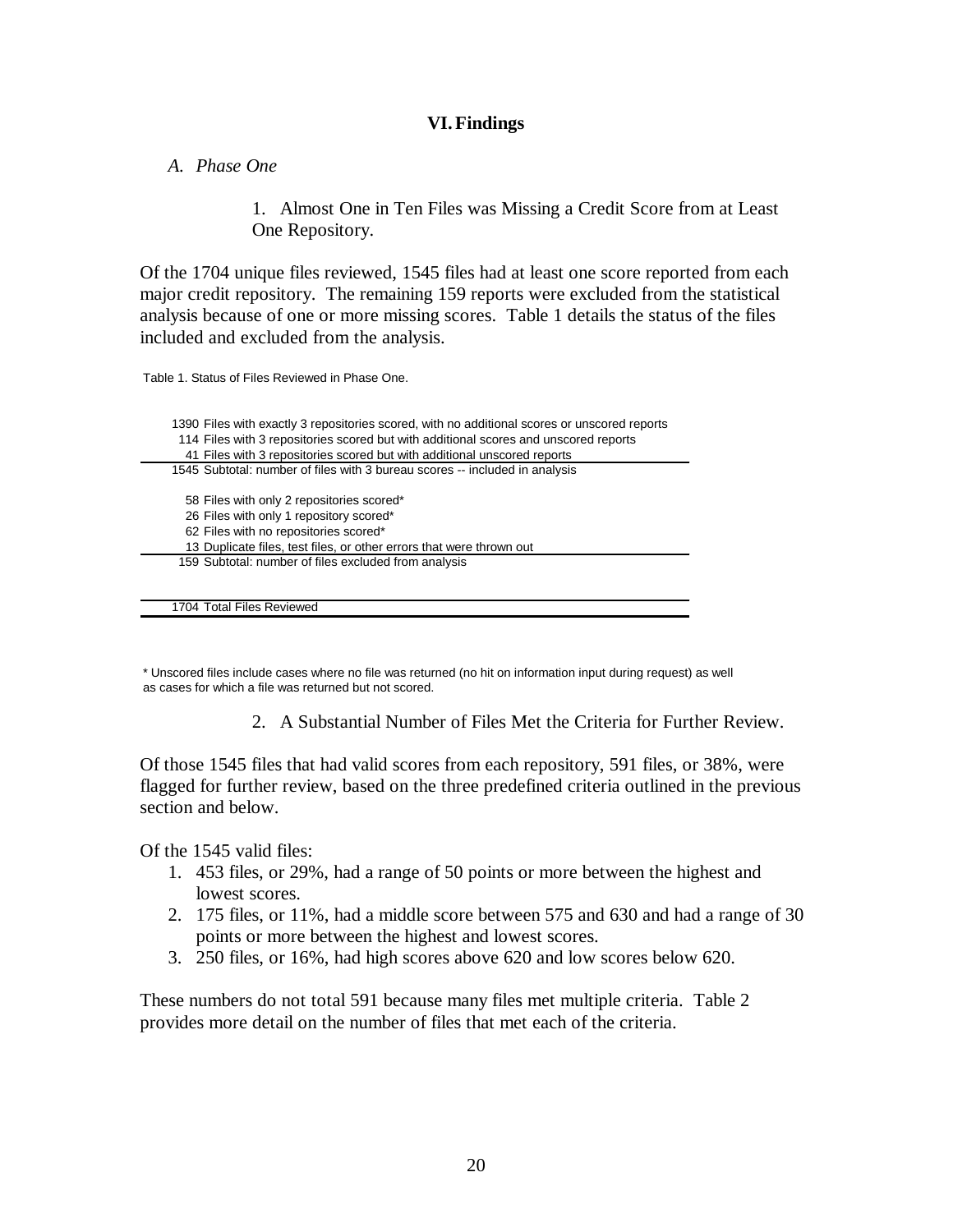### **VI.Findings**

### *A. Phase One*

1. Almost One in Ten Files was Missing a Credit Score from at Least One Repository.

Of the 1704 unique files reviewed, 1545 files had at least one score reported from each major credit repository. The remaining 159 reports were excluded from the statistical analysis because of one or more missing scores. Table 1 details the status of the files included and excluded from the analysis.

Table 1. Status of Files Reviewed in Phase One.

| 1390 Files with exactly 3 repositories scored, with no additional scores or unscored reports<br>114 Files with 3 repositories scored but with additional scores and unscored reports<br>41 Files with 3 repositories scored but with additional unscored reports |
|------------------------------------------------------------------------------------------------------------------------------------------------------------------------------------------------------------------------------------------------------------------|
| 1545 Subtotal: number of files with 3 bureau scores -- included in analysis                                                                                                                                                                                      |
| 58 Files with only 2 repositories scored*<br>26 Files with only 1 repository scored*<br>62 Files with no repositories scored*<br>13 Duplicate files, test files, or other errors that were thrown out                                                            |
| 159 Subtotal: number of files excluded from analysis                                                                                                                                                                                                             |

\* Unscored files include cases where no file was returned (no hit on information input during request) as well as cases for which a file was returned but not scored.

2. A Substantial Number of Files Met the Criteria for Further Review.

Of those 1545 files that had valid scores from each repository, 591 files, or 38%, were flagged for further review, based on the three predefined criteria outlined in the previous section and below.

Of the 1545 valid files:

1704 Total Files Reviewed

- 1. 453 files, or 29%, had a range of 50 points or more between the highest and lowest scores.
- 2. 175 files, or 11%, had a middle score between 575 and 630 and had a range of 30 points or more between the highest and lowest scores.
- 3. 250 files, or 16%, had high scores above 620 and low scores below 620.

These numbers do not total 591 because many files met multiple criteria. Table 2 provides more detail on the number of files that met each of the criteria.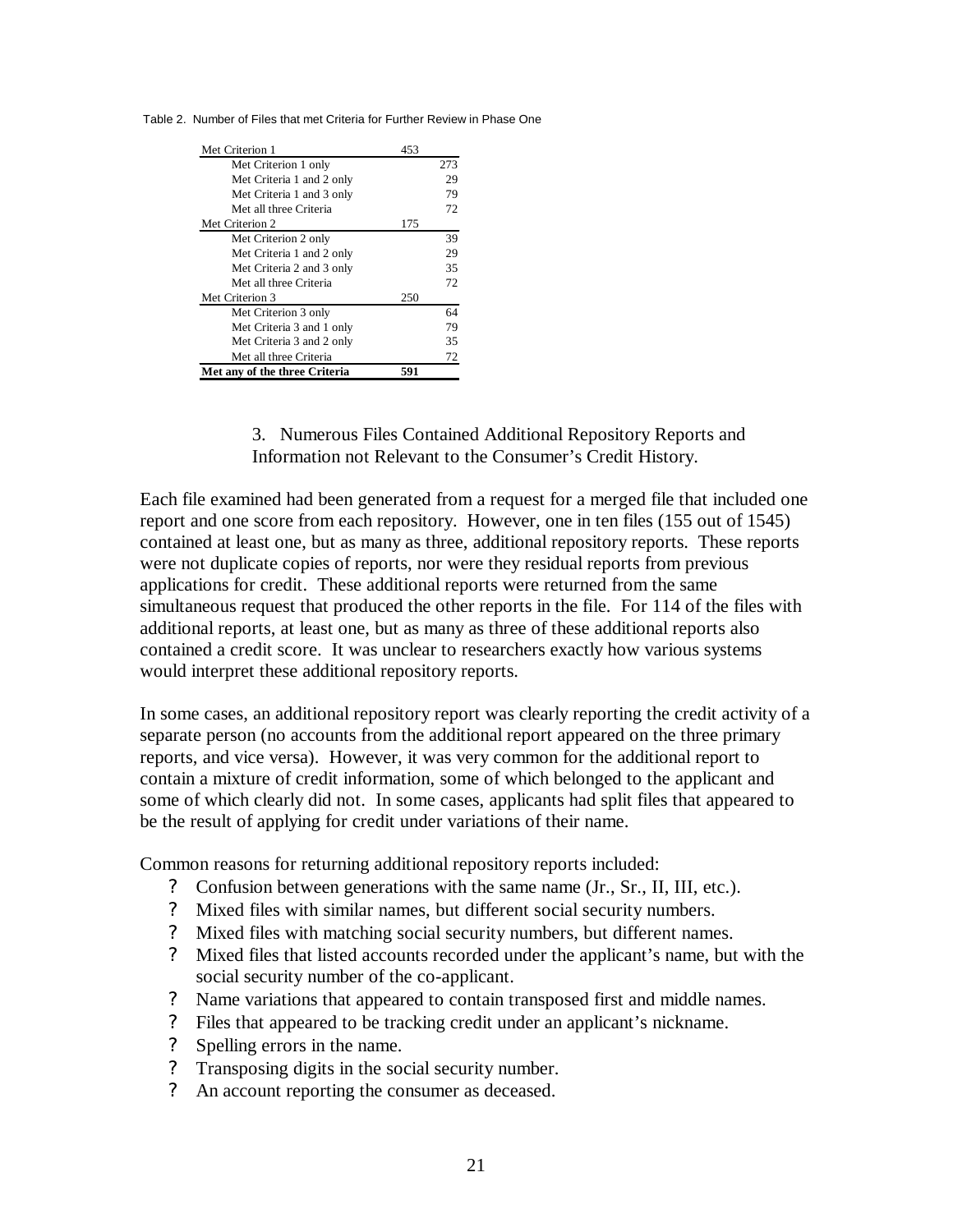|  |  |  | Table 2. Number of Files that met Criteria for Further Review in Phase One |  |
|--|--|--|----------------------------------------------------------------------------|--|
|  |  |  |                                                                            |  |

| Met Criterion 1               | 453 |     |
|-------------------------------|-----|-----|
| Met Criterion 1 only          |     | 273 |
| Met Criteria 1 and 2 only     |     | 29  |
| Met Criteria 1 and 3 only     |     | 79  |
| Met all three Criteria        |     | 72  |
| Met Criterion 2               | 175 |     |
| Met Criterion 2 only          |     | 39  |
| Met Criteria 1 and 2 only     |     | 29  |
| Met Criteria 2 and 3 only     |     | 35  |
| Met all three Criteria        |     | 72  |
| Met Criterion 3               | 250 |     |
| Met Criterion 3 only          |     | 64  |
| Met Criteria 3 and 1 only     |     | 79  |
| Met Criteria 3 and 2 only     |     | 35  |
| Met all three Criteria        |     | 72  |
| Met any of the three Criteria | 591 |     |

### 3. Numerous Files Contained Additional Repository Reports and Information not Relevant to the Consumer's Credit History.

Each file examined had been generated from a request for a merged file that included one report and one score from each repository. However, one in ten files (155 out of 1545) contained at least one, but as many as three, additional repository reports. These reports were not duplicate copies of reports, nor were they residual reports from previous applications for credit. These additional reports were returned from the same simultaneous request that produced the other reports in the file. For 114 of the files with additional reports, at least one, but as many as three of these additional reports also contained a credit score. It was unclear to researchers exactly how various systems would interpret these additional repository reports.

In some cases, an additional repository report was clearly reporting the credit activity of a separate person (no accounts from the additional report appeared on the three primary reports, and vice versa). However, it was very common for the additional report to contain a mixture of credit information, some of which belonged to the applicant and some of which clearly did not. In some cases, applicants had split files that appeared to be the result of applying for credit under variations of their name.

Common reasons for returning additional repository reports included:

- ? Confusion between generations with the same name (Jr., Sr., II, III, etc.).
- ? Mixed files with similar names, but different social security numbers.
- ? Mixed files with matching social security numbers, but different names.
- ? Mixed files that listed accounts recorded under the applicant's name, but with the social security number of the co-applicant.
- ? Name variations that appeared to contain transposed first and middle names.
- ? Files that appeared to be tracking credit under an applicant's nickname.
- ? Spelling errors in the name.
- ? Transposing digits in the social security number.
- ? An account reporting the consumer as deceased.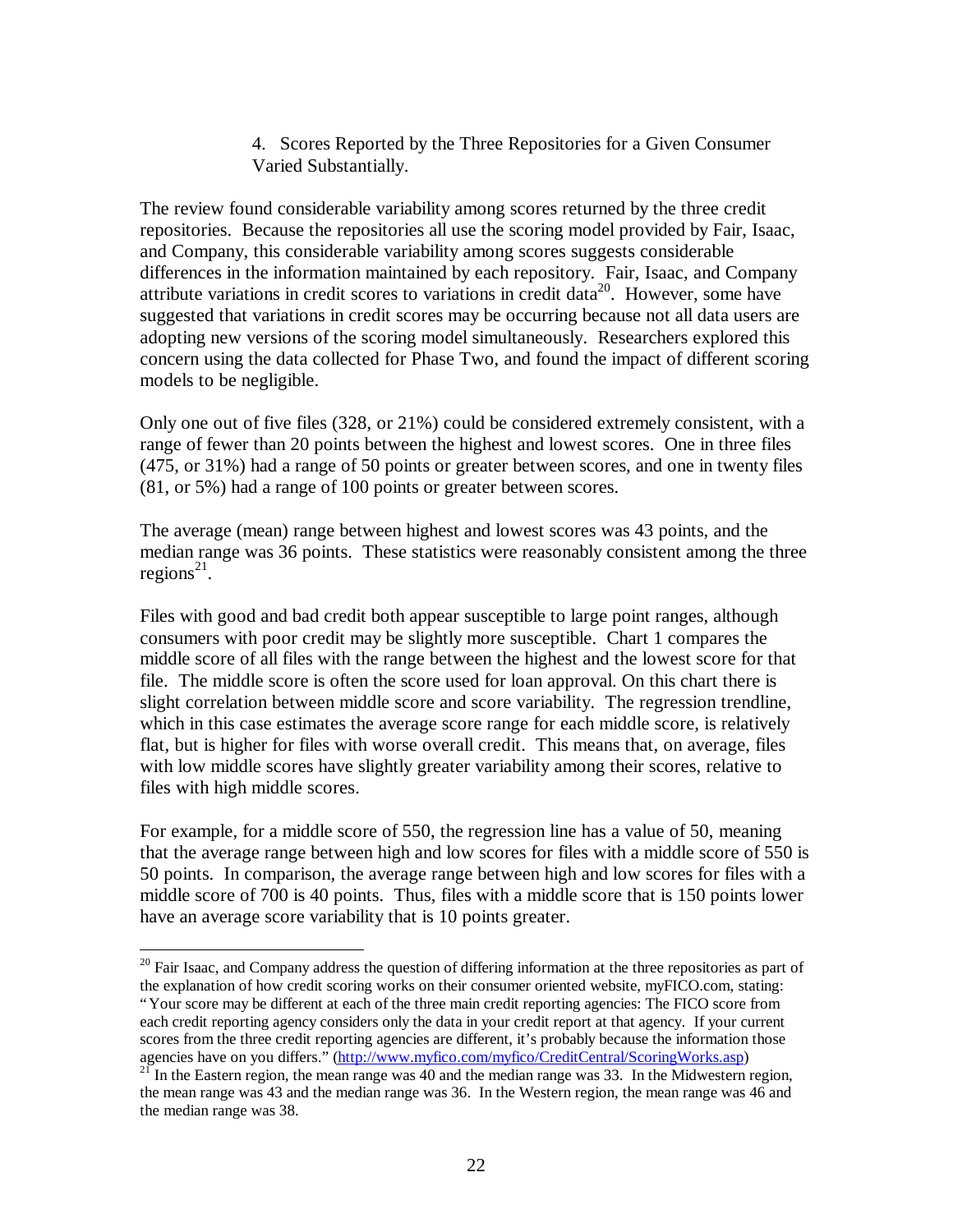4. Scores Reported by the Three Repositories for a Given Consumer Varied Substantially.

The review found considerable variability among scores returned by the three credit repositories. Because the repositories all use the scoring model provided by Fair, Isaac, and Company, this considerable variability among scores suggests considerable differences in the information maintained by each repository. Fair, Isaac, and Company attribute variations in credit scores to variations in credit data<sup>20</sup>. However, some have suggested that variations in credit scores may be occurring because not all data users are adopting new versions of the scoring model simultaneously. Researchers explored this concern using the data collected for Phase Two, and found the impact of different scoring models to be negligible.

Only one out of five files (328, or 21%) could be considered extremely consistent, with a range of fewer than 20 points between the highest and lowest scores. One in three files (475, or 31%) had a range of 50 points or greater between scores, and one in twenty files (81, or 5%) had a range of 100 points or greater between scores.

The average (mean) range between highest and lowest scores was 43 points, and the median range was 36 points. These statistics were reasonably consistent among the three regions<sup>21</sup>.

Files with good and bad credit both appear susceptible to large point ranges, although consumers with poor credit may be slightly more susceptible. Chart 1 compares the middle score of all files with the range between the highest and the lowest score for that file. The middle score is often the score used for loan approval. On this chart there is slight correlation between middle score and score variability. The regression trendline, which in this case estimates the average score range for each middle score, is relatively flat, but is higher for files with worse overall credit. This means that, on average, files with low middle scores have slightly greater variability among their scores, relative to files with high middle scores.

For example, for a middle score of 550, the regression line has a value of 50, meaning that the average range between high and low scores for files with a middle score of 550 is 50 points. In comparison, the average range between high and low scores for files with a middle score of 700 is 40 points. Thus, files with a middle score that is 150 points lower have an average score variability that is 10 points greater.

 $\overline{a}$ 

<sup>&</sup>lt;sup>20</sup> Fair Isaac, and Company address the question of differing information at the three repositories as part of the explanation of how credit scoring works on their consumer oriented website, myFICO.com, stating:

<sup>&</sup>quot;Your score may be different at each of the three main credit reporting agencies: The FICO score from each credit reporting agency considers only the data in your credit report at that agency. If your current scores from the three credit reporting agencies are different, it's probably because the information those agencies have on you differs." (http://www.myfico.com/myfico/CreditCentral/ScoringWorks.asp)

 $21$  In the Eastern region, the mean range was 40 and the median range was 33. In the Midwestern region, the mean range was 43 and the median range was 36. In the Western region, the mean range was 46 and the median range was 38.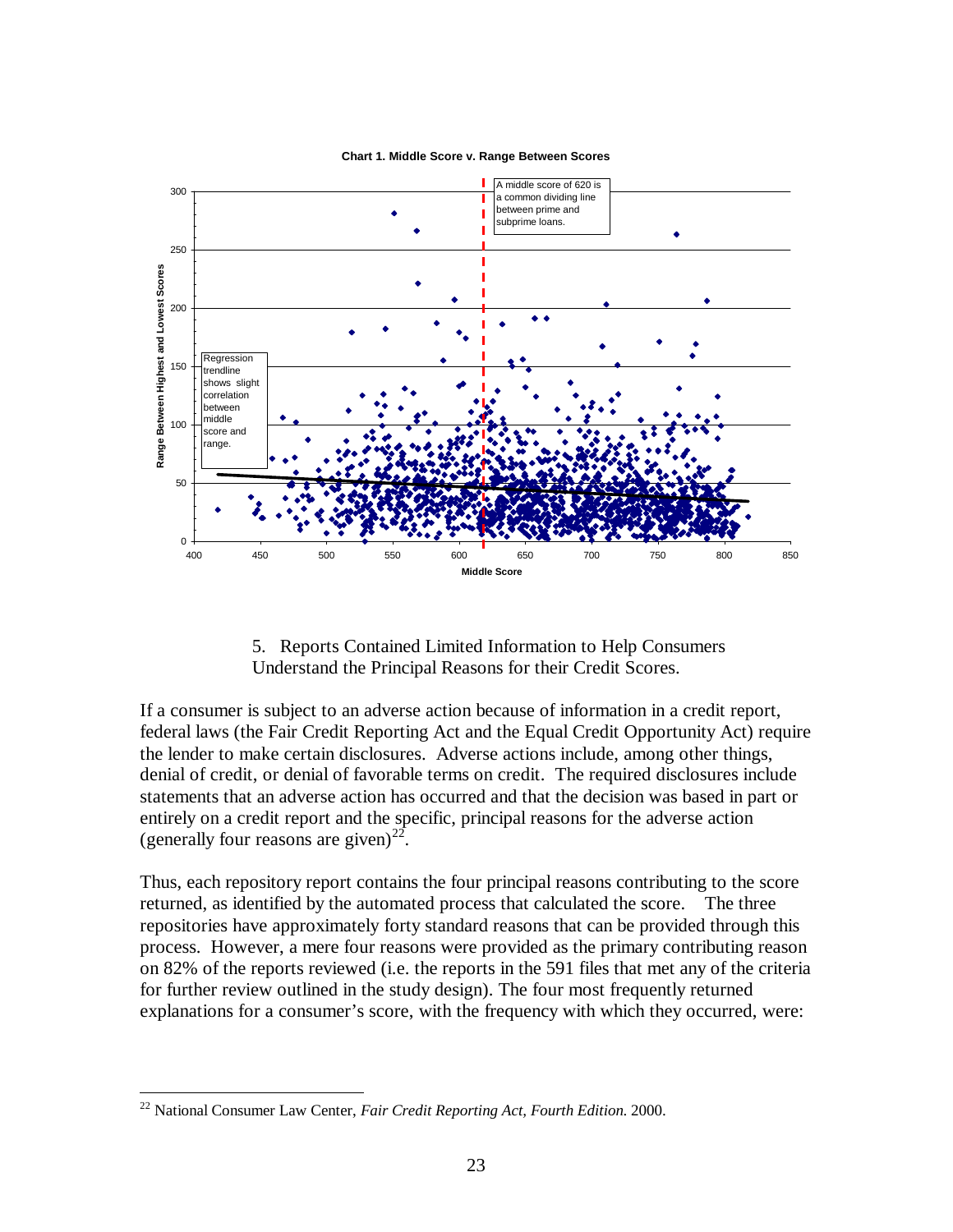

#### **Chart 1. Middle Score v. Range Between Scores**

5. Reports Contained Limited Information to Help Consumers Understand the Principal Reasons for their Credit Scores.

If a consumer is subject to an adverse action because of information in a credit report, federal laws (the Fair Credit Reporting Act and the Equal Credit Opportunity Act) require the lender to make certain disclosures. Adverse actions include, among other things, denial of credit, or denial of favorable terms on credit. The required disclosures include statements that an adverse action has occurred and that the decision was based in part or entirely on a credit report and the specific, principal reasons for the adverse action (generally four reasons are given)<sup>22</sup>.

Thus, each repository report contains the four principal reasons contributing to the score returned, as identified by the automated process that calculated the score. The three repositories have approximately forty standard reasons that can be provided through this process. However, a mere four reasons were provided as the primary contributing reason on 82% of the reports reviewed (i.e. the reports in the 591 files that met any of the criteria for further review outlined in the study design). The four most frequently returned explanations for a consumer's score, with the frequency with which they occurred, were:

 $\overline{a}$ 

<sup>22</sup> National Consumer Law Center, *Fair Credit Reporting Act, Fourth Edition*. 2000.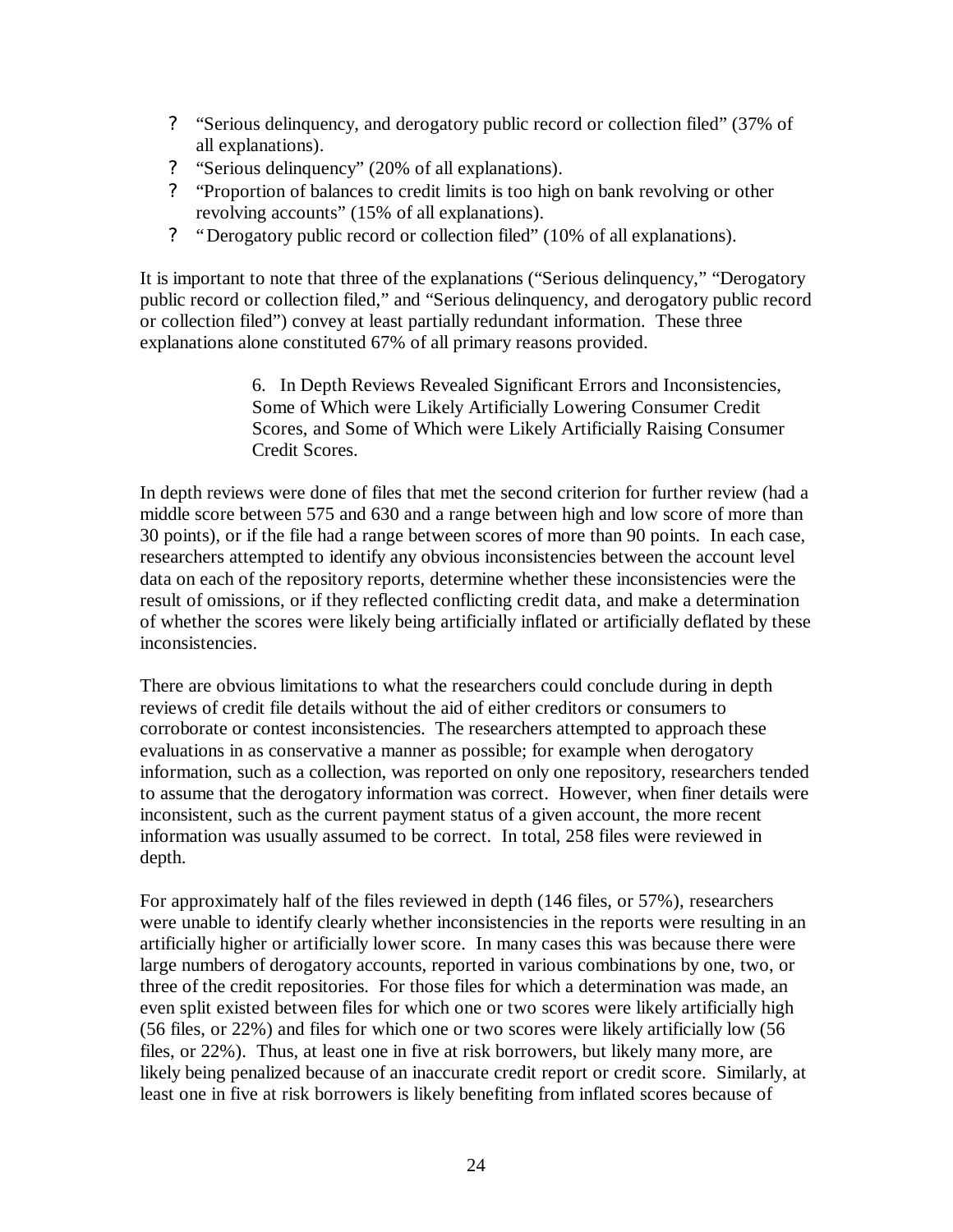- ? "Serious delinquency, and derogatory public record or collection filed" (37% of all explanations).
- ? "Serious delinquency" (20% of all explanations).
- ? "Proportion of balances to credit limits is too high on bank revolving or other revolving accounts" (15% of all explanations).
- ? "Derogatory public record or collection filed" (10% of all explanations).

It is important to note that three of the explanations ("Serious delinquency," "Derogatory public record or collection filed," and "Serious delinquency, and derogatory public record or collection filed") convey at least partially redundant information. These three explanations alone constituted 67% of all primary reasons provided.

> 6. In Depth Reviews Revealed Significant Errors and Inconsistencies, Some of Which were Likely Artificially Lowering Consumer Credit Scores, and Some of Which were Likely Artificially Raising Consumer Credit Scores.

In depth reviews were done of files that met the second criterion for further review (had a middle score between 575 and 630 and a range between high and low score of more than 30 points), or if the file had a range between scores of more than 90 points. In each case, researchers attempted to identify any obvious inconsistencies between the account level data on each of the repository reports, determine whether these inconsistencies were the result of omissions, or if they reflected conflicting credit data, and make a determination of whether the scores were likely being artificially inflated or artificially deflated by these inconsistencies.

There are obvious limitations to what the researchers could conclude during in depth reviews of credit file details without the aid of either creditors or consumers to corroborate or contest inconsistencies. The researchers attempted to approach these evaluations in as conservative a manner as possible; for example when derogatory information, such as a collection, was reported on only one repository, researchers tended to assume that the derogatory information was correct. However, when finer details were inconsistent, such as the current payment status of a given account, the more recent information was usually assumed to be correct. In total, 258 files were reviewed in depth.

For approximately half of the files reviewed in depth (146 files, or 57%), researchers were unable to identify clearly whether inconsistencies in the reports were resulting in an artificially higher or artificially lower score. In many cases this was because there were large numbers of derogatory accounts, reported in various combinations by one, two, or three of the credit repositories. For those files for which a determination was made, an even split existed between files for which one or two scores were likely artificially high (56 files, or 22%) and files for which one or two scores were likely artificially low (56 files, or 22%). Thus, at least one in five at risk borrowers, but likely many more, are likely being penalized because of an inaccurate credit report or credit score. Similarly, at least one in five at risk borrowers is likely benefiting from inflated scores because of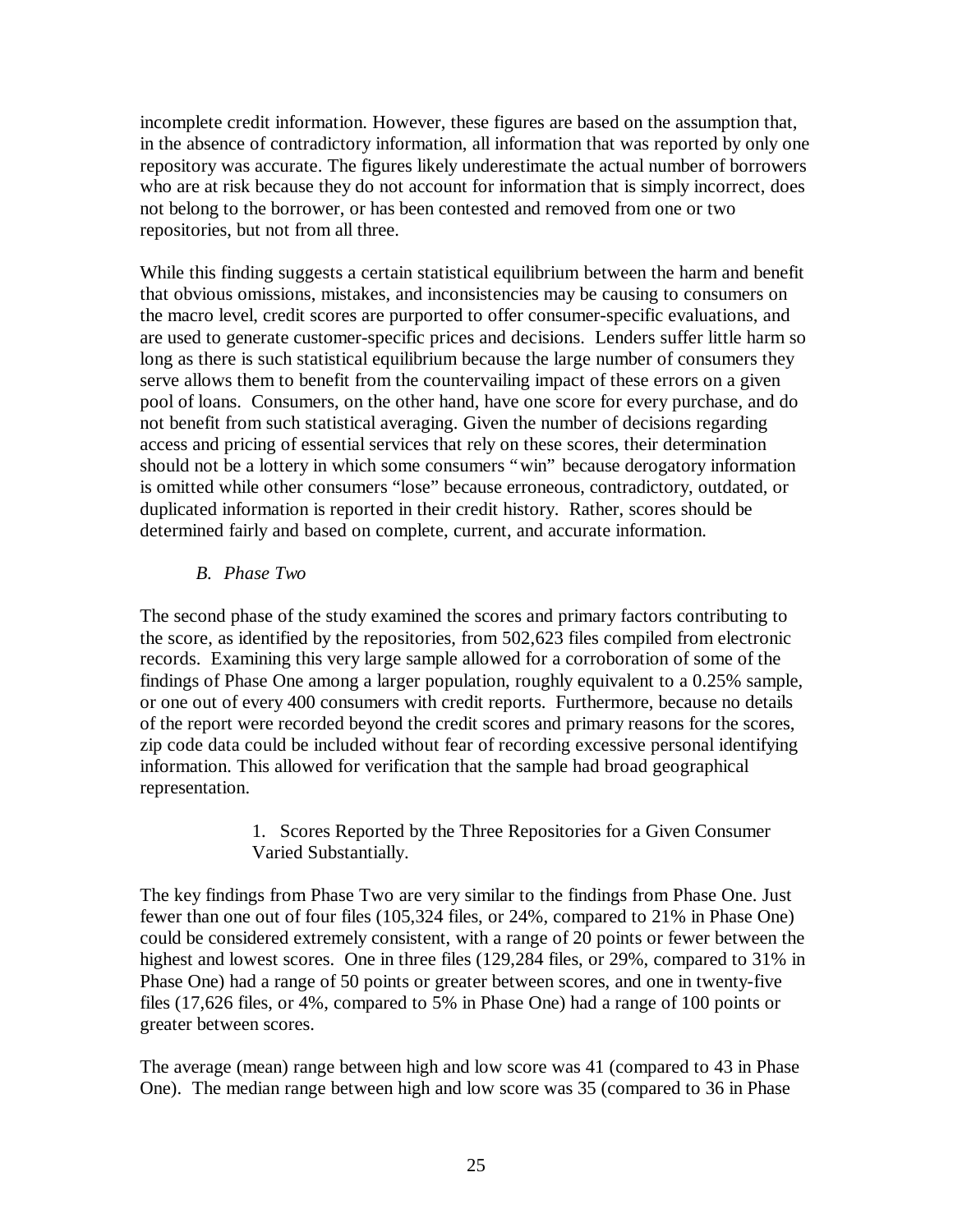incomplete credit information. However, these figures are based on the assumption that, in the absence of contradictory information, all information that was reported by only one repository was accurate. The figures likely underestimate the actual number of borrowers who are at risk because they do not account for information that is simply incorrect, does not belong to the borrower, or has been contested and removed from one or two repositories, but not from all three.

While this finding suggests a certain statistical equilibrium between the harm and benefit that obvious omissions, mistakes, and inconsistencies may be causing to consumers on the macro level, credit scores are purported to offer consumer-specific evaluations, and are used to generate customer-specific prices and decisions. Lenders suffer little harm so long as there is such statistical equilibrium because the large number of consumers they serve allows them to benefit from the countervailing impact of these errors on a given pool of loans. Consumers, on the other hand, have one score for every purchase, and do not benefit from such statistical averaging. Given the number of decisions regarding access and pricing of essential services that rely on these scores, their determination should not be a lottery in which some consumers "win" because derogatory information is omitted while other consumers "lose" because erroneous, contradictory, outdated, or duplicated information is reported in their credit history. Rather, scores should be determined fairly and based on complete, current, and accurate information.

### *B. Phase Two*

The second phase of the study examined the scores and primary factors contributing to the score, as identified by the repositories, from 502,623 files compiled from electronic records. Examining this very large sample allowed for a corroboration of some of the findings of Phase One among a larger population, roughly equivalent to a 0.25% sample, or one out of every 400 consumers with credit reports. Furthermore, because no details of the report were recorded beyond the credit scores and primary reasons for the scores, zip code data could be included without fear of recording excessive personal identifying information. This allowed for verification that the sample had broad geographical representation.

> 1. Scores Reported by the Three Repositories for a Given Consumer Varied Substantially.

The key findings from Phase Two are very similar to the findings from Phase One. Just fewer than one out of four files (105,324 files, or 24%, compared to 21% in Phase One) could be considered extremely consistent, with a range of 20 points or fewer between the highest and lowest scores. One in three files (129,284 files, or 29%, compared to 31% in Phase One) had a range of 50 points or greater between scores, and one in twenty-five files (17,626 files, or 4%, compared to 5% in Phase One) had a range of 100 points or greater between scores.

The average (mean) range between high and low score was 41 (compared to 43 in Phase One). The median range between high and low score was 35 (compared to 36 in Phase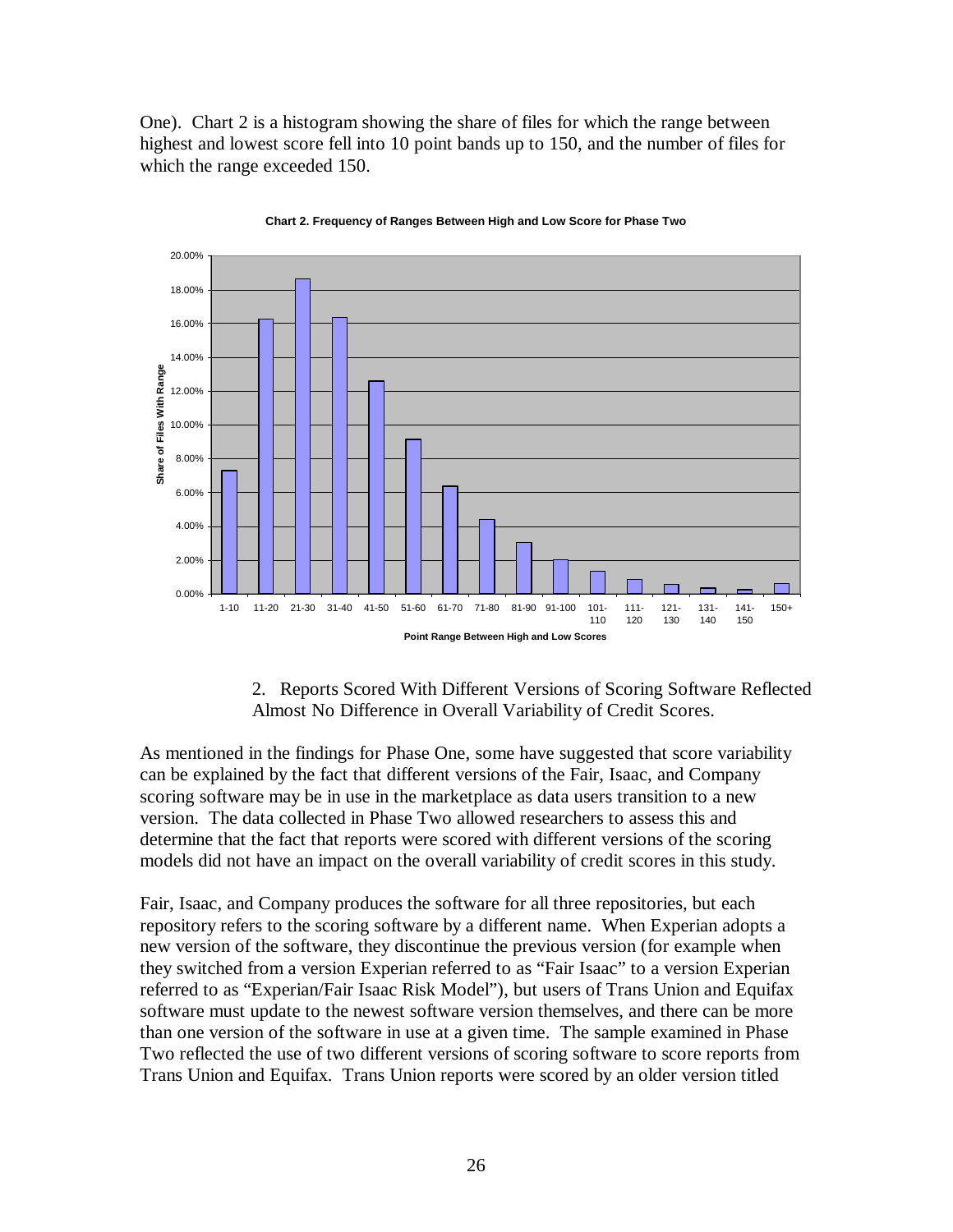One). Chart 2 is a histogram showing the share of files for which the range between highest and lowest score fell into 10 point bands up to 150, and the number of files for which the range exceeded 150.



**Chart 2. Frequency of Ranges Between High and Low Score for Phase Two**

2. Reports Scored With Different Versions of Scoring Software Reflected Almost No Difference in Overall Variability of Credit Scores.

As mentioned in the findings for Phase One, some have suggested that score variability can be explained by the fact that different versions of the Fair, Isaac, and Company scoring software may be in use in the marketplace as data users transition to a new version. The data collected in Phase Two allowed researchers to assess this and determine that the fact that reports were scored with different versions of the scoring models did not have an impact on the overall variability of credit scores in this study.

Fair, Isaac, and Company produces the software for all three repositories, but each repository refers to the scoring software by a different name. When Experian adopts a new version of the software, they discontinue the previous version (for example when they switched from a version Experian referred to as "Fair Isaac" to a version Experian referred to as "Experian/Fair Isaac Risk Model"), but users of Trans Union and Equifax software must update to the newest software version themselves, and there can be more than one version of the software in use at a given time. The sample examined in Phase Two reflected the use of two different versions of scoring software to score reports from Trans Union and Equifax. Trans Union reports were scored by an older version titled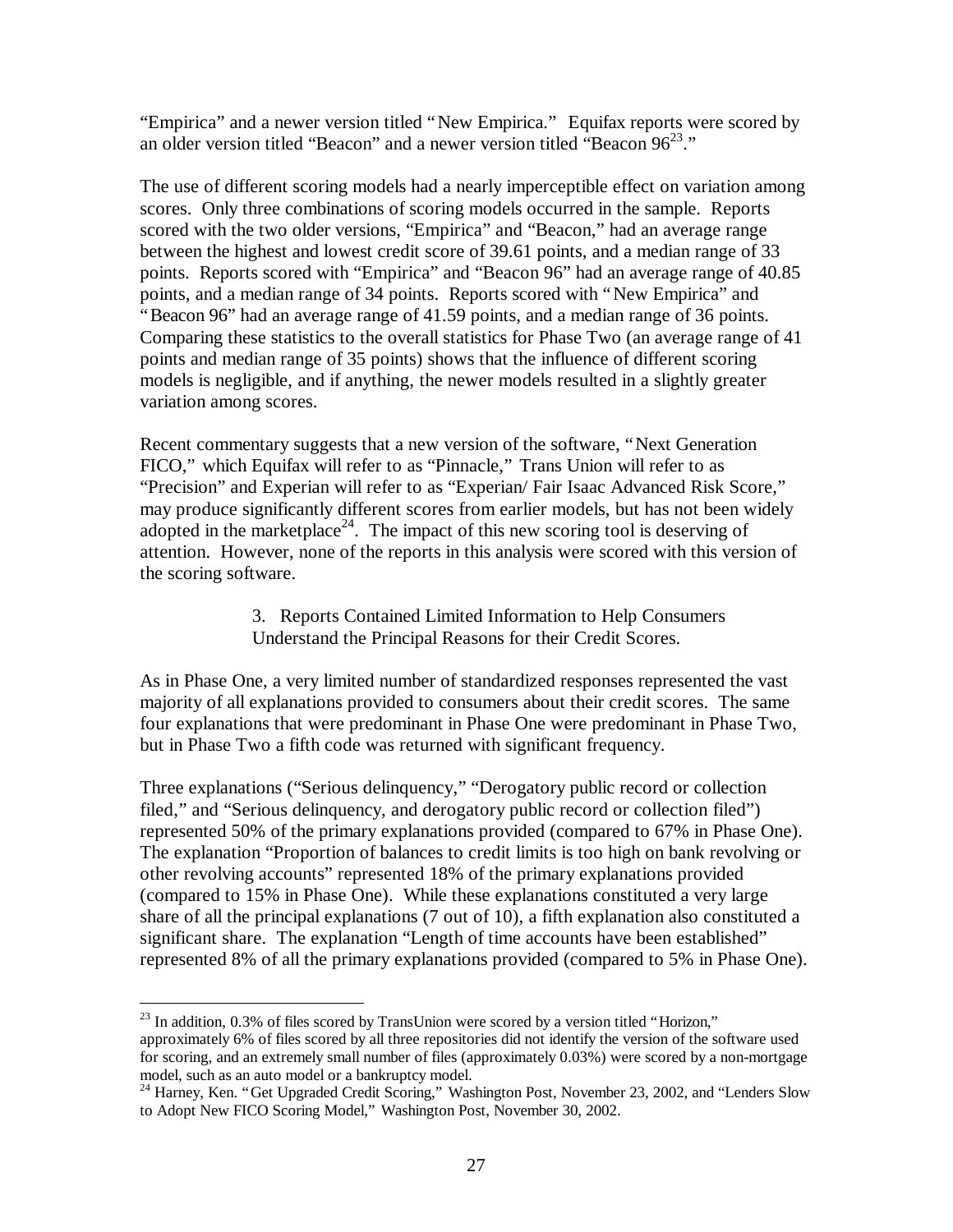"Empirica" and a newer version titled "New Empirica." Equifax reports were scored by an older version titled "Beacon" and a newer version titled "Beacon  $96^{23}$ ."

The use of different scoring models had a nearly imperceptible effect on variation among scores. Only three combinations of scoring models occurred in the sample. Reports scored with the two older versions, "Empirica" and "Beacon," had an average range between the highest and lowest credit score of 39.61 points, and a median range of 33 points. Reports scored with "Empirica" and "Beacon 96" had an average range of 40.85 points, and a median range of 34 points. Reports scored with "New Empirica" and "Beacon 96" had an average range of 41.59 points, and a median range of 36 points. Comparing these statistics to the overall statistics for Phase Two (an average range of 41 points and median range of 35 points) shows that the influence of different scoring models is negligible, and if anything, the newer models resulted in a slightly greater variation among scores.

Recent commentary suggests that a new version of the software, "Next Generation FICO," which Equifax will refer to as "Pinnacle," Trans Union will refer to as "Precision" and Experian will refer to as "Experian/ Fair Isaac Advanced Risk Score," may produce significantly different scores from earlier models, but has not been widely adopted in the marketplace<sup>24</sup>. The impact of this new scoring tool is deserving of attention. However, none of the reports in this analysis were scored with this version of the scoring software.

> 3. Reports Contained Limited Information to Help Consumers Understand the Principal Reasons for their Credit Scores.

As in Phase One, a very limited number of standardized responses represented the vast majority of all explanations provided to consumers about their credit scores. The same four explanations that were predominant in Phase One were predominant in Phase Two, but in Phase Two a fifth code was returned with significant frequency.

Three explanations ("Serious delinquency," "Derogatory public record or collection filed," and "Serious delinquency, and derogatory public record or collection filed") represented 50% of the primary explanations provided (compared to 67% in Phase One). The explanation "Proportion of balances to credit limits is too high on bank revolving or other revolving accounts" represented 18% of the primary explanations provided (compared to 15% in Phase One). While these explanations constituted a very large share of all the principal explanations (7 out of 10), a fifth explanation also constituted a significant share. The explanation "Length of time accounts have been established" represented 8% of all the primary explanations provided (compared to 5% in Phase One).

 $\overline{a}$ 

 $^{23}$  In addition, 0.3% of files scored by TransUnion were scored by a version titled "Horizon," approximately 6% of files scored by all three repositories did not identify the version of the software used for scoring, and an extremely small number of files (approximately 0.03%) were scored by a non-mortgage model, such as an auto model or a bankruptcy model.

<sup>&</sup>lt;sup>24</sup> Harney, Ken. "Get Upgraded Credit Scoring," Washington Post, November 23, 2002, and "Lenders Slow to Adopt New FICO Scoring Model," Washington Post, November 30, 2002.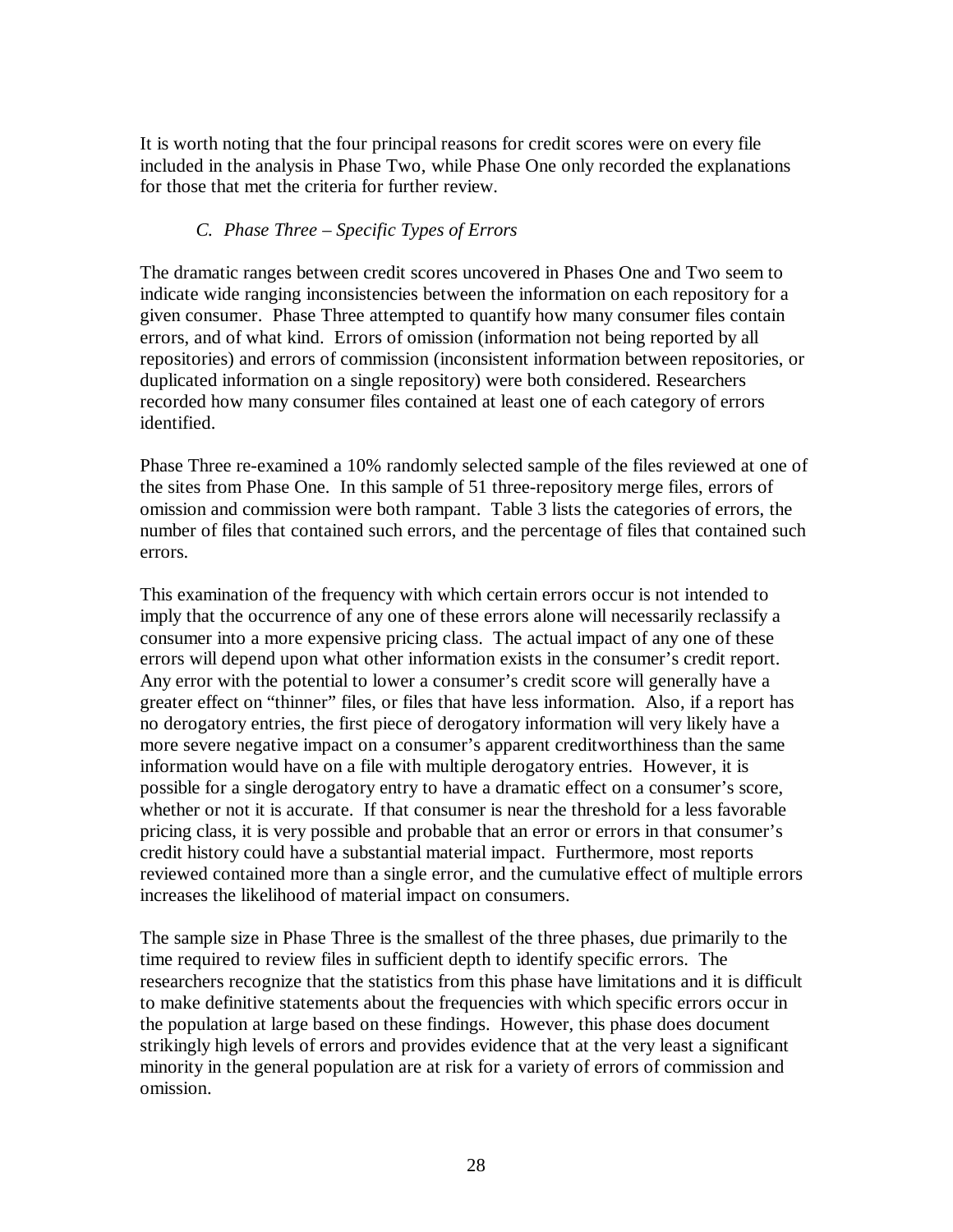It is worth noting that the four principal reasons for credit scores were on every file included in the analysis in Phase Two, while Phase One only recorded the explanations for those that met the criteria for further review.

## *C. Phase Three – Specific Types of Errors*

The dramatic ranges between credit scores uncovered in Phases One and Two seem to indicate wide ranging inconsistencies between the information on each repository for a given consumer. Phase Three attempted to quantify how many consumer files contain errors, and of what kind. Errors of omission (information not being reported by all repositories) and errors of commission (inconsistent information between repositories, or duplicated information on a single repository) were both considered. Researchers recorded how many consumer files contained at least one of each category of errors identified.

Phase Three re-examined a 10% randomly selected sample of the files reviewed at one of the sites from Phase One. In this sample of 51 three-repository merge files, errors of omission and commission were both rampant. Table 3 lists the categories of errors, the number of files that contained such errors, and the percentage of files that contained such errors.

This examination of the frequency with which certain errors occur is not intended to imply that the occurrence of any one of these errors alone will necessarily reclassify a consumer into a more expensive pricing class. The actual impact of any one of these errors will depend upon what other information exists in the consumer's credit report. Any error with the potential to lower a consumer's credit score will generally have a greater effect on "thinner" files, or files that have less information. Also, if a report has no derogatory entries, the first piece of derogatory information will very likely have a more severe negative impact on a consumer's apparent creditworthiness than the same information would have on a file with multiple derogatory entries. However, it is possible for a single derogatory entry to have a dramatic effect on a consumer's score, whether or not it is accurate. If that consumer is near the threshold for a less favorable pricing class, it is very possible and probable that an error or errors in that consumer's credit history could have a substantial material impact. Furthermore, most reports reviewed contained more than a single error, and the cumulative effect of multiple errors increases the likelihood of material impact on consumers.

The sample size in Phase Three is the smallest of the three phases, due primarily to the time required to review files in sufficient depth to identify specific errors. The researchers recognize that the statistics from this phase have limitations and it is difficult to make definitive statements about the frequencies with which specific errors occur in the population at large based on these findings. However, this phase does document strikingly high levels of errors and provides evidence that at the very least a significant minority in the general population are at risk for a variety of errors of commission and omission.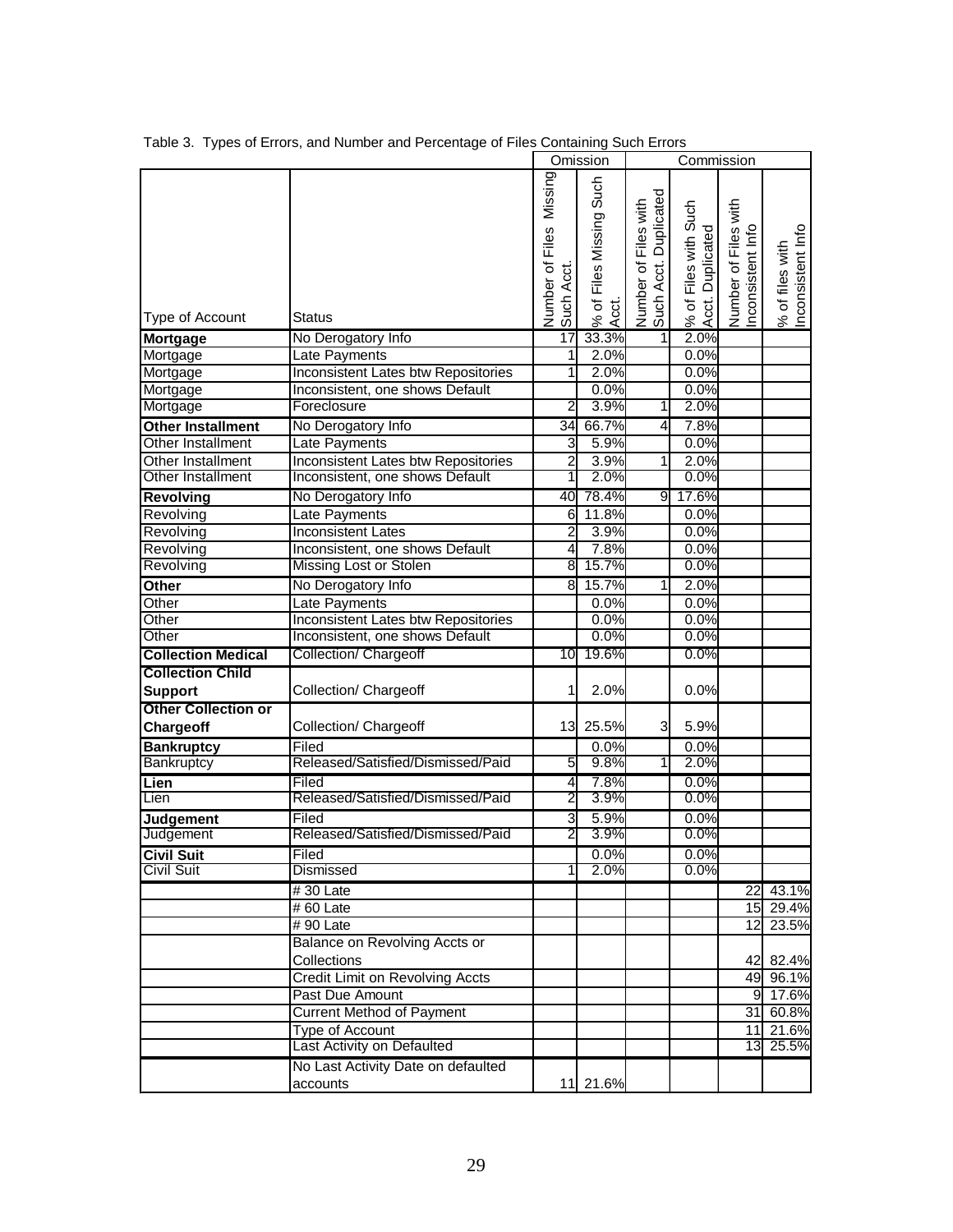|                            |                                            |                                      | Omission                            |                                                  | Commission                               |                                           |                                      |
|----------------------------|--------------------------------------------|--------------------------------------|-------------------------------------|--------------------------------------------------|------------------------------------------|-------------------------------------------|--------------------------------------|
| Type of Account            | Status                                     | Number of Files Missing<br>Such Acct | Such<br>% of Files Missing<br>Acct. | Duplicated<br>Number of Files with<br>Such Acct. | % of Files with Such<br>Acct. Duplicated | Number of Files with<br>Inconsistent Info | Inconsistent Info<br>% of files with |
| Mortgage                   | No Derogatory Info                         | 17                                   | 33.3%                               | 1                                                | 2.0%                                     |                                           |                                      |
| Mortgage                   | Late Payments                              | 1                                    | 2.0%                                |                                                  | 0.0%                                     |                                           |                                      |
| Mortgage                   | Inconsistent Lates btw Repositories        | 1                                    | 2.0%                                |                                                  | 0.0%                                     |                                           |                                      |
| Mortgage                   | Inconsistent, one shows Default            |                                      | 0.0%                                |                                                  | 0.0%                                     |                                           |                                      |
| Mortgage                   | Foreclosure                                | 2                                    | 3.9%                                | 1                                                | 2.0%                                     |                                           |                                      |
| <b>Other Installment</b>   | No Derogatory Info                         | 34                                   | 66.7%                               | $\overline{4}$                                   | 7.8%                                     |                                           |                                      |
| Other Installment          | Late Payments                              | 3                                    | 5.9%                                |                                                  | 0.0%                                     |                                           |                                      |
| Other Installment          | <b>Inconsistent Lates btw Repositories</b> | $\overline{2}$                       | 3.9%                                | 1                                                | 2.0%                                     |                                           |                                      |
| Other Installment          | Inconsistent, one shows Default            | 1                                    | 2.0%                                |                                                  | 0.0%                                     |                                           |                                      |
| <b>Revolving</b>           | No Derogatory Info                         | 40                                   | 78.4%                               | 9                                                | 17.6%                                    |                                           |                                      |
| Revolving                  | Late Payments                              | 6                                    | 11.8%                               |                                                  | 0.0%                                     |                                           |                                      |
| Revolving                  | <b>Inconsistent Lates</b>                  | $\overline{c}$                       | 3.9%                                |                                                  | 0.0%                                     |                                           |                                      |
| Revolving                  | Inconsistent, one shows Default            | 4                                    | 7.8%                                |                                                  | 0.0%                                     |                                           |                                      |
| Revolving                  | Missing Lost or Stolen                     | 8                                    | 15.7%                               |                                                  | 0.0%                                     |                                           |                                      |
| Other                      | No Derogatory Info                         | 8                                    | 15.7%                               | 1                                                | 2.0%                                     |                                           |                                      |
| Other                      | Late Payments                              |                                      | 0.0%                                |                                                  | 0.0%                                     |                                           |                                      |
| Other                      | Inconsistent Lates btw Repositories        |                                      | 0.0%                                |                                                  | 0.0%                                     |                                           |                                      |
| Other                      | Inconsistent, one shows Default            |                                      | 0.0%                                |                                                  | 0.0%                                     |                                           |                                      |
| <b>Collection Medical</b>  | <b>Collection/ Chargeoff</b>               | 10                                   | 19.6%                               |                                                  | 0.0%                                     |                                           |                                      |
| <b>Collection Child</b>    |                                            |                                      |                                     |                                                  |                                          |                                           |                                      |
| <b>Support</b>             | Collection/ Chargeoff                      | 1                                    | 2.0%                                |                                                  | 0.0%                                     |                                           |                                      |
| <b>Other Collection or</b> |                                            |                                      |                                     |                                                  |                                          |                                           |                                      |
| <b>Chargeoff</b>           | Collection/ Chargeoff                      | 13                                   | 25.5%                               | $\overline{3}$                                   | 5.9%                                     |                                           |                                      |
| <b>Bankruptcy</b>          | Filed                                      |                                      | 0.0%                                |                                                  | 0.0%                                     |                                           |                                      |
| Bankruptcy                 | Released/Satisfied/Dismissed/Paid          | 5                                    | 9.8%                                | 1                                                | 2.0%                                     |                                           |                                      |
| Lien                       | Filed                                      | 4                                    | 7.8%                                |                                                  | 0.0%                                     |                                           |                                      |
| Lien                       | Released/Satisfied/Dismissed/Paid          | 2                                    | 3.9%                                |                                                  | 0.0%                                     |                                           |                                      |
| Judgement                  | Filed                                      | 3                                    | 5.9%                                |                                                  | 0.0%                                     |                                           |                                      |
| Judgement                  | Released/Satisfied/Dismissed/Paid          | $\overline{2}$                       | 3.9%                                |                                                  | 0.0%                                     |                                           |                                      |
| <b>Civil Suit</b>          | Filed                                      |                                      | 0.0%                                |                                                  | 0.0%                                     |                                           |                                      |
| Civil Suit                 | <b>Dismissed</b>                           |                                      | 2.0%                                |                                                  | 0.0%                                     |                                           |                                      |
|                            | #30 Late                                   |                                      |                                     |                                                  |                                          |                                           | 22 43.1%                             |
|                            | #60 Late                                   |                                      |                                     |                                                  |                                          |                                           | 15 29.4%                             |
|                            | #90 Late                                   |                                      |                                     |                                                  |                                          |                                           | 12 23.5%                             |
|                            | Balance on Revolving Accts or              |                                      |                                     |                                                  |                                          |                                           |                                      |
|                            | Collections                                |                                      |                                     |                                                  |                                          |                                           | 42 82.4%                             |
|                            | Credit Limit on Revolving Accts            |                                      |                                     |                                                  |                                          |                                           | 49 96.1%                             |
|                            | Past Due Amount                            |                                      |                                     |                                                  |                                          |                                           | 9 17.6%                              |
|                            | <b>Current Method of Payment</b>           |                                      |                                     |                                                  |                                          |                                           | 31 60.8%                             |
|                            | <b>Type of Account</b>                     |                                      |                                     |                                                  |                                          |                                           | 11 21.6%                             |
|                            | Last Activity on Defaulted                 |                                      |                                     |                                                  |                                          |                                           | 13 25.5%                             |
|                            | No Last Activity Date on defaulted         |                                      |                                     |                                                  |                                          |                                           |                                      |
|                            | accounts                                   |                                      | 11 21.6%                            |                                                  |                                          |                                           |                                      |

Table 3. Types of Errors, and Number and Percentage of Files Containing Such Errors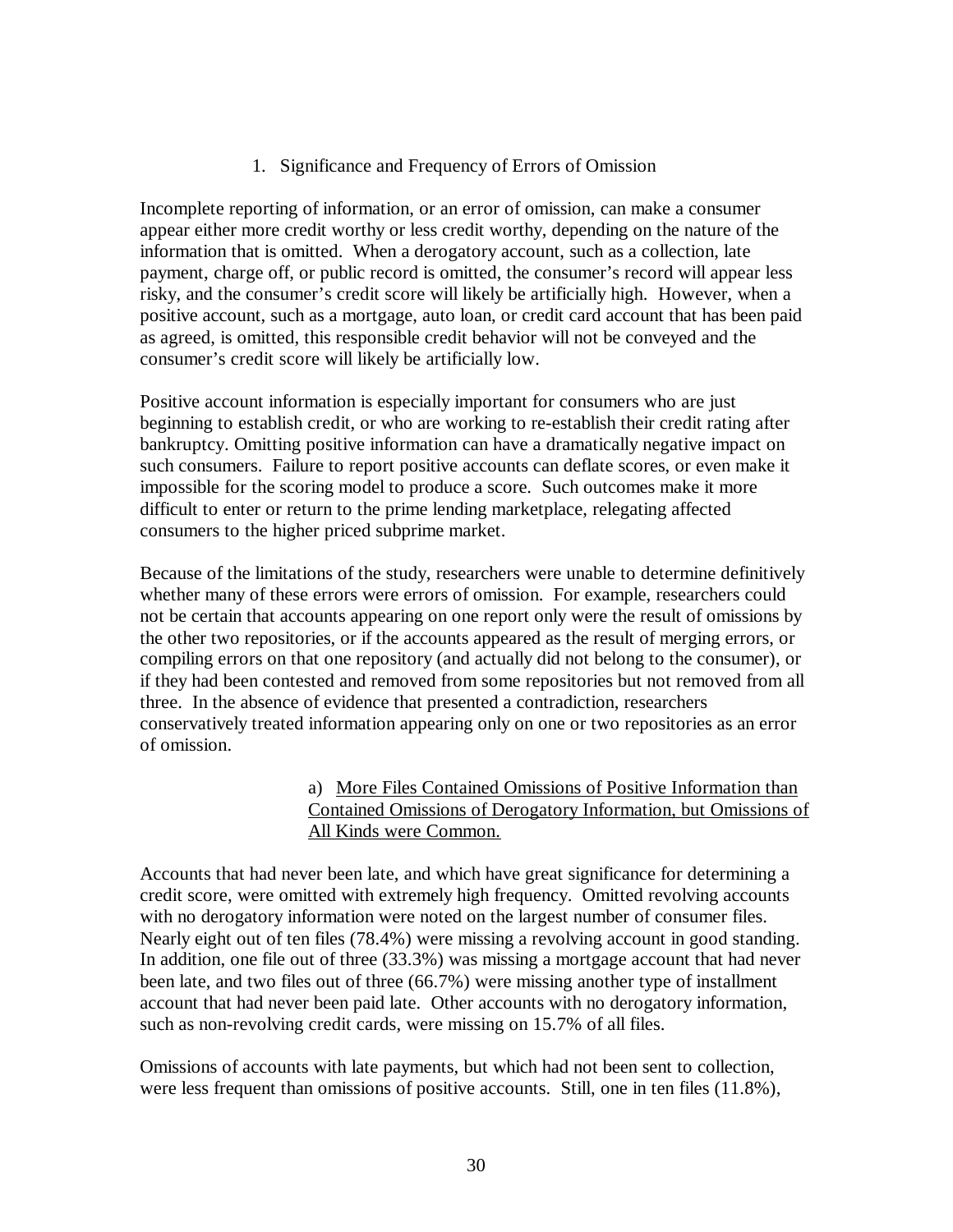### 1. Significance and Frequency of Errors of Omission

Incomplete reporting of information, or an error of omission, can make a consumer appear either more credit worthy or less credit worthy, depending on the nature of the information that is omitted. When a derogatory account, such as a collection, late payment, charge off, or public record is omitted, the consumer's record will appear less risky, and the consumer's credit score will likely be artificially high. However, when a positive account, such as a mortgage, auto loan, or credit card account that has been paid as agreed, is omitted, this responsible credit behavior will not be conveyed and the consumer's credit score will likely be artificially low.

Positive account information is especially important for consumers who are just beginning to establish credit, or who are working to re-establish their credit rating after bankruptcy. Omitting positive information can have a dramatically negative impact on such consumers. Failure to report positive accounts can deflate scores, or even make it impossible for the scoring model to produce a score. Such outcomes make it more difficult to enter or return to the prime lending marketplace, relegating affected consumers to the higher priced subprime market.

Because of the limitations of the study, researchers were unable to determine definitively whether many of these errors were errors of omission. For example, researchers could not be certain that accounts appearing on one report only were the result of omissions by the other two repositories, or if the accounts appeared as the result of merging errors, or compiling errors on that one repository (and actually did not belong to the consumer), or if they had been contested and removed from some repositories but not removed from all three. In the absence of evidence that presented a contradiction, researchers conservatively treated information appearing only on one or two repositories as an error of omission.

### a) More Files Contained Omissions of Positive Information than Contained Omissions of Derogatory Information, but Omissions of All Kinds were Common.

Accounts that had never been late, and which have great significance for determining a credit score, were omitted with extremely high frequency. Omitted revolving accounts with no derogatory information were noted on the largest number of consumer files. Nearly eight out of ten files (78.4%) were missing a revolving account in good standing. In addition, one file out of three (33.3%) was missing a mortgage account that had never been late, and two files out of three (66.7%) were missing another type of installment account that had never been paid late. Other accounts with no derogatory information, such as non-revolving credit cards, were missing on 15.7% of all files.

Omissions of accounts with late payments, but which had not been sent to collection, were less frequent than omissions of positive accounts. Still, one in ten files (11.8%),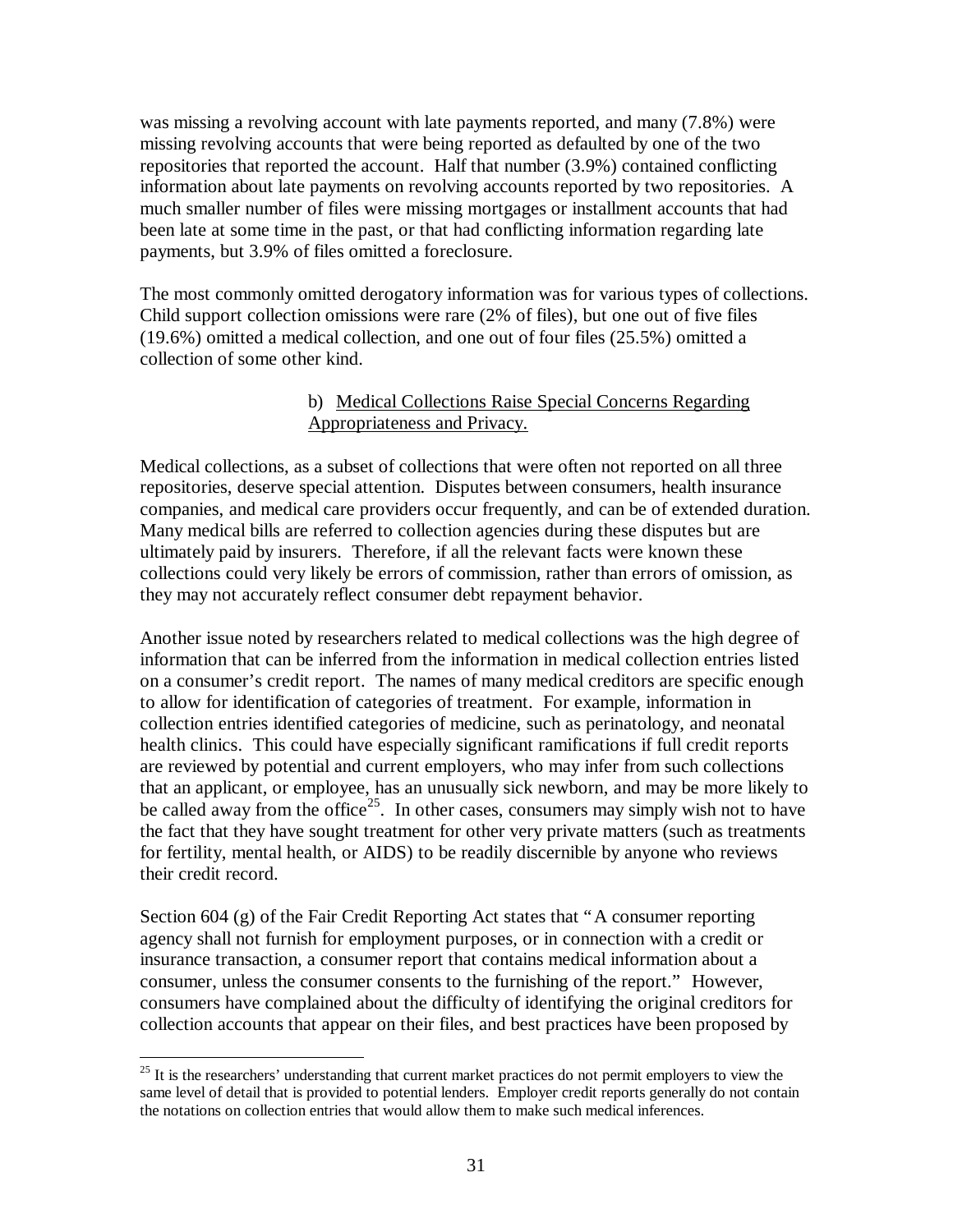was missing a revolving account with late payments reported, and many (7.8%) were missing revolving accounts that were being reported as defaulted by one of the two repositories that reported the account. Half that number (3.9%) contained conflicting information about late payments on revolving accounts reported by two repositories. A much smaller number of files were missing mortgages or installment accounts that had been late at some time in the past, or that had conflicting information regarding late payments, but 3.9% of files omitted a foreclosure.

The most commonly omitted derogatory information was for various types of collections. Child support collection omissions were rare (2% of files), but one out of five files (19.6%) omitted a medical collection, and one out of four files (25.5%) omitted a collection of some other kind.

## b) Medical Collections Raise Special Concerns Regarding Appropriateness and Privacy.

Medical collections, as a subset of collections that were often not reported on all three repositories, deserve special attention. Disputes between consumers, health insurance companies, and medical care providers occur frequently, and can be of extended duration. Many medical bills are referred to collection agencies during these disputes but are ultimately paid by insurers. Therefore, if all the relevant facts were known these collections could very likely be errors of commission, rather than errors of omission, as they may not accurately reflect consumer debt repayment behavior.

Another issue noted by researchers related to medical collections was the high degree of information that can be inferred from the information in medical collection entries listed on a consumer's credit report. The names of many medical creditors are specific enough to allow for identification of categories of treatment. For example, information in collection entries identified categories of medicine, such as perinatology, and neonatal health clinics. This could have especially significant ramifications if full credit reports are reviewed by potential and current employers, who may infer from such collections that an applicant, or employee, has an unusually sick newborn, and may be more likely to be called away from the office<sup>25</sup>. In other cases, consumers may simply wish not to have the fact that they have sought treatment for other very private matters (such as treatments for fertility, mental health, or AIDS) to be readily discernible by anyone who reviews their credit record.

Section 604 (g) of the Fair Credit Reporting Act states that "A consumer reporting agency shall not furnish for employment purposes, or in connection with a credit or insurance transaction, a consumer report that contains medical information about a consumer, unless the consumer consents to the furnishing of the report." However, consumers have complained about the difficulty of identifying the original creditors for collection accounts that appear on their files, and best practices have been proposed by

<sup>&</sup>lt;u>.</u>  $25$  It is the researchers' understanding that current market practices do not permit employers to view the same level of detail that is provided to potential lenders. Employer credit reports generally do not contain the notations on collection entries that would allow them to make such medical inferences.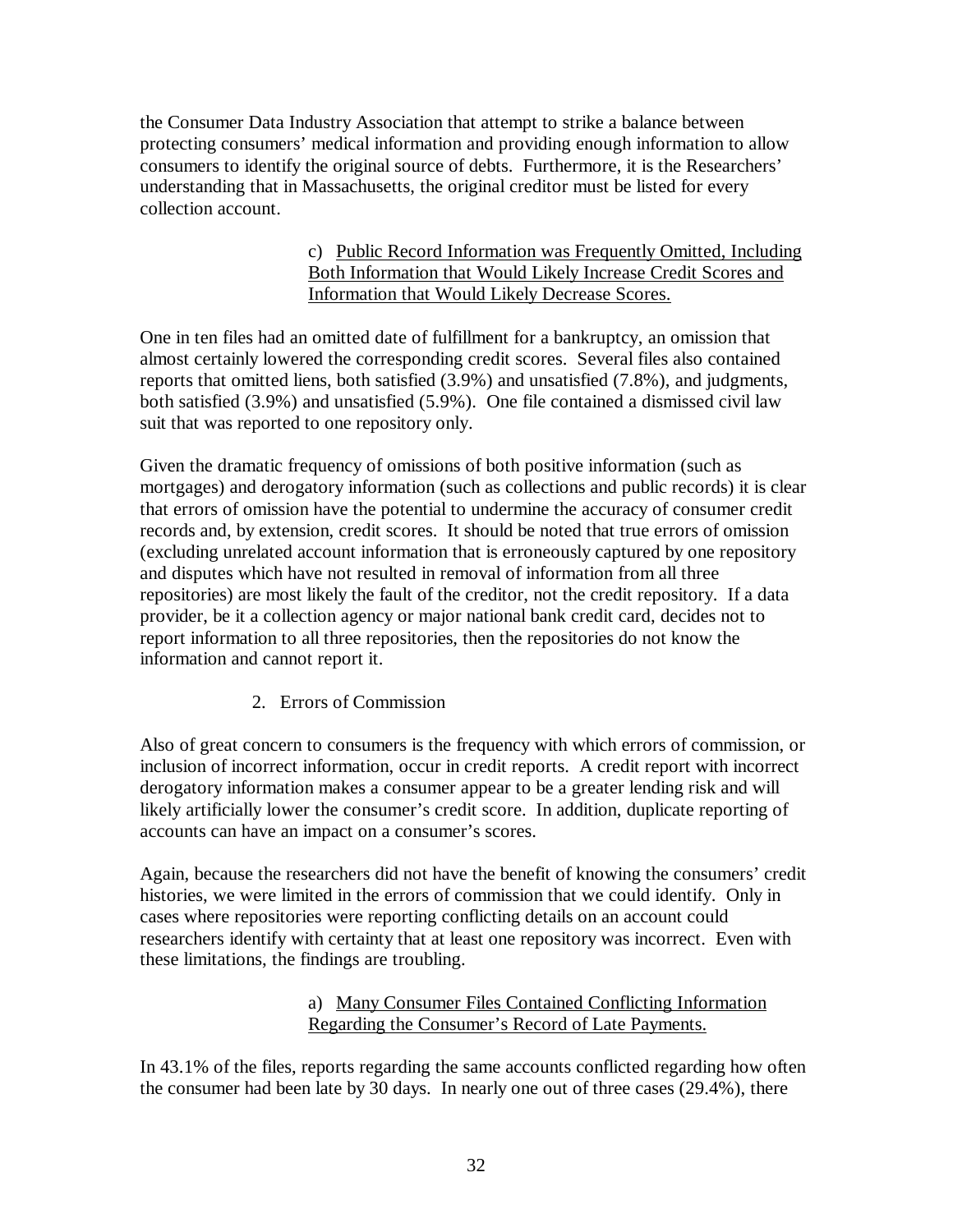the Consumer Data Industry Association that attempt to strike a balance between protecting consumers' medical information and providing enough information to allow consumers to identify the original source of debts. Furthermore, it is the Researchers' understanding that in Massachusetts, the original creditor must be listed for every collection account.

## c) Public Record Information was Frequently Omitted, Including Both Information that Would Likely Increase Credit Scores and Information that Would Likely Decrease Scores.

One in ten files had an omitted date of fulfillment for a bankruptcy, an omission that almost certainly lowered the corresponding credit scores. Several files also contained reports that omitted liens, both satisfied (3.9%) and unsatisfied (7.8%), and judgments, both satisfied (3.9%) and unsatisfied (5.9%). One file contained a dismissed civil law suit that was reported to one repository only.

Given the dramatic frequency of omissions of both positive information (such as mortgages) and derogatory information (such as collections and public records) it is clear that errors of omission have the potential to undermine the accuracy of consumer credit records and, by extension, credit scores. It should be noted that true errors of omission (excluding unrelated account information that is erroneously captured by one repository and disputes which have not resulted in removal of information from all three repositories) are most likely the fault of the creditor, not the credit repository. If a data provider, be it a collection agency or major national bank credit card, decides not to report information to all three repositories, then the repositories do not know the information and cannot report it.

2. Errors of Commission

Also of great concern to consumers is the frequency with which errors of commission, or inclusion of incorrect information, occur in credit reports. A credit report with incorrect derogatory information makes a consumer appear to be a greater lending risk and will likely artificially lower the consumer's credit score. In addition, duplicate reporting of accounts can have an impact on a consumer's scores.

Again, because the researchers did not have the benefit of knowing the consumers' credit histories, we were limited in the errors of commission that we could identify. Only in cases where repositories were reporting conflicting details on an account could researchers identify with certainty that at least one repository was incorrect. Even with these limitations, the findings are troubling.

## a) Many Consumer Files Contained Conflicting Information Regarding the Consumer's Record of Late Payments.

In 43.1% of the files, reports regarding the same accounts conflicted regarding how often the consumer had been late by 30 days. In nearly one out of three cases (29.4%), there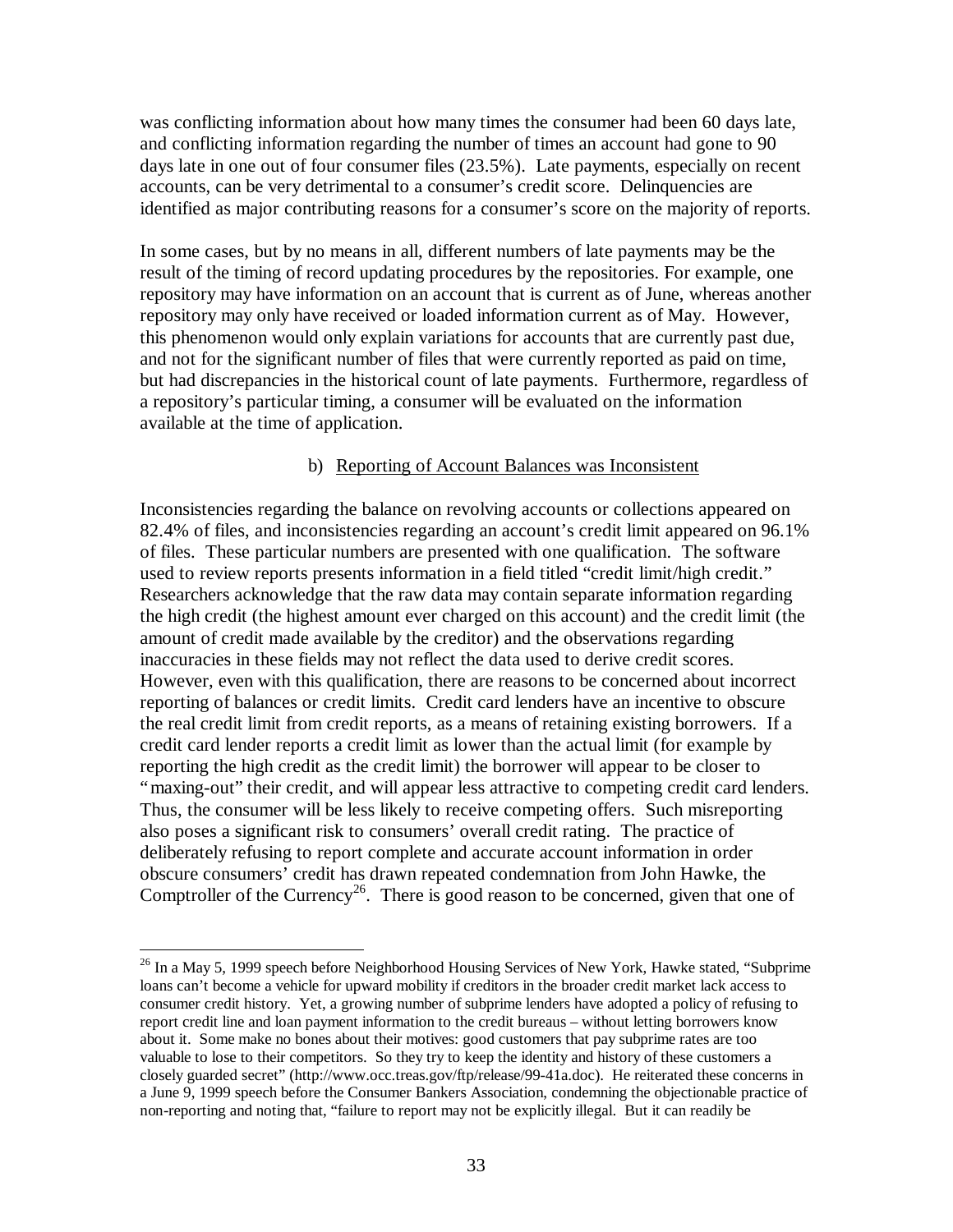was conflicting information about how many times the consumer had been 60 days late, and conflicting information regarding the number of times an account had gone to 90 days late in one out of four consumer files (23.5%). Late payments, especially on recent accounts, can be very detrimental to a consumer's credit score. Delinquencies are identified as major contributing reasons for a consumer's score on the majority of reports.

In some cases, but by no means in all, different numbers of late payments may be the result of the timing of record updating procedures by the repositories. For example, one repository may have information on an account that is current as of June, whereas another repository may only have received or loaded information current as of May. However, this phenomenon would only explain variations for accounts that are currently past due, and not for the significant number of files that were currently reported as paid on time, but had discrepancies in the historical count of late payments. Furthermore, regardless of a repository's particular timing, a consumer will be evaluated on the information available at the time of application.

### b) Reporting of Account Balances was Inconsistent

Inconsistencies regarding the balance on revolving accounts or collections appeared on 82.4% of files, and inconsistencies regarding an account's credit limit appeared on 96.1% of files. These particular numbers are presented with one qualification. The software used to review reports presents information in a field titled "credit limit/high credit." Researchers acknowledge that the raw data may contain separate information regarding the high credit (the highest amount ever charged on this account) and the credit limit (the amount of credit made available by the creditor) and the observations regarding inaccuracies in these fields may not reflect the data used to derive credit scores. However, even with this qualification, there are reasons to be concerned about incorrect reporting of balances or credit limits. Credit card lenders have an incentive to obscure the real credit limit from credit reports, as a means of retaining existing borrowers. If a credit card lender reports a credit limit as lower than the actual limit (for example by reporting the high credit as the credit limit) the borrower will appear to be closer to "maxing-out" their credit, and will appear less attractive to competing credit card lenders. Thus, the consumer will be less likely to receive competing offers. Such misreporting also poses a significant risk to consumers' overall credit rating. The practice of deliberately refusing to report complete and accurate account information in order obscure consumers' credit has drawn repeated condemnation from John Hawke, the Comptroller of the Currency<sup>26</sup>. There is good reason to be concerned, given that one of

 $\overline{a}$ 

<sup>&</sup>lt;sup>26</sup> In a May 5, 1999 speech before Neighborhood Housing Services of New York, Hawke stated, "Subprime loans can't become a vehicle for upward mobility if creditors in the broader credit market lack access to consumer credit history. Yet, a growing number of subprime lenders have adopted a policy of refusing to report credit line and loan payment information to the credit bureaus – without letting borrowers know about it. Some make no bones about their motives: good customers that pay subprime rates are too valuable to lose to their competitors. So they try to keep the identity and history of these customers a closely guarded secret" (http://www.occ.treas.gov/ftp/release/99-41a.doc). He reiterated these concerns in a June 9, 1999 speech before the Consumer Bankers Association, condemning the objectionable practice of non-reporting and noting that, "failure to report may not be explicitly illegal. But it can readily be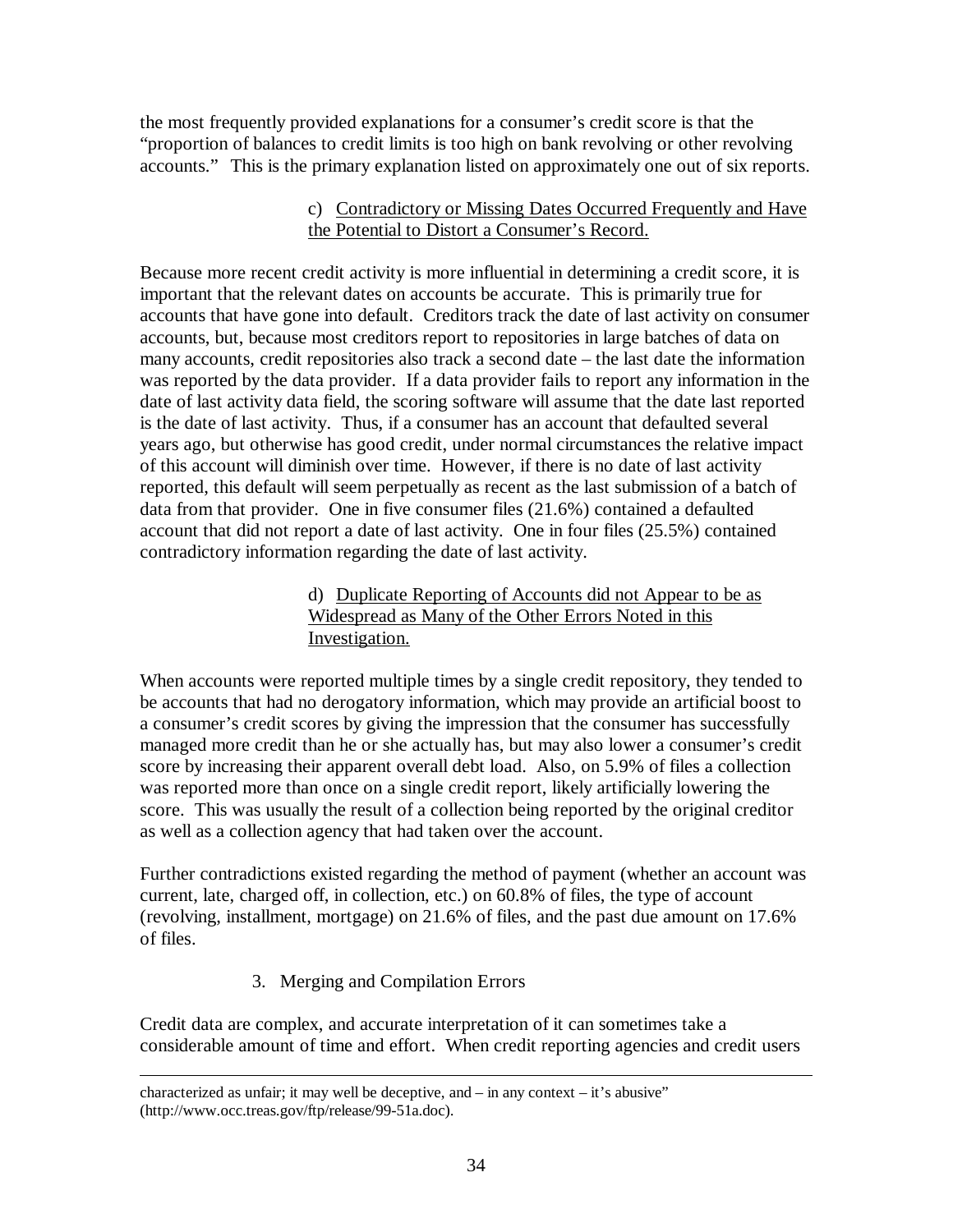the most frequently provided explanations for a consumer's credit score is that the "proportion of balances to credit limits is too high on bank revolving or other revolving accounts." This is the primary explanation listed on approximately one out of six reports.

## c) Contradictory or Missing Dates Occurred Frequently and Have the Potential to Distort a Consumer's Record.

Because more recent credit activity is more influential in determining a credit score, it is important that the relevant dates on accounts be accurate. This is primarily true for accounts that have gone into default. Creditors track the date of last activity on consumer accounts, but, because most creditors report to repositories in large batches of data on many accounts, credit repositories also track a second date – the last date the information was reported by the data provider. If a data provider fails to report any information in the date of last activity data field, the scoring software will assume that the date last reported is the date of last activity. Thus, if a consumer has an account that defaulted several years ago, but otherwise has good credit, under normal circumstances the relative impact of this account will diminish over time. However, if there is no date of last activity reported, this default will seem perpetually as recent as the last submission of a batch of data from that provider. One in five consumer files (21.6%) contained a defaulted account that did not report a date of last activity. One in four files (25.5%) contained contradictory information regarding the date of last activity.

## d) Duplicate Reporting of Accounts did not Appear to be as Widespread as Many of the Other Errors Noted in this Investigation.

When accounts were reported multiple times by a single credit repository, they tended to be accounts that had no derogatory information, which may provide an artificial boost to a consumer's credit scores by giving the impression that the consumer has successfully managed more credit than he or she actually has, but may also lower a consumer's credit score by increasing their apparent overall debt load. Also, on 5.9% of files a collection was reported more than once on a single credit report, likely artificially lowering the score. This was usually the result of a collection being reported by the original creditor as well as a collection agency that had taken over the account.

Further contradictions existed regarding the method of payment (whether an account was current, late, charged off, in collection, etc.) on 60.8% of files, the type of account (revolving, installment, mortgage) on 21.6% of files, and the past due amount on 17.6% of files.

# 3. Merging and Compilation Errors

 $\overline{a}$ 

Credit data are complex, and accurate interpretation of it can sometimes take a considerable amount of time and effort. When credit reporting agencies and credit users

characterized as unfair; it may well be deceptive, and – in any context – it's abusive" (http://www.occ.treas.gov/ftp/release/99-51a.doc).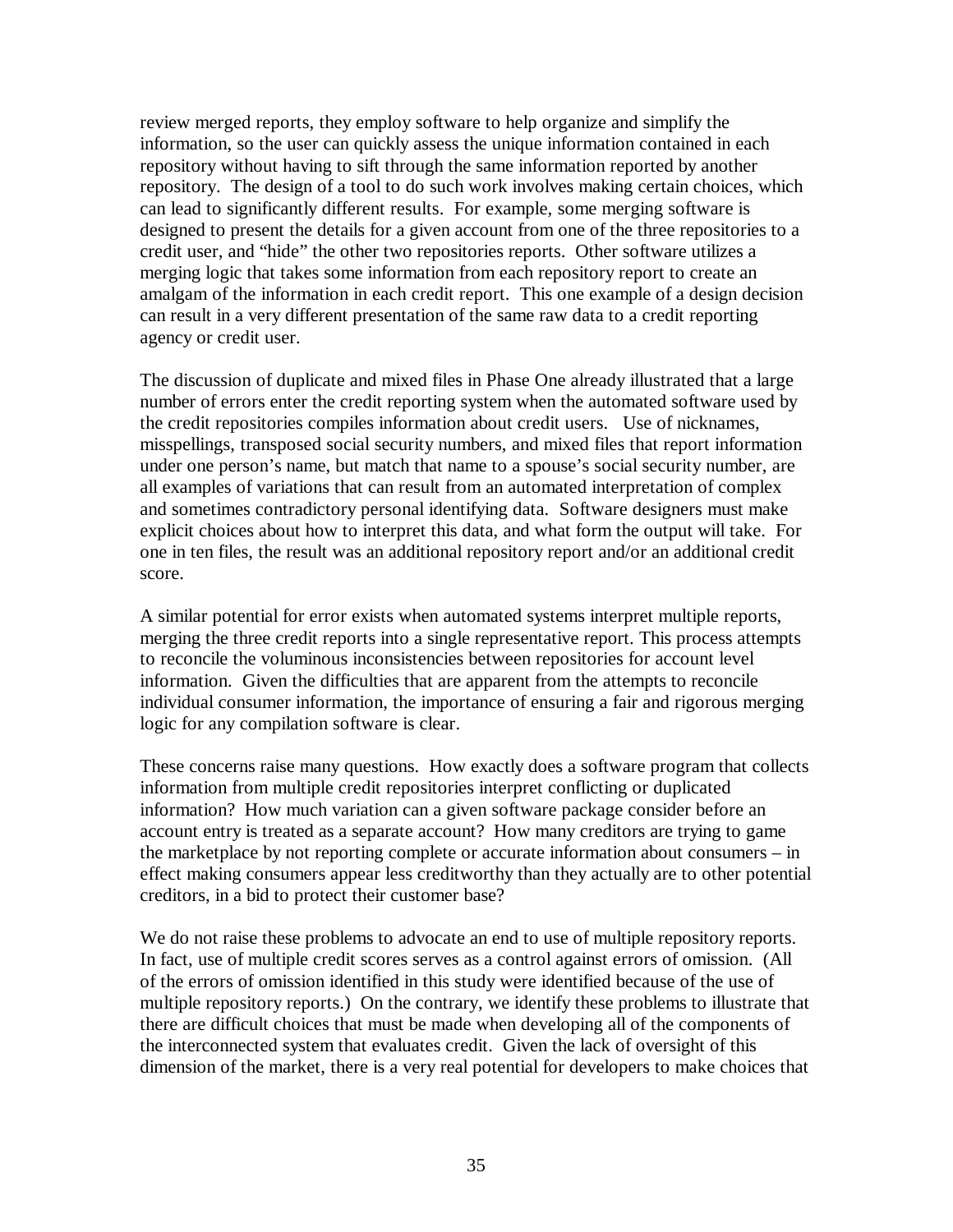review merged reports, they employ software to help organize and simplify the information, so the user can quickly assess the unique information contained in each repository without having to sift through the same information reported by another repository. The design of a tool to do such work involves making certain choices, which can lead to significantly different results. For example, some merging software is designed to present the details for a given account from one of the three repositories to a credit user, and "hide" the other two repositories reports. Other software utilizes a merging logic that takes some information from each repository report to create an amalgam of the information in each credit report. This one example of a design decision can result in a very different presentation of the same raw data to a credit reporting agency or credit user.

The discussion of duplicate and mixed files in Phase One already illustrated that a large number of errors enter the credit reporting system when the automated software used by the credit repositories compiles information about credit users. Use of nicknames, misspellings, transposed social security numbers, and mixed files that report information under one person's name, but match that name to a spouse's social security number, are all examples of variations that can result from an automated interpretation of complex and sometimes contradictory personal identifying data. Software designers must make explicit choices about how to interpret this data, and what form the output will take. For one in ten files, the result was an additional repository report and/or an additional credit score.

A similar potential for error exists when automated systems interpret multiple reports, merging the three credit reports into a single representative report. This process attempts to reconcile the voluminous inconsistencies between repositories for account level information. Given the difficulties that are apparent from the attempts to reconcile individual consumer information, the importance of ensuring a fair and rigorous merging logic for any compilation software is clear.

These concerns raise many questions. How exactly does a software program that collects information from multiple credit repositories interpret conflicting or duplicated information? How much variation can a given software package consider before an account entry is treated as a separate account? How many creditors are trying to game the marketplace by not reporting complete or accurate information about consumers – in effect making consumers appear less creditworthy than they actually are to other potential creditors, in a bid to protect their customer base?

We do not raise these problems to advocate an end to use of multiple repository reports. In fact, use of multiple credit scores serves as a control against errors of omission. (All of the errors of omission identified in this study were identified because of the use of multiple repository reports.) On the contrary, we identify these problems to illustrate that there are difficult choices that must be made when developing all of the components of the interconnected system that evaluates credit. Given the lack of oversight of this dimension of the market, there is a very real potential for developers to make choices that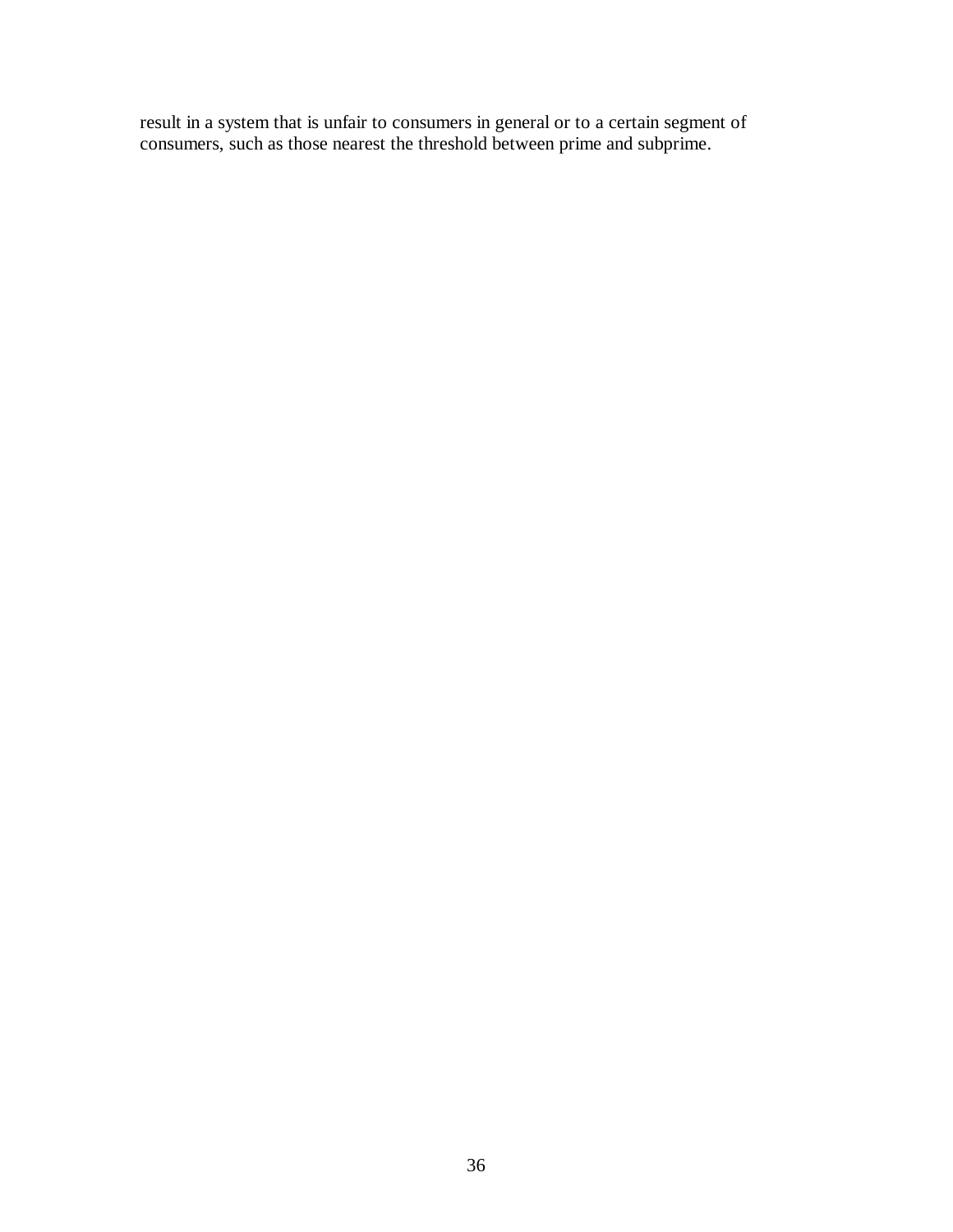result in a system that is unfair to consumers in general or to a certain segment of consumers, such as those nearest the threshold between prime and subprime.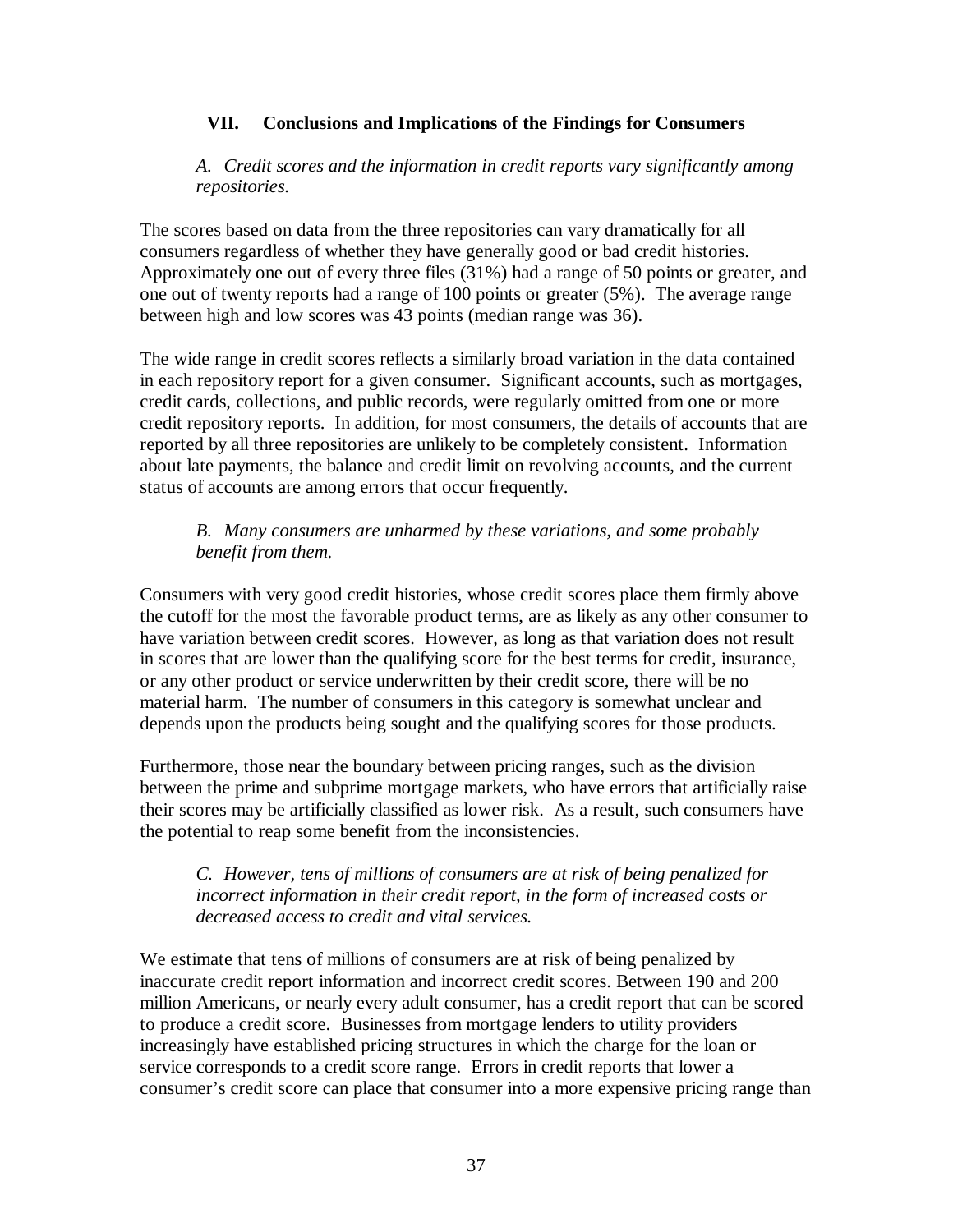### **VII. Conclusions and Implications of the Findings for Consumers**

*A. Credit scores and the information in credit reports vary significantly among repositories.*

The scores based on data from the three repositories can vary dramatically for all consumers regardless of whether they have generally good or bad credit histories. Approximately one out of every three files (31%) had a range of 50 points or greater, and one out of twenty reports had a range of 100 points or greater (5%). The average range between high and low scores was 43 points (median range was 36).

The wide range in credit scores reflects a similarly broad variation in the data contained in each repository report for a given consumer. Significant accounts, such as mortgages, credit cards, collections, and public records, were regularly omitted from one or more credit repository reports. In addition, for most consumers, the details of accounts that are reported by all three repositories are unlikely to be completely consistent. Information about late payments, the balance and credit limit on revolving accounts, and the current status of accounts are among errors that occur frequently.

## *B. Many consumers are unharmed by these variations, and some probably benefit from them.*

Consumers with very good credit histories, whose credit scores place them firmly above the cutoff for the most the favorable product terms, are as likely as any other consumer to have variation between credit scores. However, as long as that variation does not result in scores that are lower than the qualifying score for the best terms for credit, insurance, or any other product or service underwritten by their credit score, there will be no material harm. The number of consumers in this category is somewhat unclear and depends upon the products being sought and the qualifying scores for those products.

Furthermore, those near the boundary between pricing ranges, such as the division between the prime and subprime mortgage markets, who have errors that artificially raise their scores may be artificially classified as lower risk. As a result, such consumers have the potential to reap some benefit from the inconsistencies.

### *C. However, tens of millions of consumers are at risk of being penalized for incorrect information in their credit report, in the form of increased costs or decreased access to credit and vital services.*

We estimate that tens of millions of consumers are at risk of being penalized by inaccurate credit report information and incorrect credit scores. Between 190 and 200 million Americans, or nearly every adult consumer, has a credit report that can be scored to produce a credit score. Businesses from mortgage lenders to utility providers increasingly have established pricing structures in which the charge for the loan or service corresponds to a credit score range. Errors in credit reports that lower a consumer's credit score can place that consumer into a more expensive pricing range than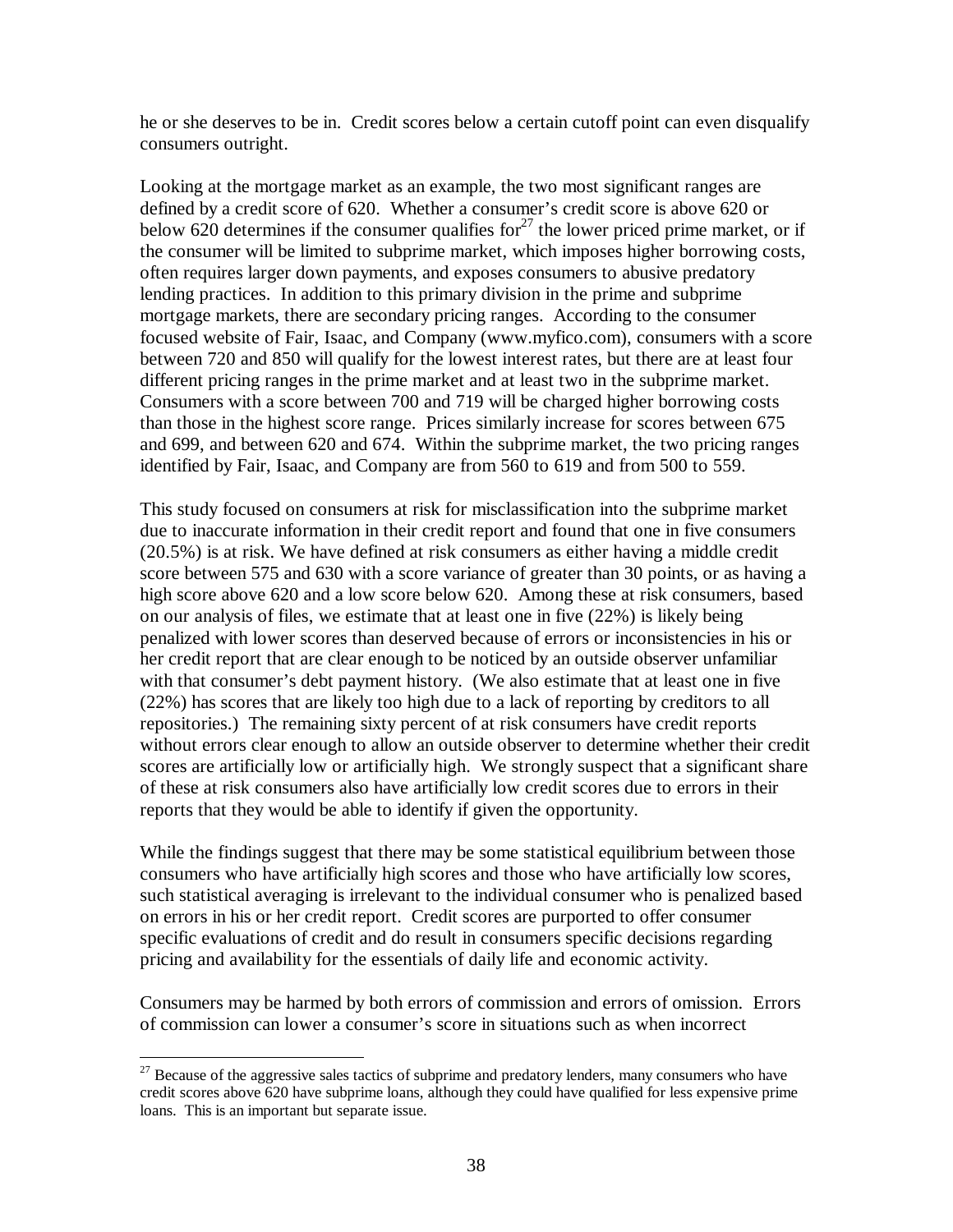he or she deserves to be in. Credit scores below a certain cutoff point can even disqualify consumers outright.

Looking at the mortgage market as an example, the two most significant ranges are defined by a credit score of 620. Whether a consumer's credit score is above 620 or below 620 determines if the consumer qualifies for<sup>27</sup> the lower priced prime market, or if the consumer will be limited to subprime market, which imposes higher borrowing costs, often requires larger down payments, and exposes consumers to abusive predatory lending practices. In addition to this primary division in the prime and subprime mortgage markets, there are secondary pricing ranges. According to the consumer focused website of Fair, Isaac, and Company (www.myfico.com), consumers with a score between 720 and 850 will qualify for the lowest interest rates, but there are at least four different pricing ranges in the prime market and at least two in the subprime market. Consumers with a score between 700 and 719 will be charged higher borrowing costs than those in the highest score range. Prices similarly increase for scores between 675 and 699, and between 620 and 674. Within the subprime market, the two pricing ranges identified by Fair, Isaac, and Company are from 560 to 619 and from 500 to 559.

This study focused on consumers at risk for misclassification into the subprime market due to inaccurate information in their credit report and found that one in five consumers (20.5%) is at risk. We have defined at risk consumers as either having a middle credit score between 575 and 630 with a score variance of greater than 30 points, or as having a high score above 620 and a low score below 620. Among these at risk consumers, based on our analysis of files, we estimate that at least one in five (22%) is likely being penalized with lower scores than deserved because of errors or inconsistencies in his or her credit report that are clear enough to be noticed by an outside observer unfamiliar with that consumer's debt payment history. (We also estimate that at least one in five (22%) has scores that are likely too high due to a lack of reporting by creditors to all repositories.) The remaining sixty percent of at risk consumers have credit reports without errors clear enough to allow an outside observer to determine whether their credit scores are artificially low or artificially high. We strongly suspect that a significant share of these at risk consumers also have artificially low credit scores due to errors in their reports that they would be able to identify if given the opportunity.

While the findings suggest that there may be some statistical equilibrium between those consumers who have artificially high scores and those who have artificially low scores, such statistical averaging is irrelevant to the individual consumer who is penalized based on errors in his or her credit report. Credit scores are purported to offer consumer specific evaluations of credit and do result in consumers specific decisions regarding pricing and availability for the essentials of daily life and economic activity.

Consumers may be harmed by both errors of commission and errors of omission. Errors of commission can lower a consumer's score in situations such as when incorrect

 $\overline{a}$  $27$  Because of the aggressive sales tactics of subprime and predatory lenders, many consumers who have credit scores above 620 have subprime loans, although they could have qualified for less expensive prime loans. This is an important but separate issue.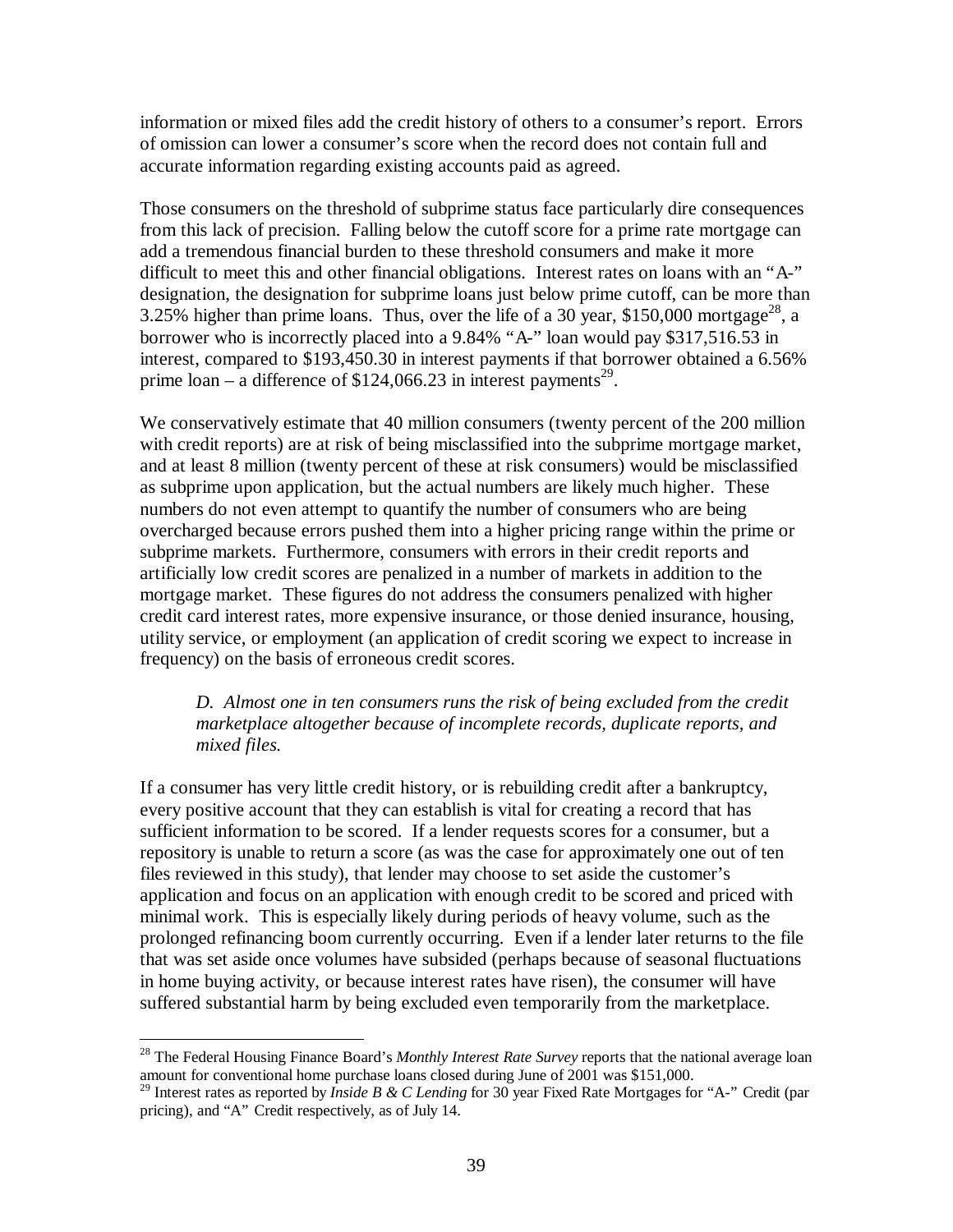information or mixed files add the credit history of others to a consumer's report. Errors of omission can lower a consumer's score when the record does not contain full and accurate information regarding existing accounts paid as agreed.

Those consumers on the threshold of subprime status face particularly dire consequences from this lack of precision. Falling below the cutoff score for a prime rate mortgage can add a tremendous financial burden to these threshold consumers and make it more difficult to meet this and other financial obligations. Interest rates on loans with an "A-" designation, the designation for subprime loans just below prime cutoff, can be more than 3.25% higher than prime loans. Thus, over the life of a 30 year, \$150,000 mortgage<sup>28</sup>, a borrower who is incorrectly placed into a 9.84% "A-" loan would pay \$317,516.53 in interest, compared to \$193,450.30 in interest payments if that borrower obtained a 6.56% prime  $\alpha$  = a difference of \$124,066.23 in interest payments<sup>29</sup>.

We conservatively estimate that 40 million consumers (twenty percent of the 200 million with credit reports) are at risk of being misclassified into the subprime mortgage market, and at least 8 million (twenty percent of these at risk consumers) would be misclassified as subprime upon application, but the actual numbers are likely much higher. These numbers do not even attempt to quantify the number of consumers who are being overcharged because errors pushed them into a higher pricing range within the prime or subprime markets. Furthermore, consumers with errors in their credit reports and artificially low credit scores are penalized in a number of markets in addition to the mortgage market. These figures do not address the consumers penalized with higher credit card interest rates, more expensive insurance, or those denied insurance, housing, utility service, or employment (an application of credit scoring we expect to increase in frequency) on the basis of erroneous credit scores.

### *D. Almost one in ten consumers runs the risk of being excluded from the credit marketplace altogether because of incomplete records, duplicate reports, and mixed files.*

If a consumer has very little credit history, or is rebuilding credit after a bankruptcy, every positive account that they can establish is vital for creating a record that has sufficient information to be scored. If a lender requests scores for a consumer, but a repository is unable to return a score (as was the case for approximately one out of ten files reviewed in this study), that lender may choose to set aside the customer's application and focus on an application with enough credit to be scored and priced with minimal work. This is especially likely during periods of heavy volume, such as the prolonged refinancing boom currently occurring. Even if a lender later returns to the file that was set aside once volumes have subsided (perhaps because of seasonal fluctuations in home buying activity, or because interest rates have risen), the consumer will have suffered substantial harm by being excluded even temporarily from the marketplace.

1

<sup>28</sup> The Federal Housing Finance Board's *Monthly Interest Rate Survey* reports that the national average loan amount for conventional home purchase loans closed during June of 2001 was \$151,000.

<sup>29</sup> Interest rates as reported by *Inside B & C Lending* for 30 year Fixed Rate Mortgages for "A-" Credit (par pricing), and "A" Credit respectively, as of July 14.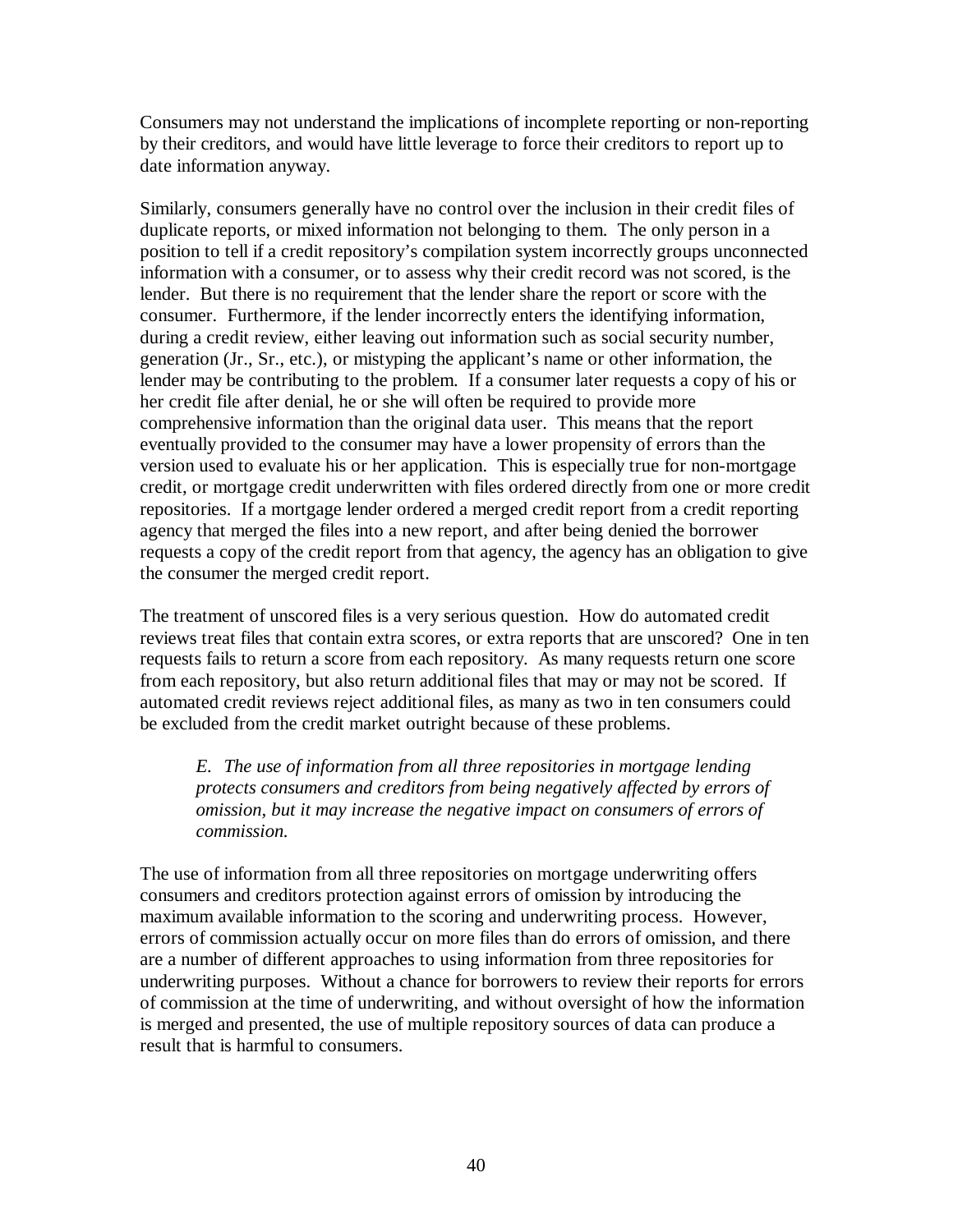Consumers may not understand the implications of incomplete reporting or non-reporting by their creditors, and would have little leverage to force their creditors to report up to date information anyway.

Similarly, consumers generally have no control over the inclusion in their credit files of duplicate reports, or mixed information not belonging to them. The only person in a position to tell if a credit repository's compilation system incorrectly groups unconnected information with a consumer, or to assess why their credit record was not scored, is the lender. But there is no requirement that the lender share the report or score with the consumer. Furthermore, if the lender incorrectly enters the identifying information, during a credit review, either leaving out information such as social security number, generation (Jr., Sr., etc.), or mistyping the applicant's name or other information, the lender may be contributing to the problem. If a consumer later requests a copy of his or her credit file after denial, he or she will often be required to provide more comprehensive information than the original data user. This means that the report eventually provided to the consumer may have a lower propensity of errors than the version used to evaluate his or her application. This is especially true for non-mortgage credit, or mortgage credit underwritten with files ordered directly from one or more credit repositories. If a mortgage lender ordered a merged credit report from a credit reporting agency that merged the files into a new report, and after being denied the borrower requests a copy of the credit report from that agency, the agency has an obligation to give the consumer the merged credit report.

The treatment of unscored files is a very serious question. How do automated credit reviews treat files that contain extra scores, or extra reports that are unscored? One in ten requests fails to return a score from each repository. As many requests return one score from each repository, but also return additional files that may or may not be scored. If automated credit reviews reject additional files, as many as two in ten consumers could be excluded from the credit market outright because of these problems.

*E. The use of information from all three repositories in mortgage lending protects consumers and creditors from being negatively affected by errors of omission, but it may increase the negative impact on consumers of errors of commission.* 

The use of information from all three repositories on mortgage underwriting offers consumers and creditors protection against errors of omission by introducing the maximum available information to the scoring and underwriting process. However, errors of commission actually occur on more files than do errors of omission, and there are a number of different approaches to using information from three repositories for underwriting purposes. Without a chance for borrowers to review their reports for errors of commission at the time of underwriting, and without oversight of how the information is merged and presented, the use of multiple repository sources of data can produce a result that is harmful to consumers.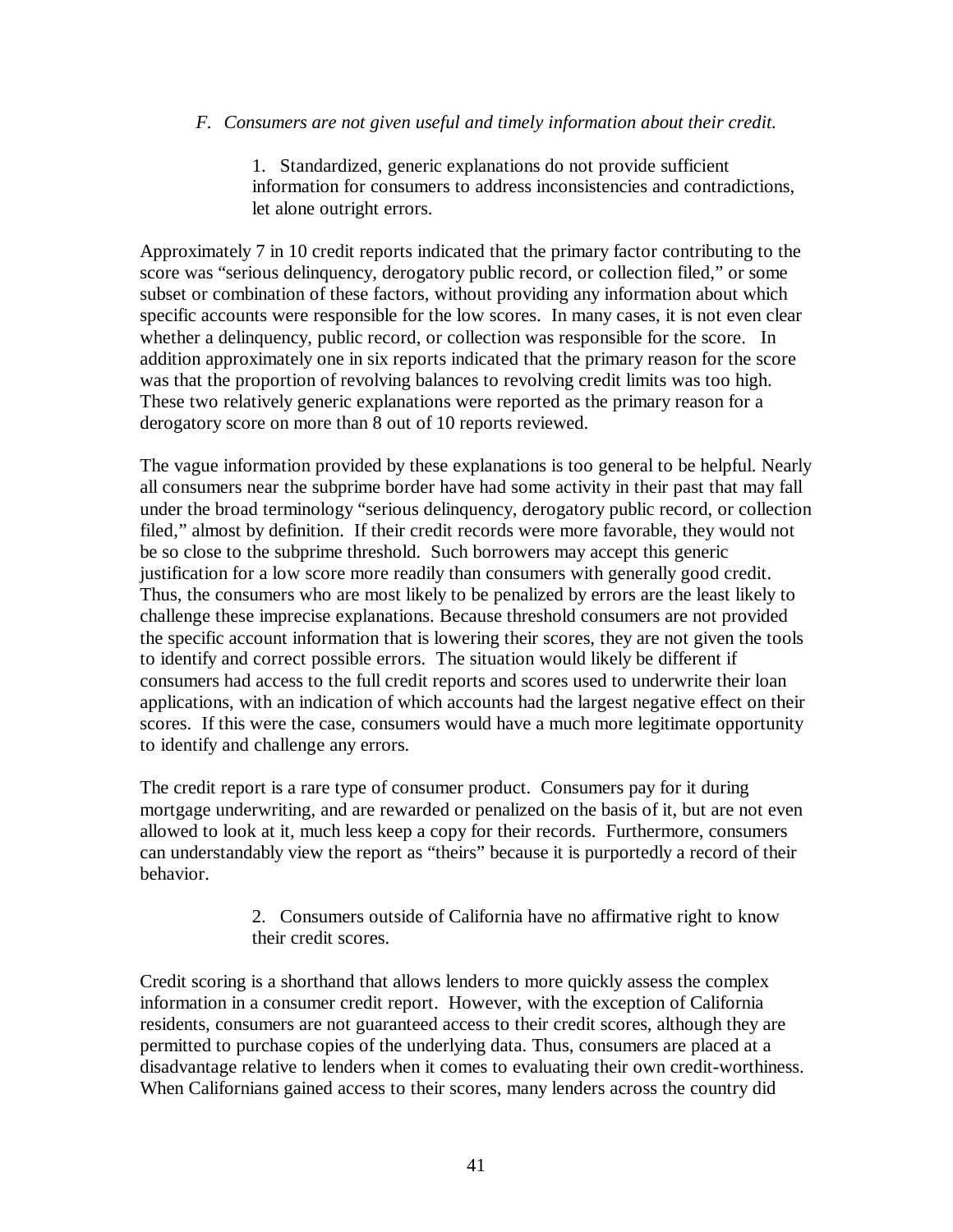### *F. Consumers are not given useful and timely information about their credit.*

1. Standardized, generic explanations do not provide sufficient information for consumers to address inconsistencies and contradictions, let alone outright errors.

Approximately 7 in 10 credit reports indicated that the primary factor contributing to the score was "serious delinquency, derogatory public record, or collection filed," or some subset or combination of these factors, without providing any information about which specific accounts were responsible for the low scores. In many cases, it is not even clear whether a delinquency, public record, or collection was responsible for the score. In addition approximately one in six reports indicated that the primary reason for the score was that the proportion of revolving balances to revolving credit limits was too high. These two relatively generic explanations were reported as the primary reason for a derogatory score on more than 8 out of 10 reports reviewed.

The vague information provided by these explanations is too general to be helpful. Nearly all consumers near the subprime border have had some activity in their past that may fall under the broad terminology "serious delinquency, derogatory public record, or collection filed," almost by definition. If their credit records were more favorable, they would not be so close to the subprime threshold. Such borrowers may accept this generic justification for a low score more readily than consumers with generally good credit. Thus, the consumers who are most likely to be penalized by errors are the least likely to challenge these imprecise explanations. Because threshold consumers are not provided the specific account information that is lowering their scores, they are not given the tools to identify and correct possible errors. The situation would likely be different if consumers had access to the full credit reports and scores used to underwrite their loan applications, with an indication of which accounts had the largest negative effect on their scores. If this were the case, consumers would have a much more legitimate opportunity to identify and challenge any errors.

The credit report is a rare type of consumer product. Consumers pay for it during mortgage underwriting, and are rewarded or penalized on the basis of it, but are not even allowed to look at it, much less keep a copy for their records. Furthermore, consumers can understandably view the report as "theirs" because it is purportedly a record of their behavior.

> 2. Consumers outside of California have no affirmative right to know their credit scores.

Credit scoring is a shorthand that allows lenders to more quickly assess the complex information in a consumer credit report. However, with the exception of California residents, consumers are not guaranteed access to their credit scores, although they are permitted to purchase copies of the underlying data. Thus, consumers are placed at a disadvantage relative to lenders when it comes to evaluating their own credit-worthiness. When Californians gained access to their scores, many lenders across the country did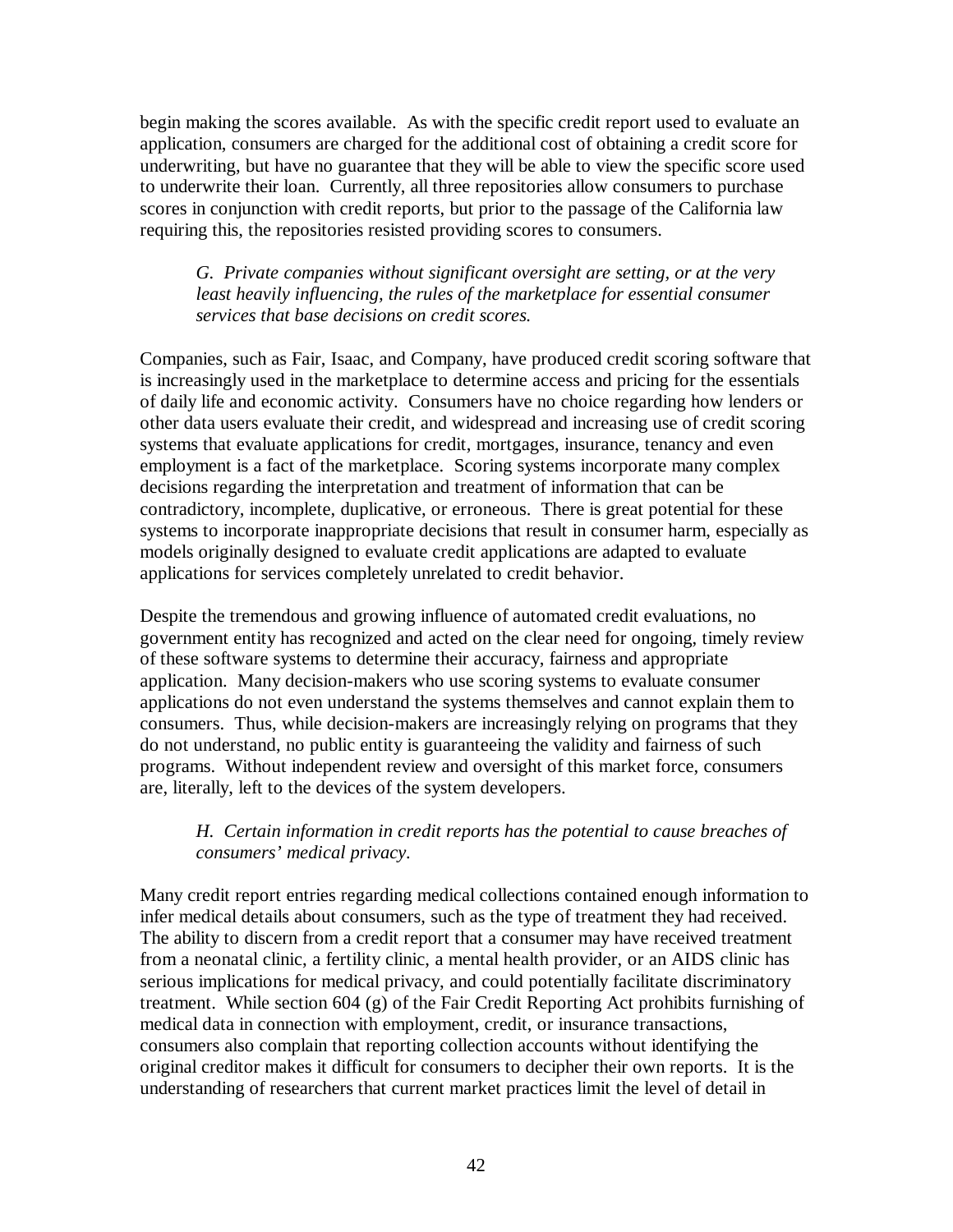begin making the scores available. As with the specific credit report used to evaluate an application, consumers are charged for the additional cost of obtaining a credit score for underwriting, but have no guarantee that they will be able to view the specific score used to underwrite their loan. Currently, all three repositories allow consumers to purchase scores in conjunction with credit reports, but prior to the passage of the California law requiring this, the repositories resisted providing scores to consumers.

*G. Private companies without significant oversight are setting, or at the very least heavily influencing, the rules of the marketplace for essential consumer services that base decisions on credit scores.*

Companies, such as Fair, Isaac, and Company, have produced credit scoring software that is increasingly used in the marketplace to determine access and pricing for the essentials of daily life and economic activity. Consumers have no choice regarding how lenders or other data users evaluate their credit, and widespread and increasing use of credit scoring systems that evaluate applications for credit, mortgages, insurance, tenancy and even employment is a fact of the marketplace. Scoring systems incorporate many complex decisions regarding the interpretation and treatment of information that can be contradictory, incomplete, duplicative, or erroneous. There is great potential for these systems to incorporate inappropriate decisions that result in consumer harm, especially as models originally designed to evaluate credit applications are adapted to evaluate applications for services completely unrelated to credit behavior.

Despite the tremendous and growing influence of automated credit evaluations, no government entity has recognized and acted on the clear need for ongoing, timely review of these software systems to determine their accuracy, fairness and appropriate application. Many decision-makers who use scoring systems to evaluate consumer applications do not even understand the systems themselves and cannot explain them to consumers. Thus, while decision-makers are increasingly relying on programs that they do not understand, no public entity is guaranteeing the validity and fairness of such programs. Without independent review and oversight of this market force, consumers are, literally, left to the devices of the system developers.

## *H. Certain information in credit reports has the potential to cause breaches of consumers' medical privacy.*

Many credit report entries regarding medical collections contained enough information to infer medical details about consumers, such as the type of treatment they had received. The ability to discern from a credit report that a consumer may have received treatment from a neonatal clinic, a fertility clinic, a mental health provider, or an AIDS clinic has serious implications for medical privacy, and could potentially facilitate discriminatory treatment. While section 604 (g) of the Fair Credit Reporting Act prohibits furnishing of medical data in connection with employment, credit, or insurance transactions, consumers also complain that reporting collection accounts without identifying the original creditor makes it difficult for consumers to decipher their own reports. It is the understanding of researchers that current market practices limit the level of detail in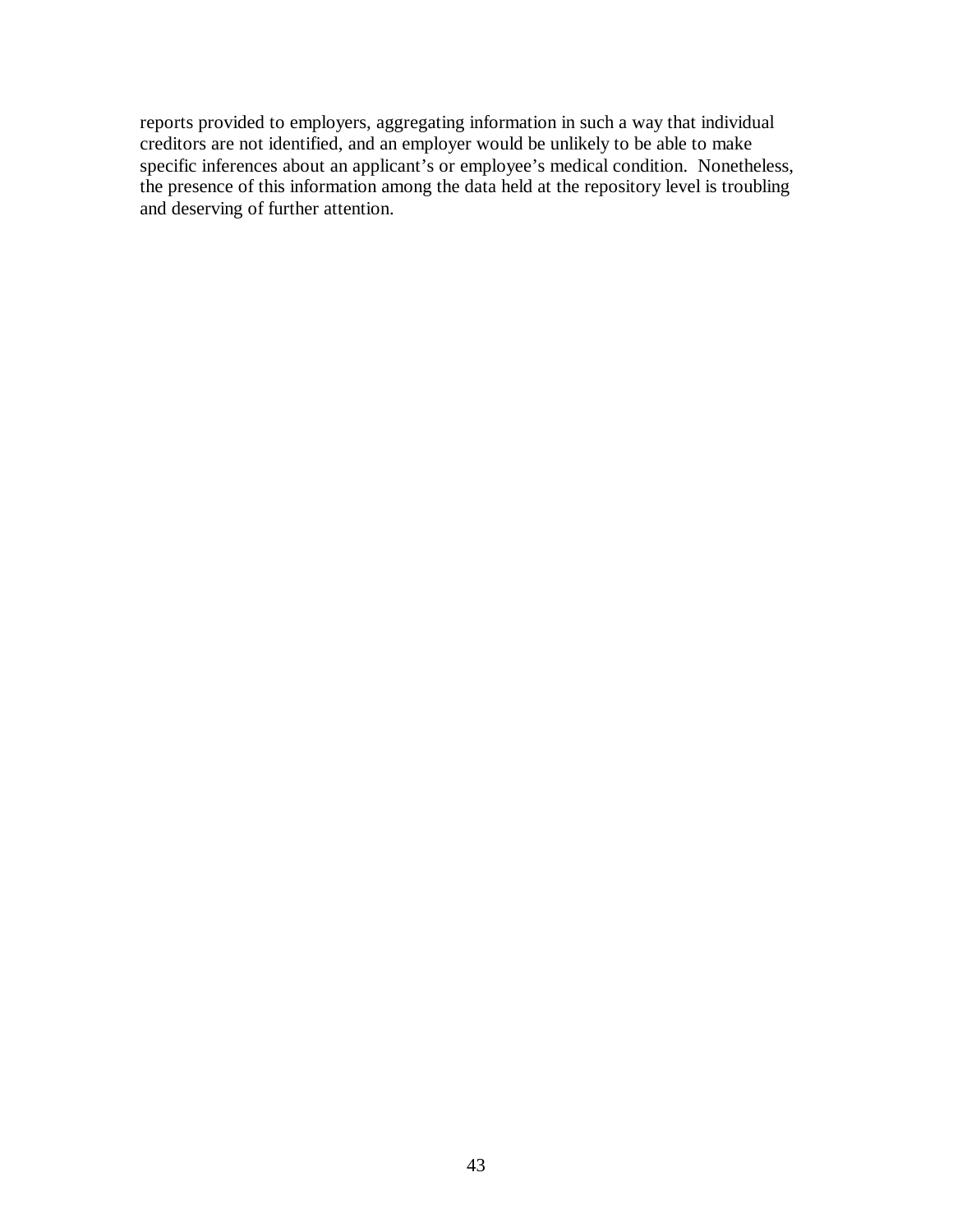reports provided to employers, aggregating information in such a way that individual creditors are not identified, and an employer would be unlikely to be able to make specific inferences about an applicant's or employee's medical condition. Nonetheless, the presence of this information among the data held at the repository level is troubling and deserving of further attention.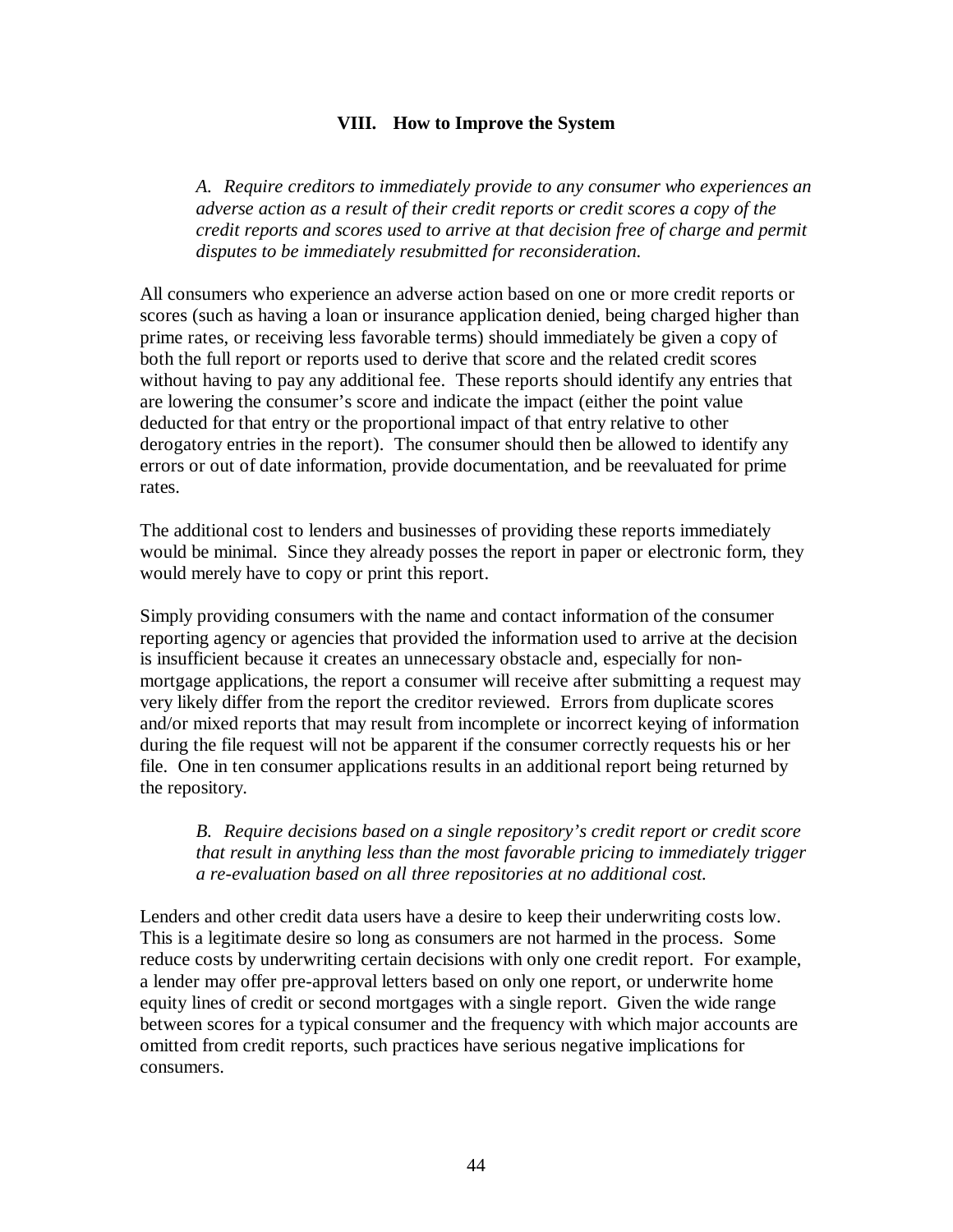### **VIII. How to Improve the System**

*A. Require creditors to immediately provide to any consumer who experiences an adverse action as a result of their credit reports or credit scores a copy of the credit reports and scores used to arrive at that decision free of charge and permit disputes to be immediately resubmitted for reconsideration.*

All consumers who experience an adverse action based on one or more credit reports or scores (such as having a loan or insurance application denied, being charged higher than prime rates, or receiving less favorable terms) should immediately be given a copy of both the full report or reports used to derive that score and the related credit scores without having to pay any additional fee. These reports should identify any entries that are lowering the consumer's score and indicate the impact (either the point value deducted for that entry or the proportional impact of that entry relative to other derogatory entries in the report). The consumer should then be allowed to identify any errors or out of date information, provide documentation, and be reevaluated for prime rates.

The additional cost to lenders and businesses of providing these reports immediately would be minimal. Since they already posses the report in paper or electronic form, they would merely have to copy or print this report.

Simply providing consumers with the name and contact information of the consumer reporting agency or agencies that provided the information used to arrive at the decision is insufficient because it creates an unnecessary obstacle and, especially for nonmortgage applications, the report a consumer will receive after submitting a request may very likely differ from the report the creditor reviewed. Errors from duplicate scores and/or mixed reports that may result from incomplete or incorrect keying of information during the file request will not be apparent if the consumer correctly requests his or her file. One in ten consumer applications results in an additional report being returned by the repository.

*B. Require decisions based on a single repository's credit report or credit score that result in anything less than the most favorable pricing to immediately trigger a re-evaluation based on all three repositories at no additional cost.* 

Lenders and other credit data users have a desire to keep their underwriting costs low. This is a legitimate desire so long as consumers are not harmed in the process. Some reduce costs by underwriting certain decisions with only one credit report. For example, a lender may offer pre-approval letters based on only one report, or underwrite home equity lines of credit or second mortgages with a single report. Given the wide range between scores for a typical consumer and the frequency with which major accounts are omitted from credit reports, such practices have serious negative implications for consumers.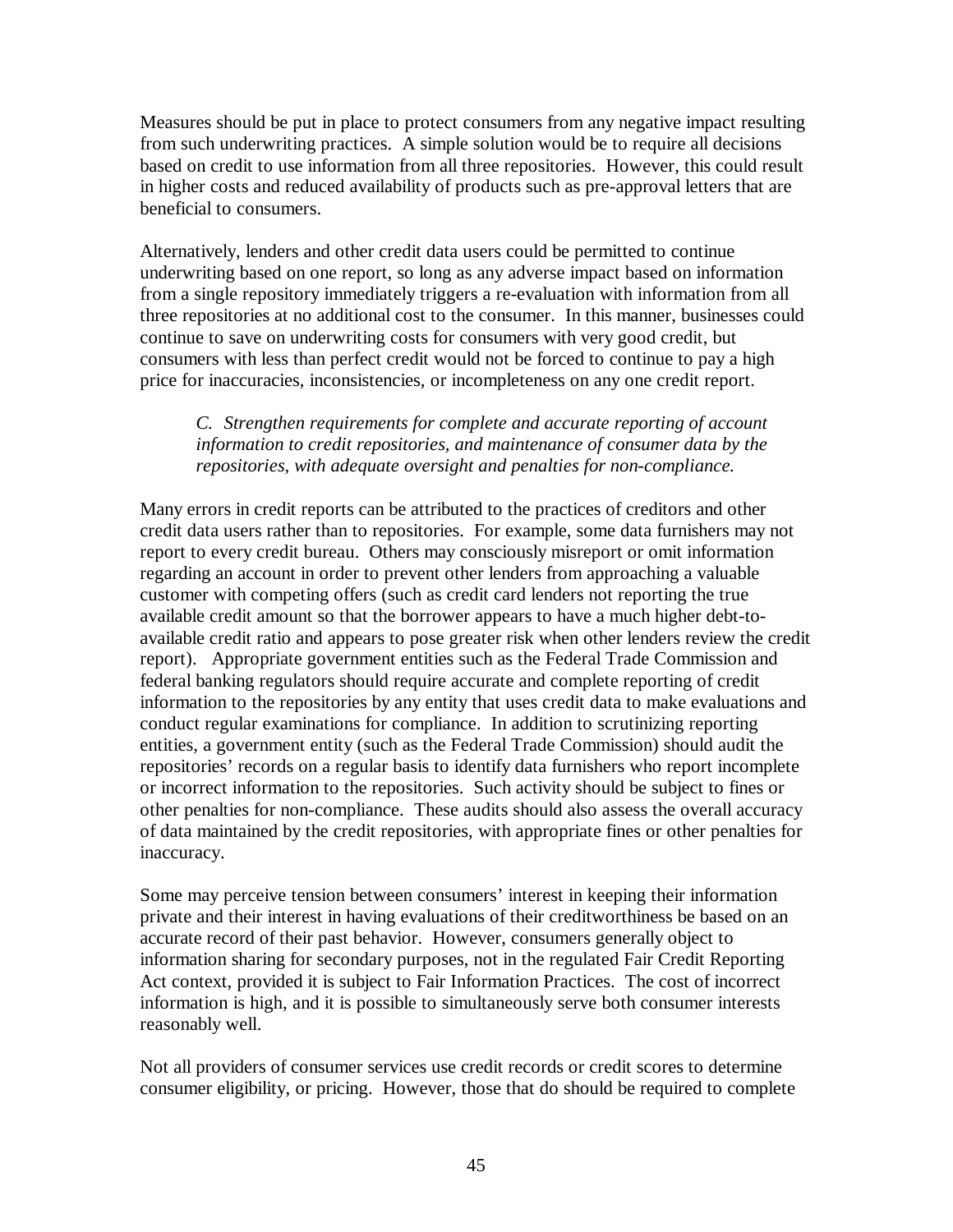Measures should be put in place to protect consumers from any negative impact resulting from such underwriting practices. A simple solution would be to require all decisions based on credit to use information from all three repositories. However, this could result in higher costs and reduced availability of products such as pre-approval letters that are beneficial to consumers.

Alternatively, lenders and other credit data users could be permitted to continue underwriting based on one report, so long as any adverse impact based on information from a single repository immediately triggers a re-evaluation with information from all three repositories at no additional cost to the consumer. In this manner, businesses could continue to save on underwriting costs for consumers with very good credit, but consumers with less than perfect credit would not be forced to continue to pay a high price for inaccuracies, inconsistencies, or incompleteness on any one credit report.

### *C. Strengthen requirements for complete and accurate reporting of account information to credit repositories, and maintenance of consumer data by the repositories, with adequate oversight and penalties for non-compliance.*

Many errors in credit reports can be attributed to the practices of creditors and other credit data users rather than to repositories. For example, some data furnishers may not report to every credit bureau. Others may consciously misreport or omit information regarding an account in order to prevent other lenders from approaching a valuable customer with competing offers (such as credit card lenders not reporting the true available credit amount so that the borrower appears to have a much higher debt-toavailable credit ratio and appears to pose greater risk when other lenders review the credit report). Appropriate government entities such as the Federal Trade Commission and federal banking regulators should require accurate and complete reporting of credit information to the repositories by any entity that uses credit data to make evaluations and conduct regular examinations for compliance. In addition to scrutinizing reporting entities, a government entity (such as the Federal Trade Commission) should audit the repositories' records on a regular basis to identify data furnishers who report incomplete or incorrect information to the repositories. Such activity should be subject to fines or other penalties for non-compliance. These audits should also assess the overall accuracy of data maintained by the credit repositories, with appropriate fines or other penalties for inaccuracy.

Some may perceive tension between consumers' interest in keeping their information private and their interest in having evaluations of their creditworthiness be based on an accurate record of their past behavior. However, consumers generally object to information sharing for secondary purposes, not in the regulated Fair Credit Reporting Act context, provided it is subject to Fair Information Practices. The cost of incorrect information is high, and it is possible to simultaneously serve both consumer interests reasonably well.

Not all providers of consumer services use credit records or credit scores to determine consumer eligibility, or pricing. However, those that do should be required to complete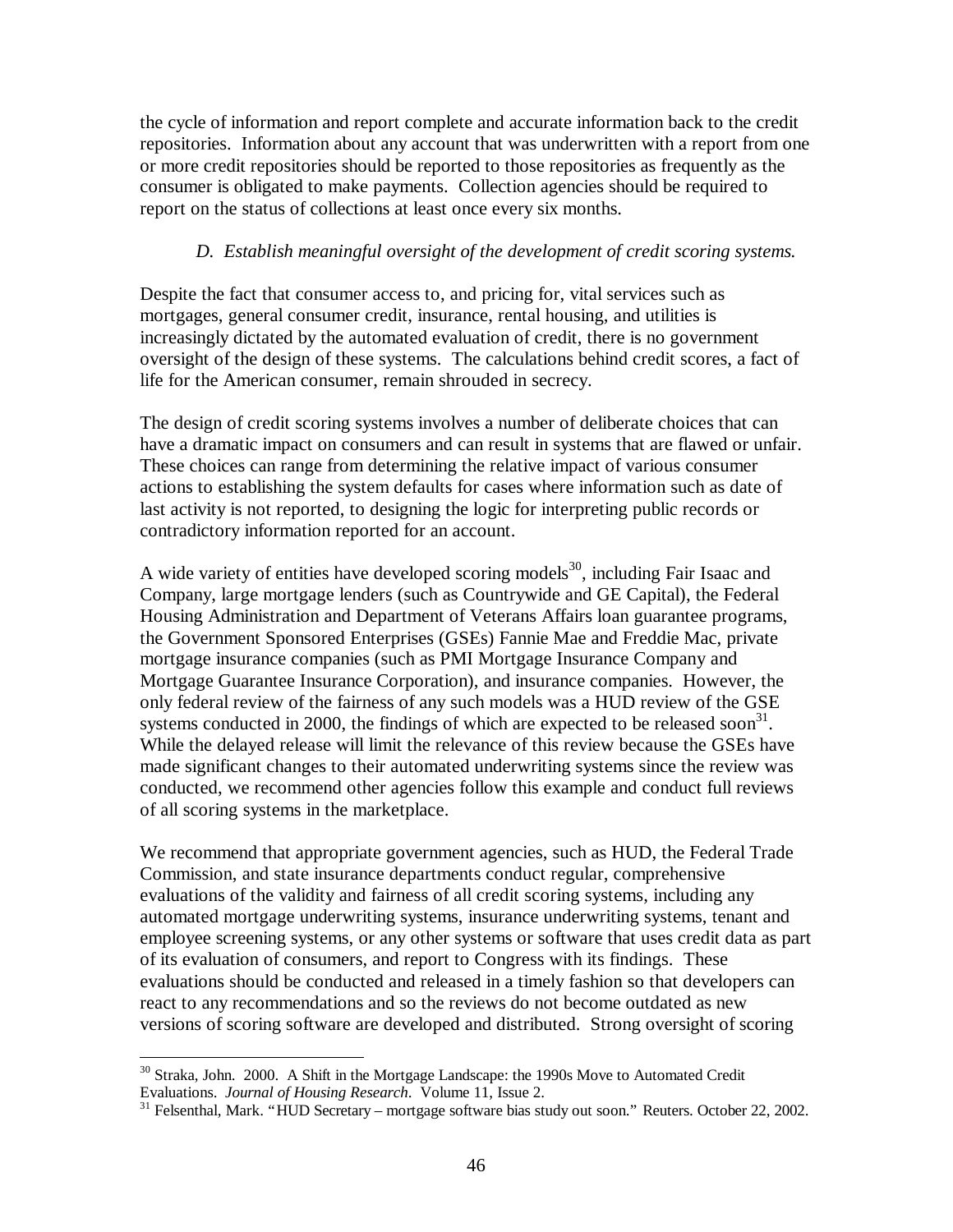the cycle of information and report complete and accurate information back to the credit repositories. Information about any account that was underwritten with a report from one or more credit repositories should be reported to those repositories as frequently as the consumer is obligated to make payments. Collection agencies should be required to report on the status of collections at least once every six months.

# *D. Establish meaningful oversight of the development of credit scoring systems.*

Despite the fact that consumer access to, and pricing for, vital services such as mortgages, general consumer credit, insurance, rental housing, and utilities is increasingly dictated by the automated evaluation of credit, there is no government oversight of the design of these systems. The calculations behind credit scores, a fact of life for the American consumer, remain shrouded in secrecy.

The design of credit scoring systems involves a number of deliberate choices that can have a dramatic impact on consumers and can result in systems that are flawed or unfair. These choices can range from determining the relative impact of various consumer actions to establishing the system defaults for cases where information such as date of last activity is not reported, to designing the logic for interpreting public records or contradictory information reported for an account.

A wide variety of entities have developed scoring models<sup>30</sup>, including Fair Isaac and Company, large mortgage lenders (such as Countrywide and GE Capital), the Federal Housing Administration and Department of Veterans Affairs loan guarantee programs, the Government Sponsored Enterprises (GSEs) Fannie Mae and Freddie Mac, private mortgage insurance companies (such as PMI Mortgage Insurance Company and Mortgage Guarantee Insurance Corporation), and insurance companies. However, the only federal review of the fairness of any such models was a HUD review of the GSE systems conducted in 2000, the findings of which are expected to be released soon $^{31}$ . While the delayed release will limit the relevance of this review because the GSEs have made significant changes to their automated underwriting systems since the review was conducted, we recommend other agencies follow this example and conduct full reviews of all scoring systems in the marketplace.

We recommend that appropriate government agencies, such as HUD, the Federal Trade Commission, and state insurance departments conduct regular, comprehensive evaluations of the validity and fairness of all credit scoring systems, including any automated mortgage underwriting systems, insurance underwriting systems, tenant and employee screening systems, or any other systems or software that uses credit data as part of its evaluation of consumers, and report to Congress with its findings. These evaluations should be conducted and released in a timely fashion so that developers can react to any recommendations and so the reviews do not become outdated as new versions of scoring software are developed and distributed. Strong oversight of scoring

 $\overline{a}$ <sup>30</sup> Straka, John. 2000. A Shift in the Mortgage Landscape: the 1990s Move to Automated Credit Evaluations. *Journal of Housing Research*. Volume 11, Issue 2.

 $31$  Felsenthal, Mark. "HUD Secretary – mortgage software bias study out soon." Reuters. October 22, 2002.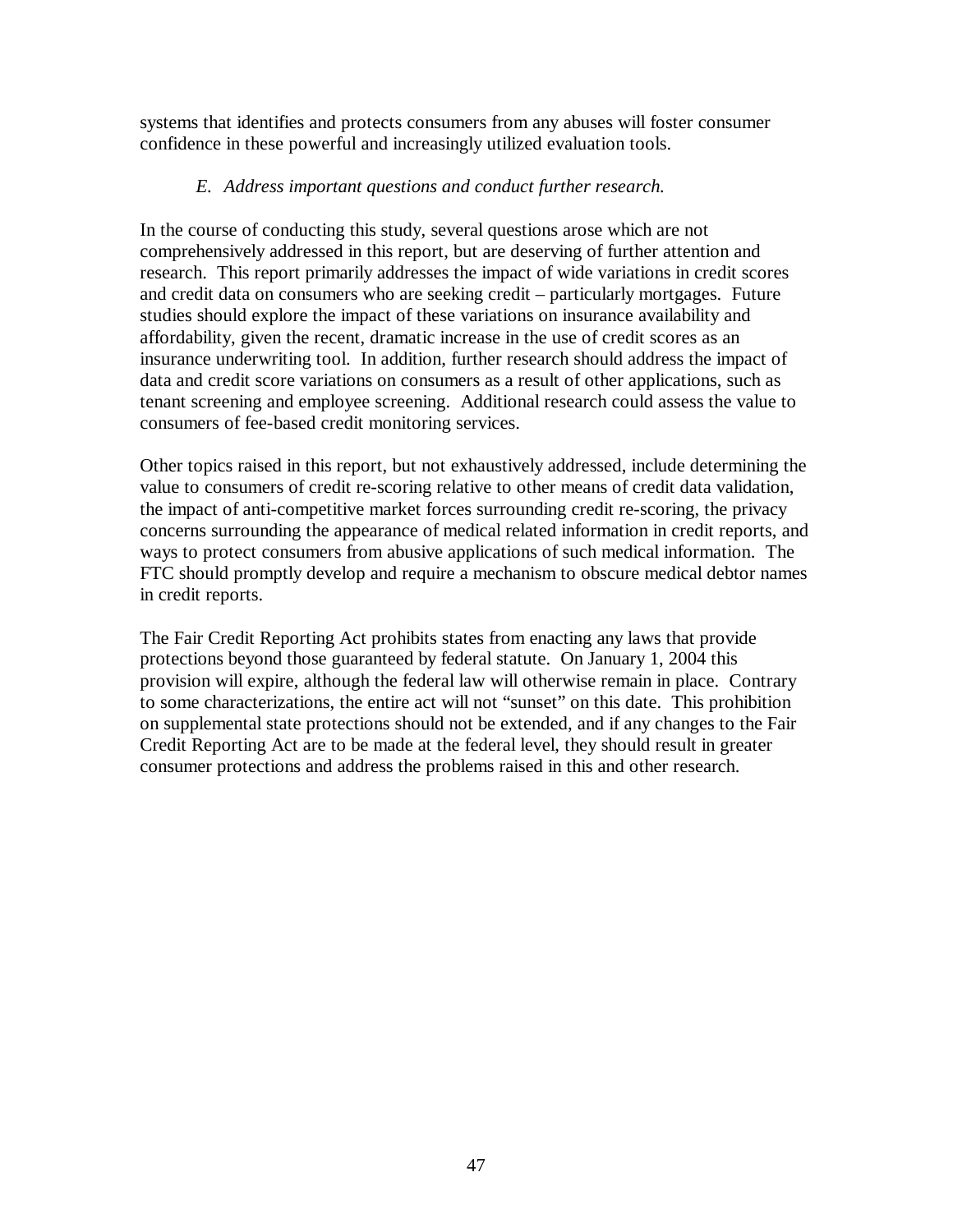systems that identifies and protects consumers from any abuses will foster consumer confidence in these powerful and increasingly utilized evaluation tools.

## *E. Address important questions and conduct further research.*

In the course of conducting this study, several questions arose which are not comprehensively addressed in this report, but are deserving of further attention and research. This report primarily addresses the impact of wide variations in credit scores and credit data on consumers who are seeking credit – particularly mortgages. Future studies should explore the impact of these variations on insurance availability and affordability, given the recent, dramatic increase in the use of credit scores as an insurance underwriting tool. In addition, further research should address the impact of data and credit score variations on consumers as a result of other applications, such as tenant screening and employee screening. Additional research could assess the value to consumers of fee-based credit monitoring services.

Other topics raised in this report, but not exhaustively addressed, include determining the value to consumers of credit re-scoring relative to other means of credit data validation, the impact of anti-competitive market forces surrounding credit re-scoring, the privacy concerns surrounding the appearance of medical related information in credit reports, and ways to protect consumers from abusive applications of such medical information. The FTC should promptly develop and require a mechanism to obscure medical debtor names in credit reports.

The Fair Credit Reporting Act prohibits states from enacting any laws that provide protections beyond those guaranteed by federal statute. On January 1, 2004 this provision will expire, although the federal law will otherwise remain in place. Contrary to some characterizations, the entire act will not "sunset" on this date. This prohibition on supplemental state protections should not be extended, and if any changes to the Fair Credit Reporting Act are to be made at the federal level, they should result in greater consumer protections and address the problems raised in this and other research.